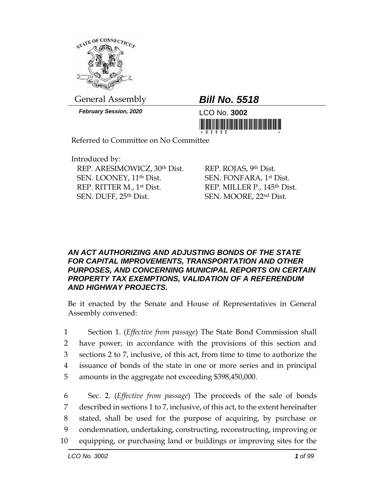

General Assembly *Bill No. 5518*

*February Session, 2020* LCO No. **3002**



Referred to Committee on No Committee

Introduced by: REP. ARESIMOWICZ, 30th Dist. SEN. LOONEY, 11th Dist. REP. RITTER M., 1st Dist. SEN. DUFF, 25th Dist.

REP. ROJAS, 9th Dist. SEN. FONFARA, 1st Dist. REP. MILLER P., 145th Dist. SEN. MOORE, 22nd Dist.

## *AN ACT AUTHORIZING AND ADJUSTING BONDS OF THE STATE FOR CAPITAL IMPROVEMENTS, TRANSPORTATION AND OTHER PURPOSES, AND CONCERNING MUNICIPAL REPORTS ON CERTAIN PROPERTY TAX EXEMPTIONS, VALIDATION OF A REFERENDUM AND HIGHWAY PROJECTS.*

Be it enacted by the Senate and House of Representatives in General Assembly convened:

 Section 1. (*Effective from passage*) The State Bond Commission shall have power, in accordance with the provisions of this section and sections 2 to 7, inclusive, of this act, from time to time to authorize the issuance of bonds of the state in one or more series and in principal amounts in the aggregate not exceeding \$398,450,000.

 Sec. 2. (*Effective from passage*) The proceeds of the sale of bonds described in sections 1 to 7, inclusive, of this act, to the extent hereinafter stated, shall be used for the purpose of acquiring, by purchase or condemnation, undertaking, constructing, reconstructing, improving or equipping, or purchasing land or buildings or improving sites for the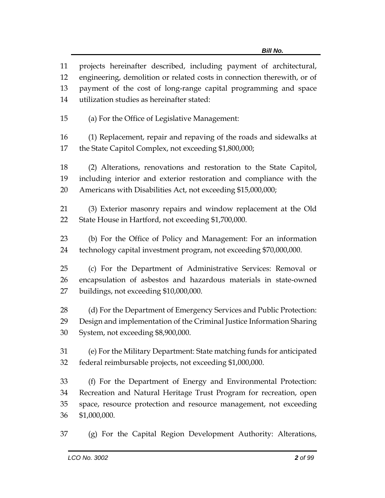projects hereinafter described, including payment of architectural, engineering, demolition or related costs in connection therewith, or of payment of the cost of long-range capital programming and space utilization studies as hereinafter stated: (a) For the Office of Legislative Management: (1) Replacement, repair and repaving of the roads and sidewalks at the State Capitol Complex, not exceeding \$1,800,000; (2) Alterations, renovations and restoration to the State Capitol, including interior and exterior restoration and compliance with the Americans with Disabilities Act, not exceeding \$15,000,000; (3) Exterior masonry repairs and window replacement at the Old State House in Hartford, not exceeding \$1,700,000. (b) For the Office of Policy and Management: For an information technology capital investment program, not exceeding \$70,000,000. (c) For the Department of Administrative Services: Removal or encapsulation of asbestos and hazardous materials in state-owned buildings, not exceeding \$10,000,000. 28 (d) For the Department of Emergency Services and Public Protection: Design and implementation of the Criminal Justice Information Sharing System, not exceeding \$8,900,000. (e) For the Military Department: State matching funds for anticipated federal reimbursable projects, not exceeding \$1,000,000. (f) For the Department of Energy and Environmental Protection: Recreation and Natural Heritage Trust Program for recreation, open space, resource protection and resource management, not exceeding \$1,000,000.

(g) For the Capital Region Development Authority: Alterations,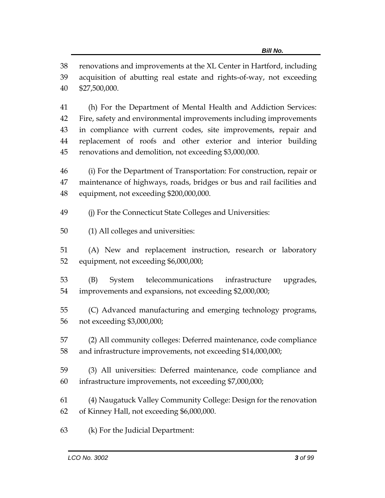renovations and improvements at the XL Center in Hartford, including

 acquisition of abutting real estate and rights-of-way, not exceeding \$27,500,000.

 (h) For the Department of Mental Health and Addiction Services: Fire, safety and environmental improvements including improvements in compliance with current codes, site improvements, repair and replacement of roofs and other exterior and interior building renovations and demolition, not exceeding \$3,000,000.

 (i) For the Department of Transportation: For construction, repair or maintenance of highways, roads, bridges or bus and rail facilities and equipment, not exceeding \$200,000,000.

(j) For the Connecticut State Colleges and Universities:

(1) All colleges and universities:

 (A) New and replacement instruction, research or laboratory equipment, not exceeding \$6,000,000;

 (B) System telecommunications infrastructure upgrades, improvements and expansions, not exceeding \$2,000,000;

 (C) Advanced manufacturing and emerging technology programs, not exceeding \$3,000,000;

 (2) All community colleges: Deferred maintenance, code compliance and infrastructure improvements, not exceeding \$14,000,000;

 (3) All universities: Deferred maintenance, code compliance and infrastructure improvements, not exceeding \$7,000,000;

 (4) Naugatuck Valley Community College: Design for the renovation of Kinney Hall, not exceeding \$6,000,000.

(k) For the Judicial Department: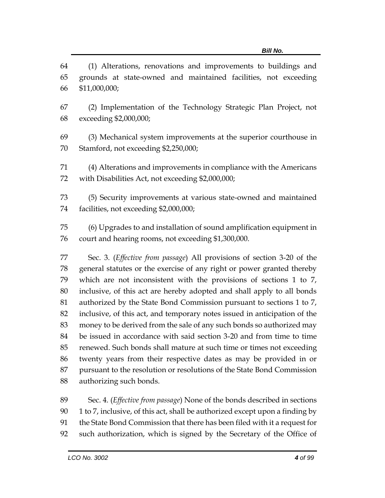(1) Alterations, renovations and improvements to buildings and grounds at state-owned and maintained facilities, not exceeding \$11,000,000;

- (2) Implementation of the Technology Strategic Plan Project, not exceeding \$2,000,000;
- (3) Mechanical system improvements at the superior courthouse in Stamford, not exceeding \$2,250,000;
- (4) Alterations and improvements in compliance with the Americans with Disabilities Act, not exceeding \$2,000,000;

 (5) Security improvements at various state-owned and maintained facilities, not exceeding \$2,000,000;

 (6) Upgrades to and installation of sound amplification equipment in court and hearing rooms, not exceeding \$1,300,000.

 Sec. 3. (*Effective from passage*) All provisions of section 3-20 of the general statutes or the exercise of any right or power granted thereby which are not inconsistent with the provisions of sections 1 to 7, inclusive, of this act are hereby adopted and shall apply to all bonds authorized by the State Bond Commission pursuant to sections 1 to 7, inclusive, of this act, and temporary notes issued in anticipation of the money to be derived from the sale of any such bonds so authorized may be issued in accordance with said section 3-20 and from time to time renewed. Such bonds shall mature at such time or times not exceeding twenty years from their respective dates as may be provided in or pursuant to the resolution or resolutions of the State Bond Commission authorizing such bonds.

 Sec. 4. (*Effective from passage*) None of the bonds described in sections 1 to 7, inclusive, of this act, shall be authorized except upon a finding by the State Bond Commission that there has been filed with it a request for such authorization, which is signed by the Secretary of the Office of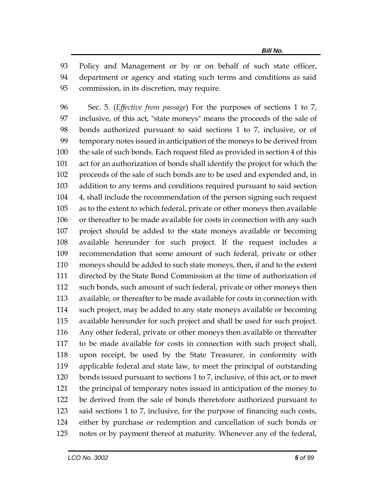Policy and Management or by or on behalf of such state officer, department or agency and stating such terms and conditions as said commission, in its discretion, may require.

 Sec. 5. (*Effective from passage*) For the purposes of sections 1 to 7, inclusive, of this act, "state moneys" means the proceeds of the sale of bonds authorized pursuant to said sections 1 to 7, inclusive, or of temporary notes issued in anticipation of the moneys to be derived from the sale of such bonds. Each request filed as provided in section 4 of this act for an authorization of bonds shall identify the project for which the proceeds of the sale of such bonds are to be used and expended and, in addition to any terms and conditions required pursuant to said section 4, shall include the recommendation of the person signing such request as to the extent to which federal, private or other moneys then available or thereafter to be made available for costs in connection with any such project should be added to the state moneys available or becoming available hereunder for such project. If the request includes a recommendation that some amount of such federal, private or other moneys should be added to such state moneys, then, if and to the extent directed by the State Bond Commission at the time of authorization of such bonds, such amount of such federal, private or other moneys then available, or thereafter to be made available for costs in connection with such project, may be added to any state moneys available or becoming available hereunder for such project and shall be used for such project. Any other federal, private or other moneys then available or thereafter to be made available for costs in connection with such project shall, upon receipt, be used by the State Treasurer, in conformity with applicable federal and state law, to meet the principal of outstanding bonds issued pursuant to sections 1 to 7, inclusive, of this act, or to meet the principal of temporary notes issued in anticipation of the money to be derived from the sale of bonds theretofore authorized pursuant to said sections 1 to 7, inclusive, for the purpose of financing such costs, either by purchase or redemption and cancellation of such bonds or notes or by payment thereof at maturity. Whenever any of the federal,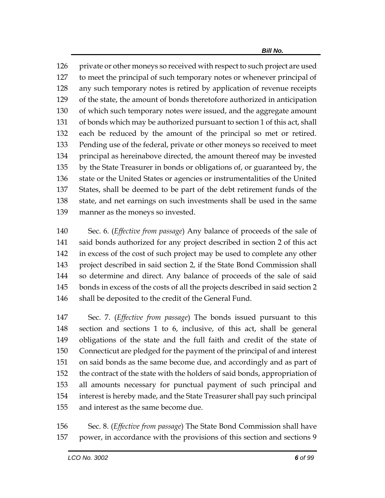126 private or other moneys so received with respect to such project are used to meet the principal of such temporary notes or whenever principal of any such temporary notes is retired by application of revenue receipts of the state, the amount of bonds theretofore authorized in anticipation of which such temporary notes were issued, and the aggregate amount of bonds which may be authorized pursuant to section 1 of this act, shall each be reduced by the amount of the principal so met or retired. Pending use of the federal, private or other moneys so received to meet principal as hereinabove directed, the amount thereof may be invested by the State Treasurer in bonds or obligations of, or guaranteed by, the state or the United States or agencies or instrumentalities of the United States, shall be deemed to be part of the debt retirement funds of the state, and net earnings on such investments shall be used in the same manner as the moneys so invested.

 Sec. 6. (*Effective from passage*) Any balance of proceeds of the sale of said bonds authorized for any project described in section 2 of this act in excess of the cost of such project may be used to complete any other project described in said section 2, if the State Bond Commission shall so determine and direct. Any balance of proceeds of the sale of said bonds in excess of the costs of all the projects described in said section 2 shall be deposited to the credit of the General Fund.

 Sec. 7. (*Effective from passage*) The bonds issued pursuant to this section and sections 1 to 6, inclusive, of this act, shall be general obligations of the state and the full faith and credit of the state of Connecticut are pledged for the payment of the principal of and interest on said bonds as the same become due, and accordingly and as part of the contract of the state with the holders of said bonds, appropriation of all amounts necessary for punctual payment of such principal and interest is hereby made, and the State Treasurer shall pay such principal and interest as the same become due.

 Sec. 8. (*Effective from passage*) The State Bond Commission shall have power, in accordance with the provisions of this section and sections 9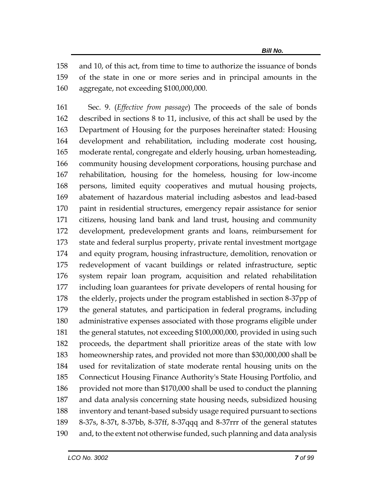and 10, of this act, from time to time to authorize the issuance of bonds of the state in one or more series and in principal amounts in the aggregate, not exceeding \$100,000,000.

 Sec. 9. (*Effective from passage*) The proceeds of the sale of bonds described in sections 8 to 11, inclusive, of this act shall be used by the Department of Housing for the purposes hereinafter stated: Housing development and rehabilitation, including moderate cost housing, moderate rental, congregate and elderly housing, urban homesteading, community housing development corporations, housing purchase and rehabilitation, housing for the homeless, housing for low-income persons, limited equity cooperatives and mutual housing projects, abatement of hazardous material including asbestos and lead-based paint in residential structures, emergency repair assistance for senior citizens, housing land bank and land trust, housing and community development, predevelopment grants and loans, reimbursement for state and federal surplus property, private rental investment mortgage and equity program, housing infrastructure, demolition, renovation or redevelopment of vacant buildings or related infrastructure, septic system repair loan program, acquisition and related rehabilitation including loan guarantees for private developers of rental housing for the elderly, projects under the program established in section 8-37pp of the general statutes, and participation in federal programs, including administrative expenses associated with those programs eligible under the general statutes, not exceeding \$100,000,000, provided in using such proceeds, the department shall prioritize areas of the state with low homeownership rates, and provided not more than \$30,000,000 shall be used for revitalization of state moderate rental housing units on the Connecticut Housing Finance Authority's State Housing Portfolio, and provided not more than \$170,000 shall be used to conduct the planning and data analysis concerning state housing needs, subsidized housing inventory and tenant-based subsidy usage required pursuant to sections 8-37s, 8-37t, 8-37bb, 8-37ff, 8-37qqq and 8-37rrr of the general statutes and, to the extent not otherwise funded, such planning and data analysis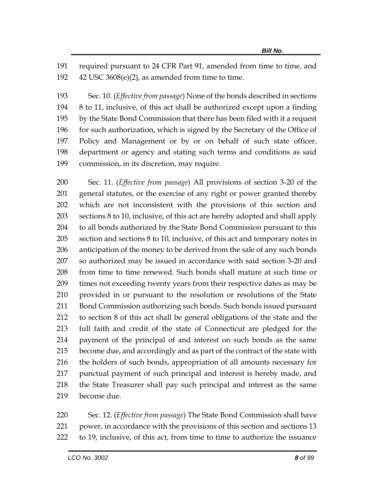required pursuant to 24 CFR Part 91, amended from time to time, and 42 USC 3608(e)(2), as amended from time to time.

 Sec. 10. (*Effective from passage*) None of the bonds described in sections 8 to 11, inclusive, of this act shall be authorized except upon a finding by the State Bond Commission that there has been filed with it a request 196 for such authorization, which is signed by the Secretary of the Office of Policy and Management or by or on behalf of such state officer, department or agency and stating such terms and conditions as said commission, in its discretion, may require.

 Sec. 11. (*Effective from passage*) All provisions of section 3-20 of the general statutes, or the exercise of any right or power granted thereby which are not inconsistent with the provisions of this section and sections 8 to 10, inclusive, of this act are hereby adopted and shall apply to all bonds authorized by the State Bond Commission pursuant to this section and sections 8 to 10, inclusive, of this act and temporary notes in anticipation of the money to be derived from the sale of any such bonds so authorized may be issued in accordance with said section 3-20 and from time to time renewed. Such bonds shall mature at such time or times not exceeding twenty years from their respective dates as may be provided in or pursuant to the resolution or resolutions of the State Bond Commission authorizing such bonds. Such bonds issued pursuant to section 8 of this act shall be general obligations of the state and the full faith and credit of the state of Connecticut are pledged for the payment of the principal of and interest on such bonds as the same become due, and accordingly and as part of the contract of the state with the holders of such bonds, appropriation of all amounts necessary for punctual payment of such principal and interest is hereby made, and the State Treasurer shall pay such principal and interest as the same become due.

 Sec. 12. (*Effective from passage*) The State Bond Commission shall have power, in accordance with the provisions of this section and sections 13 to 19, inclusive, of this act, from time to time to authorize the issuance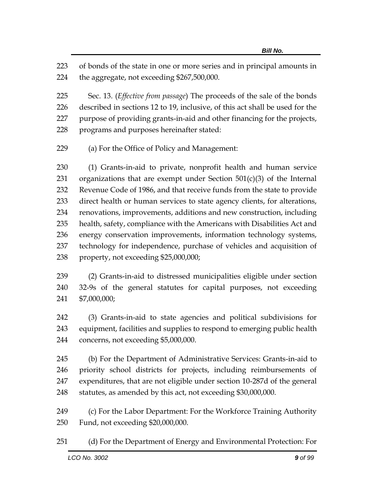of bonds of the state in one or more series and in principal amounts in the aggregate, not exceeding \$267,500,000.

 Sec. 13. (*Effective from passage*) The proceeds of the sale of the bonds described in sections 12 to 19, inclusive, of this act shall be used for the purpose of providing grants-in-aid and other financing for the projects, programs and purposes hereinafter stated:

(a) For the Office of Policy and Management:

 (1) Grants-in-aid to private, nonprofit health and human service 231 organizations that are exempt under Section  $501(c)(3)$  of the Internal Revenue Code of 1986, and that receive funds from the state to provide direct health or human services to state agency clients, for alterations, renovations, improvements, additions and new construction, including health, safety, compliance with the Americans with Disabilities Act and energy conservation improvements, information technology systems, technology for independence, purchase of vehicles and acquisition of property, not exceeding \$25,000,000;

 (2) Grants-in-aid to distressed municipalities eligible under section 32-9s of the general statutes for capital purposes, not exceeding \$7,000,000;

 (3) Grants-in-aid to state agencies and political subdivisions for equipment, facilities and supplies to respond to emerging public health concerns, not exceeding \$5,000,000.

 (b) For the Department of Administrative Services: Grants-in-aid to priority school districts for projects, including reimbursements of expenditures, that are not eligible under section 10-287d of the general statutes, as amended by this act, not exceeding \$30,000,000.

 (c) For the Labor Department: For the Workforce Training Authority Fund, not exceeding \$20,000,000.

(d) For the Department of Energy and Environmental Protection: For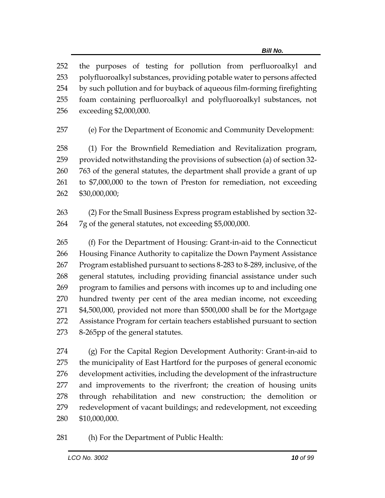the purposes of testing for pollution from perfluoroalkyl and polyfluoroalkyl substances, providing potable water to persons affected by such pollution and for buyback of aqueous film-forming firefighting foam containing perfluoroalkyl and polyfluoroalkyl substances, not exceeding \$2,000,000.

(e) For the Department of Economic and Community Development:

 (1) For the Brownfield Remediation and Revitalization program, provided notwithstanding the provisions of subsection (a) of section 32- 763 of the general statutes, the department shall provide a grant of up to \$7,000,000 to the town of Preston for remediation, not exceeding \$30,000,000;

 (2) For the Small Business Express program established by section 32- 7g of the general statutes, not exceeding \$5,000,000.

 (f) For the Department of Housing: Grant-in-aid to the Connecticut Housing Finance Authority to capitalize the Down Payment Assistance Program established pursuant to sections 8-283 to 8-289, inclusive, of the general statutes, including providing financial assistance under such program to families and persons with incomes up to and including one hundred twenty per cent of the area median income, not exceeding \$4,500,000, provided not more than \$500,000 shall be for the Mortgage Assistance Program for certain teachers established pursuant to section 8-265pp of the general statutes.

 (g) For the Capital Region Development Authority: Grant-in-aid to the municipality of East Hartford for the purposes of general economic development activities, including the development of the infrastructure and improvements to the riverfront; the creation of housing units through rehabilitation and new construction; the demolition or redevelopment of vacant buildings; and redevelopment, not exceeding \$10,000,000.

(h) For the Department of Public Health: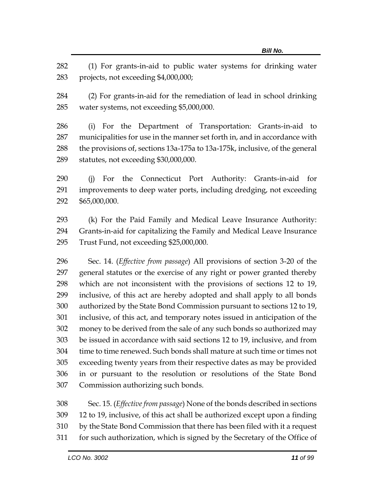(1) For grants-in-aid to public water systems for drinking water projects, not exceeding \$4,000,000;

 (2) For grants-in-aid for the remediation of lead in school drinking water systems, not exceeding \$5,000,000.

 (i) For the Department of Transportation: Grants-in-aid to municipalities for use in the manner set forth in, and in accordance with the provisions of, sections 13a-175a to 13a-175k, inclusive, of the general statutes, not exceeding \$30,000,000.

 (j) For the Connecticut Port Authority: Grants-in-aid for improvements to deep water ports, including dredging, not exceeding \$65,000,000.

 (k) For the Paid Family and Medical Leave Insurance Authority: Grants-in-aid for capitalizing the Family and Medical Leave Insurance Trust Fund, not exceeding \$25,000,000.

 Sec. 14. (*Effective from passage*) All provisions of section 3-20 of the general statutes or the exercise of any right or power granted thereby which are not inconsistent with the provisions of sections 12 to 19, inclusive, of this act are hereby adopted and shall apply to all bonds authorized by the State Bond Commission pursuant to sections 12 to 19, inclusive, of this act, and temporary notes issued in anticipation of the money to be derived from the sale of any such bonds so authorized may be issued in accordance with said sections 12 to 19, inclusive, and from time to time renewed. Such bonds shall mature at such time or times not exceeding twenty years from their respective dates as may be provided in or pursuant to the resolution or resolutions of the State Bond Commission authorizing such bonds.

 Sec. 15. (*Effective from passage*) None of the bonds described in sections 12 to 19, inclusive, of this act shall be authorized except upon a finding by the State Bond Commission that there has been filed with it a request for such authorization, which is signed by the Secretary of the Office of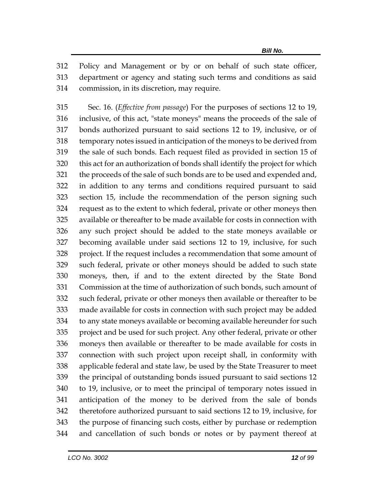Policy and Management or by or on behalf of such state officer, department or agency and stating such terms and conditions as said commission, in its discretion, may require.

 Sec. 16. (*Effective from passage*) For the purposes of sections 12 to 19, inclusive, of this act, "state moneys" means the proceeds of the sale of bonds authorized pursuant to said sections 12 to 19, inclusive, or of temporary notes issued in anticipation of the moneys to be derived from the sale of such bonds. Each request filed as provided in section 15 of this act for an authorization of bonds shall identify the project for which the proceeds of the sale of such bonds are to be used and expended and, in addition to any terms and conditions required pursuant to said section 15, include the recommendation of the person signing such request as to the extent to which federal, private or other moneys then available or thereafter to be made available for costs in connection with any such project should be added to the state moneys available or becoming available under said sections 12 to 19, inclusive, for such project. If the request includes a recommendation that some amount of such federal, private or other moneys should be added to such state moneys, then, if and to the extent directed by the State Bond Commission at the time of authorization of such bonds, such amount of such federal, private or other moneys then available or thereafter to be made available for costs in connection with such project may be added to any state moneys available or becoming available hereunder for such project and be used for such project. Any other federal, private or other moneys then available or thereafter to be made available for costs in connection with such project upon receipt shall, in conformity with applicable federal and state law, be used by the State Treasurer to meet the principal of outstanding bonds issued pursuant to said sections 12 to 19, inclusive, or to meet the principal of temporary notes issued in anticipation of the money to be derived from the sale of bonds theretofore authorized pursuant to said sections 12 to 19, inclusive, for the purpose of financing such costs, either by purchase or redemption and cancellation of such bonds or notes or by payment thereof at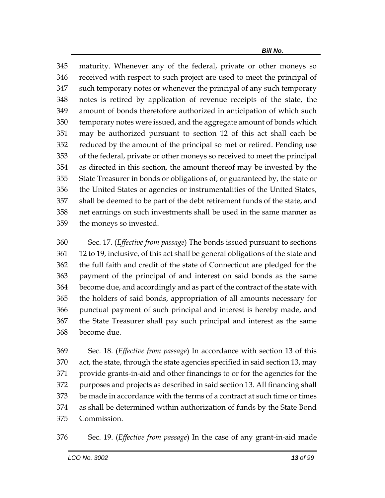maturity. Whenever any of the federal, private or other moneys so received with respect to such project are used to meet the principal of such temporary notes or whenever the principal of any such temporary notes is retired by application of revenue receipts of the state, the amount of bonds theretofore authorized in anticipation of which such temporary notes were issued, and the aggregate amount of bonds which may be authorized pursuant to section 12 of this act shall each be reduced by the amount of the principal so met or retired. Pending use of the federal, private or other moneys so received to meet the principal as directed in this section, the amount thereof may be invested by the State Treasurer in bonds or obligations of, or guaranteed by, the state or the United States or agencies or instrumentalities of the United States, shall be deemed to be part of the debt retirement funds of the state, and net earnings on such investments shall be used in the same manner as the moneys so invested.

 Sec. 17. (*Effective from passage*) The bonds issued pursuant to sections 12 to 19, inclusive, of this act shall be general obligations of the state and the full faith and credit of the state of Connecticut are pledged for the payment of the principal of and interest on said bonds as the same become due, and accordingly and as part of the contract of the state with the holders of said bonds, appropriation of all amounts necessary for punctual payment of such principal and interest is hereby made, and the State Treasurer shall pay such principal and interest as the same become due.

 Sec. 18. (*Effective from passage*) In accordance with section 13 of this act, the state, through the state agencies specified in said section 13, may provide grants-in-aid and other financings to or for the agencies for the purposes and projects as described in said section 13. All financing shall be made in accordance with the terms of a contract at such time or times as shall be determined within authorization of funds by the State Bond Commission.

Sec. 19. (*Effective from passage*) In the case of any grant-in-aid made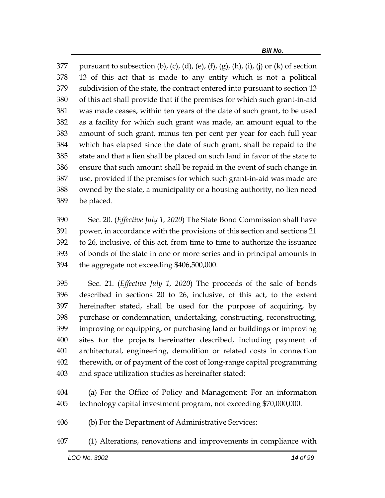377 pursuant to subsection (b), (c), (d), (e), (f), (g), (h), (i), (j) or (k) of section 13 of this act that is made to any entity which is not a political subdivision of the state, the contract entered into pursuant to section 13 of this act shall provide that if the premises for which such grant-in-aid was made ceases, within ten years of the date of such grant, to be used as a facility for which such grant was made, an amount equal to the amount of such grant, minus ten per cent per year for each full year which has elapsed since the date of such grant, shall be repaid to the state and that a lien shall be placed on such land in favor of the state to ensure that such amount shall be repaid in the event of such change in use, provided if the premises for which such grant-in-aid was made are owned by the state, a municipality or a housing authority, no lien need be placed.

 Sec. 20. (*Effective July 1, 2020*) The State Bond Commission shall have power, in accordance with the provisions of this section and sections 21 to 26, inclusive, of this act, from time to time to authorize the issuance of bonds of the state in one or more series and in principal amounts in the aggregate not exceeding \$406,500,000.

 Sec. 21. (*Effective July 1, 2020*) The proceeds of the sale of bonds described in sections 20 to 26, inclusive, of this act, to the extent hereinafter stated, shall be used for the purpose of acquiring, by purchase or condemnation, undertaking, constructing, reconstructing, improving or equipping, or purchasing land or buildings or improving sites for the projects hereinafter described, including payment of architectural, engineering, demolition or related costs in connection therewith, or of payment of the cost of long-range capital programming and space utilization studies as hereinafter stated:

 (a) For the Office of Policy and Management: For an information technology capital investment program, not exceeding \$70,000,000.

(b) For the Department of Administrative Services:

(1) Alterations, renovations and improvements in compliance with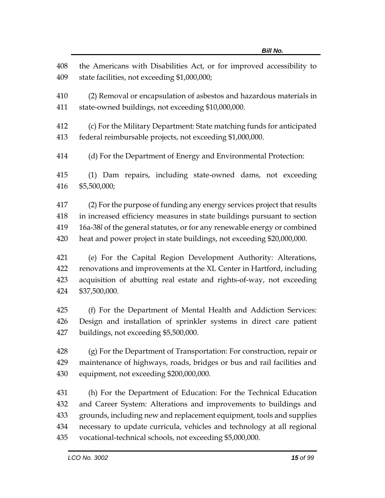| 408<br>409 | the Americans with Disabilities Act, or for improved accessibility to<br>state facilities, not exceeding \$1,000,000;              |
|------------|------------------------------------------------------------------------------------------------------------------------------------|
| 410<br>411 | (2) Removal or encapsulation of asbestos and hazardous materials in<br>state-owned buildings, not exceeding \$10,000,000.          |
| 412<br>413 | (c) For the Military Department: State matching funds for anticipated<br>federal reimbursable projects, not exceeding \$1,000,000. |
| 414        | (d) For the Department of Energy and Environmental Protection:                                                                     |
| 415<br>416 | (1) Dam repairs, including state-owned dams, not exceeding<br>\$5,500,000;                                                         |
| 417        | (2) For the purpose of funding any energy services project that results                                                            |
| 418        | in increased efficiency measures in state buildings pursuant to section                                                            |
| 419        | 16a-38l of the general statutes, or for any renewable energy or combined                                                           |
| 420        | heat and power project in state buildings, not exceeding \$20,000,000.                                                             |
| 421        | (e) For the Capital Region Development Authority: Alterations,                                                                     |
| 422        | renovations and improvements at the XL Center in Hartford, including                                                               |
| 423        | acquisition of abutting real estate and rights-of-way, not exceeding                                                               |
| 424        | \$37,500,000.                                                                                                                      |
| 425        |                                                                                                                                    |
|            | (f) For the Department of Mental Health and Addiction Services:                                                                    |
| 426        | Design and installation of sprinkler systems in direct care patient                                                                |
| 427        | buildings, not exceeding \$5,500,000.                                                                                              |
| 428        | (g) For the Department of Transportation: For construction, repair or                                                              |
| 429        | maintenance of highways, roads, bridges or bus and rail facilities and                                                             |
| 430        | equipment, not exceeding \$200,000,000.                                                                                            |
| 431        | (h) For the Department of Education: For the Technical Education                                                                   |
| 432        | and Career System: Alterations and improvements to buildings and                                                                   |
| 433        | grounds, including new and replacement equipment, tools and supplies                                                               |
| 434        | necessary to update curricula, vehicles and technology at all regional                                                             |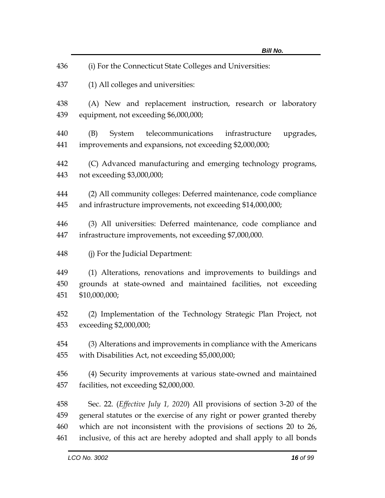| 436        | (i) For the Connecticut State Colleges and Universities:                                                                   |
|------------|----------------------------------------------------------------------------------------------------------------------------|
| 437        | (1) All colleges and universities:                                                                                         |
| 438        | (A) New and replacement instruction, research or laboratory                                                                |
| 439        | equipment, not exceeding \$6,000,000;                                                                                      |
| 440<br>441 | telecommunications infrastructure<br>upgrades,<br>(B)<br>System<br>improvements and expansions, not exceeding \$2,000,000; |
| 442        | (C) Advanced manufacturing and emerging technology programs,                                                               |
| 443        | not exceeding \$3,000,000;                                                                                                 |
| 444        | (2) All community colleges: Deferred maintenance, code compliance                                                          |
| 445        | and infrastructure improvements, not exceeding \$14,000,000;                                                               |
| 446        | (3) All universities: Deferred maintenance, code compliance and                                                            |
| 447        | infrastructure improvements, not exceeding \$7,000,000.                                                                    |
| 448        | (j) For the Judicial Department:                                                                                           |
| 449        | (1) Alterations, renovations and improvements to buildings and                                                             |
| 450        | grounds at state-owned and maintained facilities, not exceeding                                                            |
| 451        | \$10,000,000;                                                                                                              |
| 452        | (2) Implementation of the Technology Strategic Plan Project, not                                                           |
| 453        | exceeding \$2,000,000;                                                                                                     |
| 454        | (3) Alterations and improvements in compliance with the Americans                                                          |
| 455        | with Disabilities Act, not exceeding \$5,000,000;                                                                          |
| 456        | (4) Security improvements at various state-owned and maintained                                                            |
| 457        | facilities, not exceeding \$2,000,000.                                                                                     |
| 458        | Sec. 22. ( <i>Effective July 1, 2020</i> ) All provisions of section 3-20 of the                                           |
| 459        | general statutes or the exercise of any right or power granted thereby                                                     |
| 460        | which are not inconsistent with the provisions of sections 20 to 26,                                                       |
| 461        | inclusive, of this act are hereby adopted and shall apply to all bonds                                                     |
|            | LCO No. 3002<br>16 of 99                                                                                                   |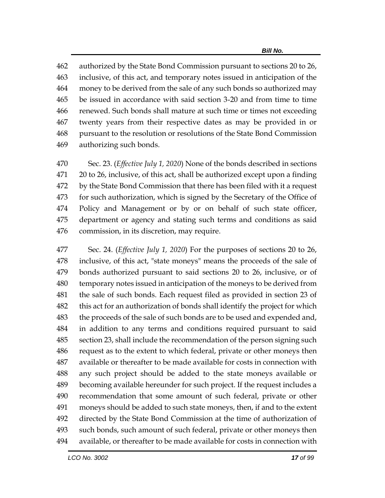authorized by the State Bond Commission pursuant to sections 20 to 26, inclusive, of this act, and temporary notes issued in anticipation of the money to be derived from the sale of any such bonds so authorized may be issued in accordance with said section 3-20 and from time to time renewed. Such bonds shall mature at such time or times not exceeding twenty years from their respective dates as may be provided in or pursuant to the resolution or resolutions of the State Bond Commission authorizing such bonds.

 Sec. 23. (*Effective July 1, 2020*) None of the bonds described in sections 20 to 26, inclusive, of this act, shall be authorized except upon a finding by the State Bond Commission that there has been filed with it a request for such authorization, which is signed by the Secretary of the Office of Policy and Management or by or on behalf of such state officer, department or agency and stating such terms and conditions as said commission, in its discretion, may require.

 Sec. 24. (*Effective July 1, 2020*) For the purposes of sections 20 to 26, inclusive, of this act, "state moneys" means the proceeds of the sale of bonds authorized pursuant to said sections 20 to 26, inclusive, or of temporary notes issued in anticipation of the moneys to be derived from the sale of such bonds. Each request filed as provided in section 23 of this act for an authorization of bonds shall identify the project for which 483 the proceeds of the sale of such bonds are to be used and expended and, in addition to any terms and conditions required pursuant to said section 23, shall include the recommendation of the person signing such request as to the extent to which federal, private or other moneys then available or thereafter to be made available for costs in connection with any such project should be added to the state moneys available or becoming available hereunder for such project. If the request includes a recommendation that some amount of such federal, private or other moneys should be added to such state moneys, then, if and to the extent directed by the State Bond Commission at the time of authorization of such bonds, such amount of such federal, private or other moneys then available, or thereafter to be made available for costs in connection with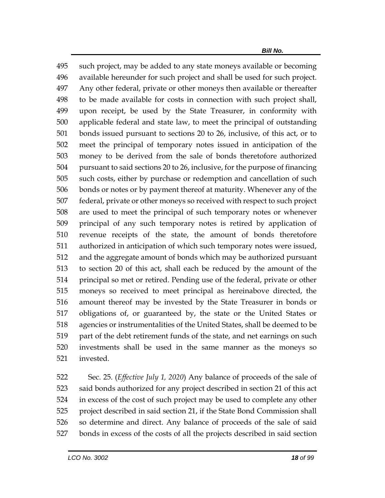such project, may be added to any state moneys available or becoming available hereunder for such project and shall be used for such project. Any other federal, private or other moneys then available or thereafter to be made available for costs in connection with such project shall, upon receipt, be used by the State Treasurer, in conformity with applicable federal and state law, to meet the principal of outstanding bonds issued pursuant to sections 20 to 26, inclusive, of this act, or to meet the principal of temporary notes issued in anticipation of the money to be derived from the sale of bonds theretofore authorized pursuant to said sections 20 to 26, inclusive, for the purpose of financing such costs, either by purchase or redemption and cancellation of such bonds or notes or by payment thereof at maturity. Whenever any of the federal, private or other moneys so received with respect to such project are used to meet the principal of such temporary notes or whenever principal of any such temporary notes is retired by application of revenue receipts of the state, the amount of bonds theretofore authorized in anticipation of which such temporary notes were issued, and the aggregate amount of bonds which may be authorized pursuant to section 20 of this act, shall each be reduced by the amount of the principal so met or retired. Pending use of the federal, private or other moneys so received to meet principal as hereinabove directed, the amount thereof may be invested by the State Treasurer in bonds or obligations of, or guaranteed by, the state or the United States or agencies or instrumentalities of the United States, shall be deemed to be part of the debt retirement funds of the state, and net earnings on such investments shall be used in the same manner as the moneys so invested.

 Sec. 25. (*Effective July 1, 2020*) Any balance of proceeds of the sale of said bonds authorized for any project described in section 21 of this act in excess of the cost of such project may be used to complete any other project described in said section 21, if the State Bond Commission shall so determine and direct. Any balance of proceeds of the sale of said bonds in excess of the costs of all the projects described in said section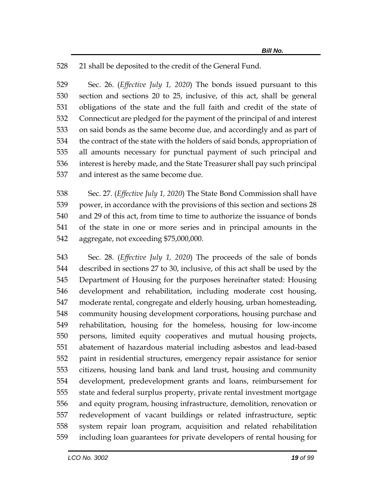21 shall be deposited to the credit of the General Fund.

 Sec. 26. (*Effective July 1, 2020*) The bonds issued pursuant to this section and sections 20 to 25, inclusive, of this act, shall be general obligations of the state and the full faith and credit of the state of Connecticut are pledged for the payment of the principal of and interest on said bonds as the same become due, and accordingly and as part of the contract of the state with the holders of said bonds, appropriation of all amounts necessary for punctual payment of such principal and interest is hereby made, and the State Treasurer shall pay such principal and interest as the same become due.

 Sec. 27. (*Effective July 1, 2020*) The State Bond Commission shall have power, in accordance with the provisions of this section and sections 28 and 29 of this act, from time to time to authorize the issuance of bonds of the state in one or more series and in principal amounts in the aggregate, not exceeding \$75,000,000.

 Sec. 28. (*Effective July 1, 2020*) The proceeds of the sale of bonds described in sections 27 to 30, inclusive, of this act shall be used by the Department of Housing for the purposes hereinafter stated: Housing development and rehabilitation, including moderate cost housing, moderate rental, congregate and elderly housing, urban homesteading, community housing development corporations, housing purchase and rehabilitation, housing for the homeless, housing for low-income persons, limited equity cooperatives and mutual housing projects, abatement of hazardous material including asbestos and lead-based paint in residential structures, emergency repair assistance for senior citizens, housing land bank and land trust, housing and community development, predevelopment grants and loans, reimbursement for state and federal surplus property, private rental investment mortgage and equity program, housing infrastructure, demolition, renovation or redevelopment of vacant buildings or related infrastructure, septic system repair loan program, acquisition and related rehabilitation including loan guarantees for private developers of rental housing for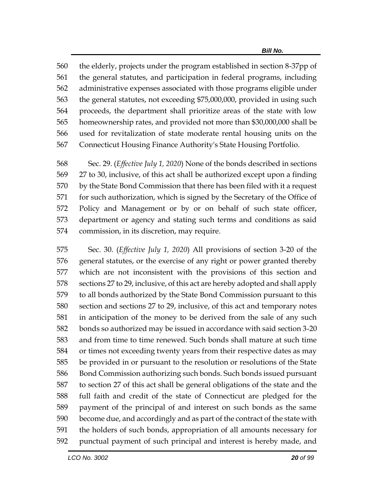the elderly, projects under the program established in section 8-37pp of the general statutes, and participation in federal programs, including administrative expenses associated with those programs eligible under the general statutes, not exceeding \$75,000,000, provided in using such proceeds, the department shall prioritize areas of the state with low homeownership rates, and provided not more than \$30,000,000 shall be used for revitalization of state moderate rental housing units on the Connecticut Housing Finance Authority's State Housing Portfolio.

 Sec. 29. (*Effective July 1, 2020*) None of the bonds described in sections 27 to 30, inclusive, of this act shall be authorized except upon a finding by the State Bond Commission that there has been filed with it a request for such authorization, which is signed by the Secretary of the Office of Policy and Management or by or on behalf of such state officer, department or agency and stating such terms and conditions as said commission, in its discretion, may require.

 Sec. 30. (*Effective July 1, 2020*) All provisions of section 3-20 of the general statutes, or the exercise of any right or power granted thereby which are not inconsistent with the provisions of this section and sections 27 to 29, inclusive, of this act are hereby adopted and shall apply to all bonds authorized by the State Bond Commission pursuant to this section and sections 27 to 29, inclusive, of this act and temporary notes in anticipation of the money to be derived from the sale of any such bonds so authorized may be issued in accordance with said section 3-20 and from time to time renewed. Such bonds shall mature at such time or times not exceeding twenty years from their respective dates as may be provided in or pursuant to the resolution or resolutions of the State Bond Commission authorizing such bonds. Such bonds issued pursuant to section 27 of this act shall be general obligations of the state and the full faith and credit of the state of Connecticut are pledged for the payment of the principal of and interest on such bonds as the same become due, and accordingly and as part of the contract of the state with the holders of such bonds, appropriation of all amounts necessary for punctual payment of such principal and interest is hereby made, and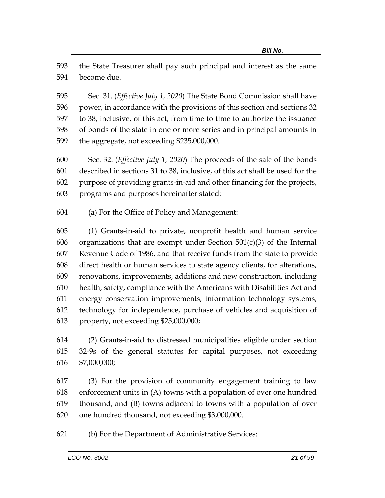the State Treasurer shall pay such principal and interest as the same become due.

 Sec. 31. (*Effective July 1, 2020*) The State Bond Commission shall have power, in accordance with the provisions of this section and sections 32 to 38, inclusive, of this act, from time to time to authorize the issuance of bonds of the state in one or more series and in principal amounts in the aggregate, not exceeding \$235,000,000.

- Sec. 32. (*Effective July 1, 2020*) The proceeds of the sale of the bonds described in sections 31 to 38, inclusive, of this act shall be used for the purpose of providing grants-in-aid and other financing for the projects, programs and purposes hereinafter stated:
- (a) For the Office of Policy and Management:

 (1) Grants-in-aid to private, nonprofit health and human service 606 organizations that are exempt under Section  $501(c)(3)$  of the Internal Revenue Code of 1986, and that receive funds from the state to provide direct health or human services to state agency clients, for alterations, renovations, improvements, additions and new construction, including health, safety, compliance with the Americans with Disabilities Act and energy conservation improvements, information technology systems, technology for independence, purchase of vehicles and acquisition of property, not exceeding \$25,000,000;

 (2) Grants-in-aid to distressed municipalities eligible under section 32-9s of the general statutes for capital purposes, not exceeding \$7,000,000;

 (3) For the provision of community engagement training to law enforcement units in (A) towns with a population of over one hundred thousand, and (B) towns adjacent to towns with a population of over one hundred thousand, not exceeding \$3,000,000.

(b) For the Department of Administrative Services: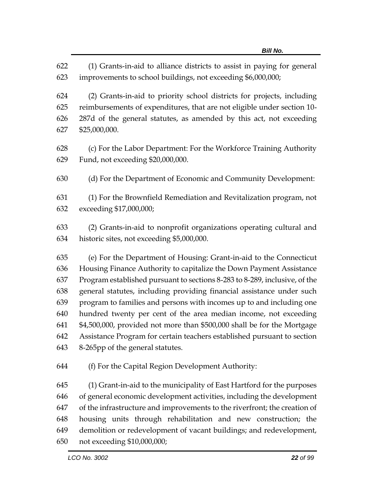(1) Grants-in-aid to alliance districts to assist in paying for general improvements to school buildings, not exceeding \$6,000,000;

 (2) Grants-in-aid to priority school districts for projects, including reimbursements of expenditures, that are not eligible under section 10- 287d of the general statutes, as amended by this act, not exceeding \$25,000,000.

 (c) For the Labor Department: For the Workforce Training Authority Fund, not exceeding \$20,000,000.

(d) For the Department of Economic and Community Development:

 (1) For the Brownfield Remediation and Revitalization program, not exceeding \$17,000,000;

 (2) Grants-in-aid to nonprofit organizations operating cultural and historic sites, not exceeding \$5,000,000.

 (e) For the Department of Housing: Grant-in-aid to the Connecticut Housing Finance Authority to capitalize the Down Payment Assistance Program established pursuant to sections 8-283 to 8-289, inclusive, of the general statutes, including providing financial assistance under such program to families and persons with incomes up to and including one hundred twenty per cent of the area median income, not exceeding \$4,500,000, provided not more than \$500,000 shall be for the Mortgage Assistance Program for certain teachers established pursuant to section 8-265pp of the general statutes.

(f) For the Capital Region Development Authority:

 (1) Grant-in-aid to the municipality of East Hartford for the purposes of general economic development activities, including the development of the infrastructure and improvements to the riverfront; the creation of housing units through rehabilitation and new construction; the demolition or redevelopment of vacant buildings; and redevelopment, not exceeding \$10,000,000;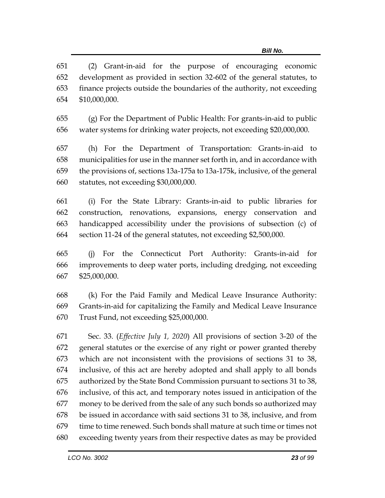(2) Grant-in-aid for the purpose of encouraging economic development as provided in section 32-602 of the general statutes, to finance projects outside the boundaries of the authority, not exceeding \$10,000,000.

 (g) For the Department of Public Health: For grants-in-aid to public water systems for drinking water projects, not exceeding \$20,000,000.

 (h) For the Department of Transportation: Grants-in-aid to municipalities for use in the manner set forth in, and in accordance with the provisions of, sections 13a-175a to 13a-175k, inclusive, of the general statutes, not exceeding \$30,000,000.

 (i) For the State Library: Grants-in-aid to public libraries for construction, renovations, expansions, energy conservation and handicapped accessibility under the provisions of subsection (c) of section 11-24 of the general statutes, not exceeding \$2,500,000.

 (j) For the Connecticut Port Authority: Grants-in-aid for improvements to deep water ports, including dredging, not exceeding \$25,000,000.

 (k) For the Paid Family and Medical Leave Insurance Authority: Grants-in-aid for capitalizing the Family and Medical Leave Insurance Trust Fund, not exceeding \$25,000,000.

 Sec. 33. (*Effective July 1, 2020*) All provisions of section 3-20 of the general statutes or the exercise of any right or power granted thereby which are not inconsistent with the provisions of sections 31 to 38, inclusive, of this act are hereby adopted and shall apply to all bonds authorized by the State Bond Commission pursuant to sections 31 to 38, inclusive, of this act, and temporary notes issued in anticipation of the money to be derived from the sale of any such bonds so authorized may be issued in accordance with said sections 31 to 38, inclusive, and from time to time renewed. Such bonds shall mature at such time or times not exceeding twenty years from their respective dates as may be provided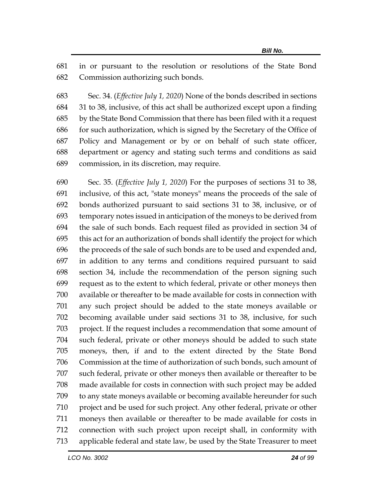in or pursuant to the resolution or resolutions of the State Bond Commission authorizing such bonds.

 Sec. 34. (*Effective July 1, 2020*) None of the bonds described in sections 31 to 38, inclusive, of this act shall be authorized except upon a finding by the State Bond Commission that there has been filed with it a request for such authorization, which is signed by the Secretary of the Office of Policy and Management or by or on behalf of such state officer, department or agency and stating such terms and conditions as said commission, in its discretion, may require.

 Sec. 35. (*Effective July 1, 2020*) For the purposes of sections 31 to 38, inclusive, of this act, "state moneys" means the proceeds of the sale of bonds authorized pursuant to said sections 31 to 38, inclusive, or of temporary notes issued in anticipation of the moneys to be derived from the sale of such bonds. Each request filed as provided in section 34 of this act for an authorization of bonds shall identify the project for which the proceeds of the sale of such bonds are to be used and expended and, in addition to any terms and conditions required pursuant to said section 34, include the recommendation of the person signing such request as to the extent to which federal, private or other moneys then available or thereafter to be made available for costs in connection with any such project should be added to the state moneys available or becoming available under said sections 31 to 38, inclusive, for such project. If the request includes a recommendation that some amount of such federal, private or other moneys should be added to such state moneys, then, if and to the extent directed by the State Bond Commission at the time of authorization of such bonds, such amount of such federal, private or other moneys then available or thereafter to be made available for costs in connection with such project may be added to any state moneys available or becoming available hereunder for such project and be used for such project. Any other federal, private or other moneys then available or thereafter to be made available for costs in connection with such project upon receipt shall, in conformity with applicable federal and state law, be used by the State Treasurer to meet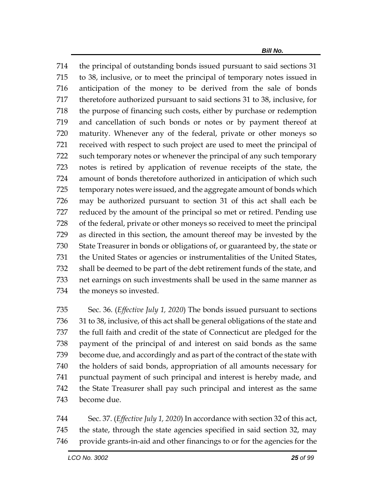the principal of outstanding bonds issued pursuant to said sections 31 to 38, inclusive, or to meet the principal of temporary notes issued in anticipation of the money to be derived from the sale of bonds theretofore authorized pursuant to said sections 31 to 38, inclusive, for the purpose of financing such costs, either by purchase or redemption and cancellation of such bonds or notes or by payment thereof at maturity. Whenever any of the federal, private or other moneys so received with respect to such project are used to meet the principal of such temporary notes or whenever the principal of any such temporary notes is retired by application of revenue receipts of the state, the amount of bonds theretofore authorized in anticipation of which such temporary notes were issued, and the aggregate amount of bonds which may be authorized pursuant to section 31 of this act shall each be reduced by the amount of the principal so met or retired. Pending use of the federal, private or other moneys so received to meet the principal as directed in this section, the amount thereof may be invested by the State Treasurer in bonds or obligations of, or guaranteed by, the state or the United States or agencies or instrumentalities of the United States, shall be deemed to be part of the debt retirement funds of the state, and net earnings on such investments shall be used in the same manner as the moneys so invested.

 Sec. 36. (*Effective July 1, 2020*) The bonds issued pursuant to sections 31 to 38, inclusive, of this act shall be general obligations of the state and the full faith and credit of the state of Connecticut are pledged for the payment of the principal of and interest on said bonds as the same become due, and accordingly and as part of the contract of the state with the holders of said bonds, appropriation of all amounts necessary for punctual payment of such principal and interest is hereby made, and the State Treasurer shall pay such principal and interest as the same become due.

 Sec. 37. (*Effective July 1, 2020*) In accordance with section 32 of this act, the state, through the state agencies specified in said section 32, may provide grants-in-aid and other financings to or for the agencies for the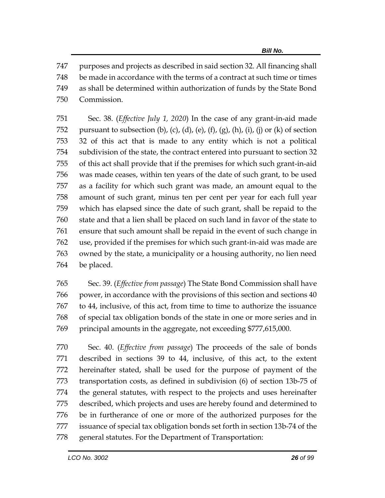purposes and projects as described in said section 32. All financing shall be made in accordance with the terms of a contract at such time or times as shall be determined within authorization of funds by the State Bond Commission.

 Sec. 38. (*Effective July 1, 2020*) In the case of any grant-in-aid made 752 pursuant to subsection (b), (c), (d), (e), (f), (g), (h), (i), (j) or (k) of section 32 of this act that is made to any entity which is not a political subdivision of the state, the contract entered into pursuant to section 32 of this act shall provide that if the premises for which such grant-in-aid was made ceases, within ten years of the date of such grant, to be used as a facility for which such grant was made, an amount equal to the amount of such grant, minus ten per cent per year for each full year which has elapsed since the date of such grant, shall be repaid to the state and that a lien shall be placed on such land in favor of the state to ensure that such amount shall be repaid in the event of such change in use, provided if the premises for which such grant-in-aid was made are owned by the state, a municipality or a housing authority, no lien need be placed.

 Sec. 39. (*Effective from passage*) The State Bond Commission shall have power, in accordance with the provisions of this section and sections 40 to 44, inclusive, of this act, from time to time to authorize the issuance of special tax obligation bonds of the state in one or more series and in principal amounts in the aggregate, not exceeding \$777,615,000.

 Sec. 40. (*Effective from passage*) The proceeds of the sale of bonds described in sections 39 to 44, inclusive, of this act, to the extent hereinafter stated, shall be used for the purpose of payment of the transportation costs, as defined in subdivision (6) of section 13b-75 of the general statutes, with respect to the projects and uses hereinafter described, which projects and uses are hereby found and determined to be in furtherance of one or more of the authorized purposes for the issuance of special tax obligation bonds set forth in section 13b-74 of the general statutes. For the Department of Transportation: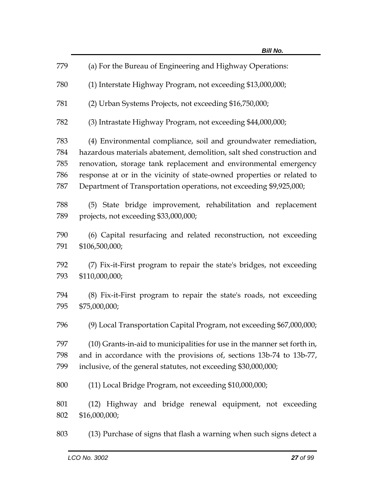| 779 | (a) For the Bureau of Engineering and Highway Operations:                |
|-----|--------------------------------------------------------------------------|
| 780 | (1) Interstate Highway Program, not exceeding \$13,000,000;              |
| 781 | (2) Urban Systems Projects, not exceeding \$16,750,000;                  |
| 782 | (3) Intrastate Highway Program, not exceeding \$44,000,000;              |
| 783 | (4) Environmental compliance, soil and groundwater remediation,          |
| 784 | hazardous materials abatement, demolition, salt shed construction and    |
| 785 | renovation, storage tank replacement and environmental emergency         |
| 786 | response at or in the vicinity of state-owned properties or related to   |
|     |                                                                          |
| 787 | Department of Transportation operations, not exceeding \$9,925,000;      |
| 788 | (5) State bridge improvement, rehabilitation and replacement             |
| 789 |                                                                          |
|     | projects, not exceeding \$33,000,000;                                    |
| 790 | (6) Capital resurfacing and related reconstruction, not exceeding        |
| 791 | \$106,500,000;                                                           |
|     |                                                                          |
| 792 | (7) Fix-it-First program to repair the state's bridges, not exceeding    |
| 793 | \$110,000,000;                                                           |
|     |                                                                          |
| 794 | (8) Fix-it-First program to repair the state's roads, not exceeding      |
| 795 | \$75,000,000;                                                            |
|     |                                                                          |
| 796 | (9) Local Transportation Capital Program, not exceeding \$67,000,000;    |
|     |                                                                          |
| 797 | (10) Grants-in-aid to municipalities for use in the manner set forth in, |
| 798 | and in accordance with the provisions of, sections 13b-74 to 13b-77,     |
| 799 | inclusive, of the general statutes, not exceeding \$30,000,000;          |
|     |                                                                          |
| 800 | (11) Local Bridge Program, not exceeding \$10,000,000;                   |
| 801 | (12) Highway and bridge renewal equipment, not exceeding                 |
| 802 | \$16,000,000;                                                            |
|     |                                                                          |
| 803 | (13) Purchase of signs that flash a warning when such signs detect a     |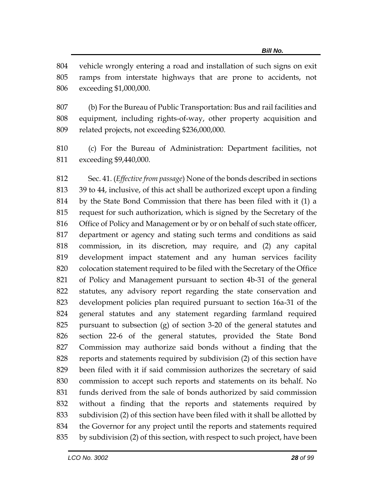vehicle wrongly entering a road and installation of such signs on exit ramps from interstate highways that are prone to accidents, not exceeding \$1,000,000.

 (b) For the Bureau of Public Transportation: Bus and rail facilities and equipment, including rights-of-way, other property acquisition and related projects, not exceeding \$236,000,000.

 (c) For the Bureau of Administration: Department facilities, not exceeding \$9,440,000.

 Sec. 41. (*Effective from passage*) None of the bonds described in sections 39 to 44, inclusive, of this act shall be authorized except upon a finding by the State Bond Commission that there has been filed with it (1) a request for such authorization, which is signed by the Secretary of the Office of Policy and Management or by or on behalf of such state officer, department or agency and stating such terms and conditions as said commission, in its discretion, may require, and (2) any capital development impact statement and any human services facility colocation statement required to be filed with the Secretary of the Office of Policy and Management pursuant to section 4b-31 of the general statutes, any advisory report regarding the state conservation and development policies plan required pursuant to section 16a-31 of the general statutes and any statement regarding farmland required pursuant to subsection (g) of section 3-20 of the general statutes and section 22-6 of the general statutes, provided the State Bond Commission may authorize said bonds without a finding that the reports and statements required by subdivision (2) of this section have been filed with it if said commission authorizes the secretary of said commission to accept such reports and statements on its behalf. No funds derived from the sale of bonds authorized by said commission without a finding that the reports and statements required by subdivision (2) of this section have been filed with it shall be allotted by the Governor for any project until the reports and statements required by subdivision (2) of this section, with respect to such project, have been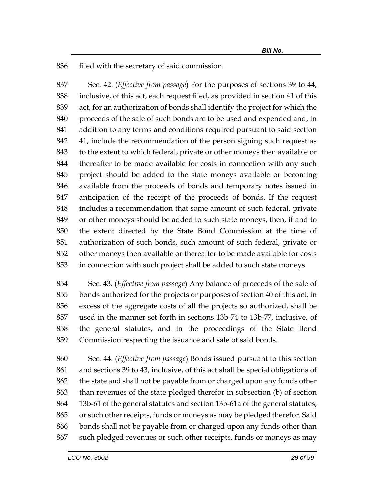836 filed with the secretary of said commission.

 Sec. 42. (*Effective from passage*) For the purposes of sections 39 to 44, inclusive, of this act, each request filed, as provided in section 41 of this act, for an authorization of bonds shall identify the project for which the proceeds of the sale of such bonds are to be used and expended and, in addition to any terms and conditions required pursuant to said section 41, include the recommendation of the person signing such request as to the extent to which federal, private or other moneys then available or thereafter to be made available for costs in connection with any such project should be added to the state moneys available or becoming available from the proceeds of bonds and temporary notes issued in anticipation of the receipt of the proceeds of bonds. If the request includes a recommendation that some amount of such federal, private or other moneys should be added to such state moneys, then, if and to the extent directed by the State Bond Commission at the time of authorization of such bonds, such amount of such federal, private or other moneys then available or thereafter to be made available for costs in connection with such project shall be added to such state moneys.

 Sec. 43. (*Effective from passage*) Any balance of proceeds of the sale of bonds authorized for the projects or purposes of section 40 of this act, in excess of the aggregate costs of all the projects so authorized, shall be used in the manner set forth in sections 13b-74 to 13b-77, inclusive, of the general statutes, and in the proceedings of the State Bond Commission respecting the issuance and sale of said bonds.

 Sec. 44. (*Effective from passage*) Bonds issued pursuant to this section and sections 39 to 43, inclusive, of this act shall be special obligations of the state and shall not be payable from or charged upon any funds other than revenues of the state pledged therefor in subsection (b) of section 13b-61 of the general statutes and section 13b-61a of the general statutes, or such other receipts, funds or moneys as may be pledged therefor. Said bonds shall not be payable from or charged upon any funds other than such pledged revenues or such other receipts, funds or moneys as may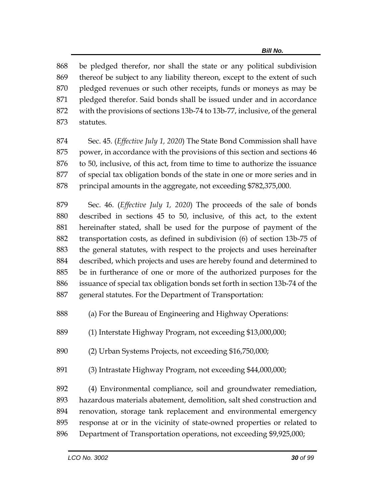be pledged therefor, nor shall the state or any political subdivision thereof be subject to any liability thereon, except to the extent of such pledged revenues or such other receipts, funds or moneys as may be pledged therefor. Said bonds shall be issued under and in accordance with the provisions of sections 13b-74 to 13b-77, inclusive, of the general statutes.

 Sec. 45. (*Effective July 1, 2020*) The State Bond Commission shall have power, in accordance with the provisions of this section and sections 46 to 50, inclusive, of this act, from time to time to authorize the issuance of special tax obligation bonds of the state in one or more series and in 878 principal amounts in the aggregate, not exceeding \$782,375,000.

 Sec. 46. (*Effective July 1, 2020*) The proceeds of the sale of bonds described in sections 45 to 50, inclusive, of this act, to the extent hereinafter stated, shall be used for the purpose of payment of the transportation costs, as defined in subdivision (6) of section 13b-75 of the general statutes, with respect to the projects and uses hereinafter described, which projects and uses are hereby found and determined to be in furtherance of one or more of the authorized purposes for the issuance of special tax obligation bonds set forth in section 13b-74 of the general statutes. For the Department of Transportation:

(a) For the Bureau of Engineering and Highway Operations:

(1) Interstate Highway Program, not exceeding \$13,000,000;

(2) Urban Systems Projects, not exceeding \$16,750,000;

(3) Intrastate Highway Program, not exceeding \$44,000,000;

 (4) Environmental compliance, soil and groundwater remediation, hazardous materials abatement, demolition, salt shed construction and renovation, storage tank replacement and environmental emergency response at or in the vicinity of state-owned properties or related to Department of Transportation operations, not exceeding \$9,925,000;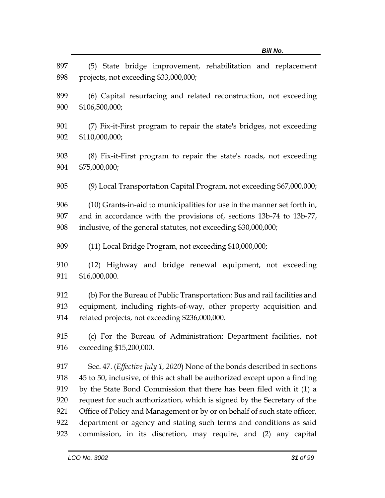| 897<br>898        | (5) State bridge improvement, rehabilitation and replacement<br>projects, not exceeding \$33,000,000;                                                                                                               |
|-------------------|---------------------------------------------------------------------------------------------------------------------------------------------------------------------------------------------------------------------|
| 899<br>900        | (6) Capital resurfacing and related reconstruction, not exceeding<br>\$106,500,000;                                                                                                                                 |
| 901<br>902        | (7) Fix-it-First program to repair the state's bridges, not exceeding<br>\$110,000,000;                                                                                                                             |
| 903<br>904        | (8) Fix-it-First program to repair the state's roads, not exceeding<br>\$75,000,000;                                                                                                                                |
| 905               | (9) Local Transportation Capital Program, not exceeding \$67,000,000;                                                                                                                                               |
| 906<br>907<br>908 | (10) Grants-in-aid to municipalities for use in the manner set forth in,<br>and in accordance with the provisions of, sections 13b-74 to 13b-77,<br>inclusive, of the general statutes, not exceeding \$30,000,000; |
| 909               | (11) Local Bridge Program, not exceeding \$10,000,000;                                                                                                                                                              |
| 910<br>911        | (12) Highway and bridge renewal equipment, not exceeding<br>\$16,000,000.                                                                                                                                           |
| 912<br>913<br>914 | (b) For the Bureau of Public Transportation: Bus and rail facilities and<br>equipment, including rights-of-way, other property acquisition and<br>related projects, not exceeding \$236,000,000.                    |
| 915<br>916        | (c) For the Bureau of Administration: Department facilities, not<br>exceeding \$15,200,000.                                                                                                                         |
| 917               | Sec. 47. ( <i>Effective July 1, 2020</i> ) None of the bonds described in sections                                                                                                                                  |
| 918               | 45 to 50, inclusive, of this act shall be authorized except upon a finding                                                                                                                                          |
| 919               | by the State Bond Commission that there has been filed with it (1) a                                                                                                                                                |
| 920               | request for such authorization, which is signed by the Secretary of the                                                                                                                                             |
| 921               | Office of Policy and Management or by or on behalf of such state officer,                                                                                                                                           |
| 922               | department or agency and stating such terms and conditions as said                                                                                                                                                  |
| 923               | commission, in its discretion, may require, and (2) any capital                                                                                                                                                     |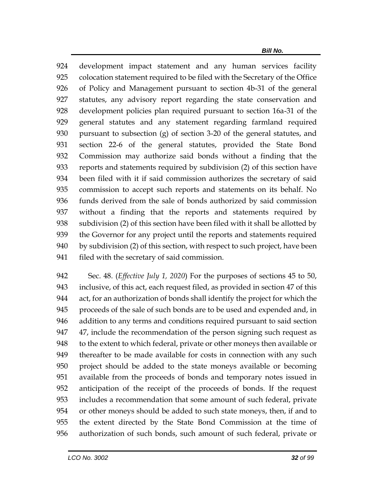*Bill No.*

 development impact statement and any human services facility colocation statement required to be filed with the Secretary of the Office of Policy and Management pursuant to section 4b-31 of the general statutes, any advisory report regarding the state conservation and development policies plan required pursuant to section 16a-31 of the general statutes and any statement regarding farmland required pursuant to subsection (g) of section 3-20 of the general statutes, and section 22-6 of the general statutes, provided the State Bond Commission may authorize said bonds without a finding that the reports and statements required by subdivision (2) of this section have been filed with it if said commission authorizes the secretary of said commission to accept such reports and statements on its behalf. No funds derived from the sale of bonds authorized by said commission without a finding that the reports and statements required by subdivision (2) of this section have been filed with it shall be allotted by the Governor for any project until the reports and statements required by subdivision (2) of this section, with respect to such project, have been filed with the secretary of said commission.

 Sec. 48. (*Effective July 1, 2020*) For the purposes of sections 45 to 50, inclusive, of this act, each request filed, as provided in section 47 of this act, for an authorization of bonds shall identify the project for which the proceeds of the sale of such bonds are to be used and expended and, in addition to any terms and conditions required pursuant to said section 47, include the recommendation of the person signing such request as to the extent to which federal, private or other moneys then available or thereafter to be made available for costs in connection with any such project should be added to the state moneys available or becoming available from the proceeds of bonds and temporary notes issued in anticipation of the receipt of the proceeds of bonds. If the request includes a recommendation that some amount of such federal, private or other moneys should be added to such state moneys, then, if and to the extent directed by the State Bond Commission at the time of authorization of such bonds, such amount of such federal, private or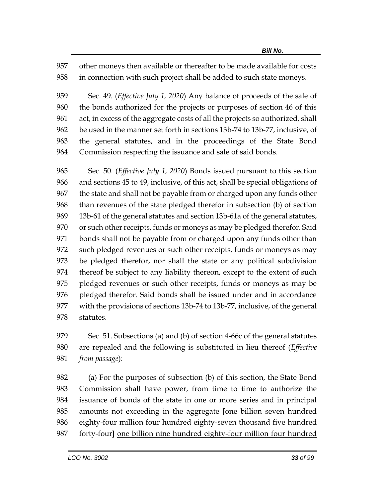other moneys then available or thereafter to be made available for costs in connection with such project shall be added to such state moneys.

 Sec. 49. (*Effective July 1, 2020*) Any balance of proceeds of the sale of the bonds authorized for the projects or purposes of section 46 of this act, in excess of the aggregate costs of all the projects so authorized, shall be used in the manner set forth in sections 13b-74 to 13b-77, inclusive, of the general statutes, and in the proceedings of the State Bond Commission respecting the issuance and sale of said bonds.

 Sec. 50. (*Effective July 1, 2020*) Bonds issued pursuant to this section and sections 45 to 49, inclusive, of this act, shall be special obligations of the state and shall not be payable from or charged upon any funds other than revenues of the state pledged therefor in subsection (b) of section 13b-61 of the general statutes and section 13b-61a of the general statutes, or such other receipts, funds or moneys as may be pledged therefor. Said bonds shall not be payable from or charged upon any funds other than such pledged revenues or such other receipts, funds or moneys as may be pledged therefor, nor shall the state or any political subdivision thereof be subject to any liability thereon, except to the extent of such pledged revenues or such other receipts, funds or moneys as may be pledged therefor. Said bonds shall be issued under and in accordance with the provisions of sections 13b-74 to 13b-77, inclusive, of the general statutes.

 Sec. 51. Subsections (a) and (b) of section 4-66c of the general statutes are repealed and the following is substituted in lieu thereof (*Effective from passage*):

 (a) For the purposes of subsection (b) of this section, the State Bond Commission shall have power, from time to time to authorize the issuance of bonds of the state in one or more series and in principal amounts not exceeding in the aggregate **[**one billion seven hundred eighty-four million four hundred eighty-seven thousand five hundred forty-four**]** one billion nine hundred eighty-four million four hundred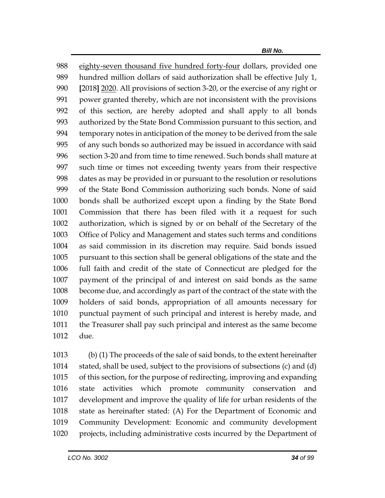eighty-seven thousand five hundred forty-four dollars, provided one hundred million dollars of said authorization shall be effective July 1, **[**2018**]** 2020. All provisions of section 3-20, or the exercise of any right or power granted thereby, which are not inconsistent with the provisions of this section, are hereby adopted and shall apply to all bonds authorized by the State Bond Commission pursuant to this section, and temporary notes in anticipation of the money to be derived from the sale of any such bonds so authorized may be issued in accordance with said section 3-20 and from time to time renewed. Such bonds shall mature at such time or times not exceeding twenty years from their respective dates as may be provided in or pursuant to the resolution or resolutions of the State Bond Commission authorizing such bonds. None of said bonds shall be authorized except upon a finding by the State Bond Commission that there has been filed with it a request for such authorization, which is signed by or on behalf of the Secretary of the Office of Policy and Management and states such terms and conditions as said commission in its discretion may require. Said bonds issued pursuant to this section shall be general obligations of the state and the full faith and credit of the state of Connecticut are pledged for the payment of the principal of and interest on said bonds as the same become due, and accordingly as part of the contract of the state with the holders of said bonds, appropriation of all amounts necessary for punctual payment of such principal and interest is hereby made, and the Treasurer shall pay such principal and interest as the same become due.

 (b) (1) The proceeds of the sale of said bonds, to the extent hereinafter stated, shall be used, subject to the provisions of subsections (c) and (d) of this section, for the purpose of redirecting, improving and expanding state activities which promote community conservation and development and improve the quality of life for urban residents of the state as hereinafter stated: (A) For the Department of Economic and Community Development: Economic and community development projects, including administrative costs incurred by the Department of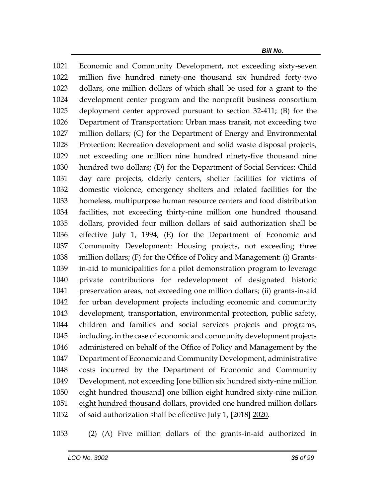Economic and Community Development, not exceeding sixty-seven million five hundred ninety-one thousand six hundred forty-two dollars, one million dollars of which shall be used for a grant to the development center program and the nonprofit business consortium deployment center approved pursuant to section 32-411; (B) for the Department of Transportation: Urban mass transit, not exceeding two million dollars; (C) for the Department of Energy and Environmental Protection: Recreation development and solid waste disposal projects, not exceeding one million nine hundred ninety-five thousand nine hundred two dollars; (D) for the Department of Social Services: Child day care projects, elderly centers, shelter facilities for victims of domestic violence, emergency shelters and related facilities for the homeless, multipurpose human resource centers and food distribution facilities, not exceeding thirty-nine million one hundred thousand dollars, provided four million dollars of said authorization shall be effective July 1, 1994; (E) for the Department of Economic and Community Development: Housing projects, not exceeding three million dollars; (F) for the Office of Policy and Management: (i) Grants- in-aid to municipalities for a pilot demonstration program to leverage private contributions for redevelopment of designated historic preservation areas, not exceeding one million dollars; (ii) grants-in-aid for urban development projects including economic and community development, transportation, environmental protection, public safety, children and families and social services projects and programs, including, in the case of economic and community development projects administered on behalf of the Office of Policy and Management by the Department of Economic and Community Development, administrative costs incurred by the Department of Economic and Community Development, not exceeding **[**one billion six hundred sixty-nine million eight hundred thousand**]** one billion eight hundred sixty-nine million 1051 eight hundred thousand dollars, provided one hundred million dollars of said authorization shall be effective July 1, **[**2018**]** 2020.

(2) (A) Five million dollars of the grants-in-aid authorized in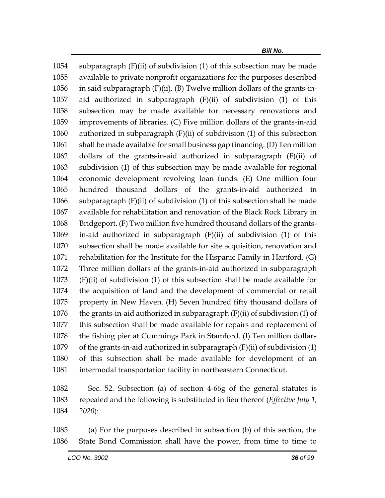subparagraph (F)(ii) of subdivision (1) of this subsection may be made available to private nonprofit organizations for the purposes described in said subparagraph (F)(ii). (B) Twelve million dollars of the grants-in- aid authorized in subparagraph (F)(ii) of subdivision (1) of this subsection may be made available for necessary renovations and improvements of libraries. (C) Five million dollars of the grants-in-aid authorized in subparagraph (F)(ii) of subdivision (1) of this subsection shall be made available for small business gap financing. (D) Ten million dollars of the grants-in-aid authorized in subparagraph (F)(ii) of subdivision (1) of this subsection may be made available for regional economic development revolving loan funds. (E) One million four hundred thousand dollars of the grants-in-aid authorized in subparagraph (F)(ii) of subdivision (1) of this subsection shall be made available for rehabilitation and renovation of the Black Rock Library in Bridgeport. (F) Two million five hundred thousand dollars of the grants- in-aid authorized in subparagraph (F)(ii) of subdivision (1) of this subsection shall be made available for site acquisition, renovation and rehabilitation for the Institute for the Hispanic Family in Hartford. (G) Three million dollars of the grants-in-aid authorized in subparagraph (F)(ii) of subdivision (1) of this subsection shall be made available for the acquisition of land and the development of commercial or retail property in New Haven. (H) Seven hundred fifty thousand dollars of the grants-in-aid authorized in subparagraph (F)(ii) of subdivision (1) of this subsection shall be made available for repairs and replacement of the fishing pier at Cummings Park in Stamford. (I) Ten million dollars of the grants-in-aid authorized in subparagraph (F)(ii) of subdivision (1) of this subsection shall be made available for development of an intermodal transportation facility in northeastern Connecticut.

 Sec. 52. Subsection (a) of section 4-66g of the general statutes is repealed and the following is substituted in lieu thereof (*Effective July 1, 2020*):

 (a) For the purposes described in subsection (b) of this section, the State Bond Commission shall have the power, from time to time to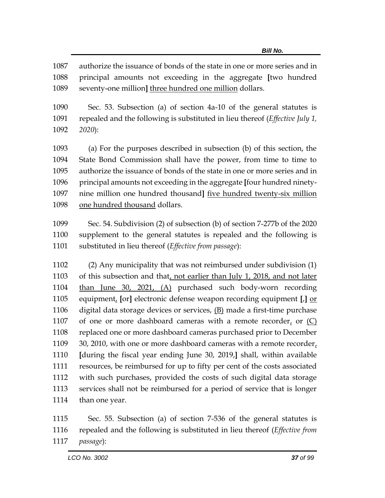authorize the issuance of bonds of the state in one or more series and in principal amounts not exceeding in the aggregate **[**two hundred seventy-one million**]** three hundred one million dollars.

 Sec. 53. Subsection (a) of section 4a-10 of the general statutes is repealed and the following is substituted in lieu thereof (*Effective July 1, 2020*):

 (a) For the purposes described in subsection (b) of this section, the State Bond Commission shall have the power, from time to time to authorize the issuance of bonds of the state in one or more series and in principal amounts not exceeding in the aggregate **[**four hundred ninety- nine million one hundred thousand**]** five hundred twenty-six million one hundred thousand dollars.

 Sec. 54. Subdivision (2) of subsection (b) of section 7-277b of the 2020 supplement to the general statutes is repealed and the following is substituted in lieu thereof (*Effective from passage*):

 (2) Any municipality that was not reimbursed under subdivision (1) of this subsection and that, not earlier than July 1, 2018, and not later than June 30, 2021, (A) purchased such body-worn recording equipment, **[**or**]** electronic defense weapon recording equipment **[**,**]** or digital data storage devices or services, (B) made a first-time purchase 1107 of one or more dashboard cameras with a remote recorder, or  $(C)$  replaced one or more dashboard cameras purchased prior to December 30, 2010, with one or more dashboard cameras with a remote recorder, **[**during the fiscal year ending June 30, 2019,**]** shall, within available resources, be reimbursed for up to fifty per cent of the costs associated with such purchases, provided the costs of such digital data storage services shall not be reimbursed for a period of service that is longer than one year.

 Sec. 55. Subsection (a) of section 7-536 of the general statutes is repealed and the following is substituted in lieu thereof (*Effective from passage*):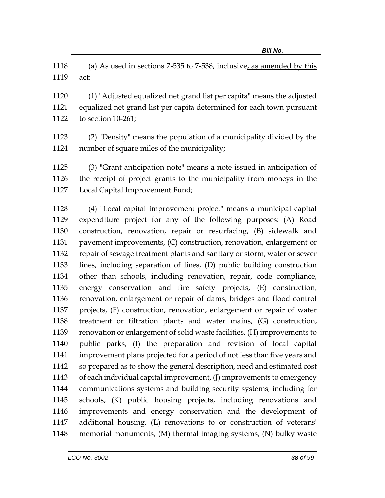(a) As used in sections 7-535 to 7-538, inclusive, as amended by this act:

 (1) "Adjusted equalized net grand list per capita" means the adjusted equalized net grand list per capita determined for each town pursuant to section 10-261;

 (2) "Density" means the population of a municipality divided by the number of square miles of the municipality;

 (3) "Grant anticipation note" means a note issued in anticipation of the receipt of project grants to the municipality from moneys in the Local Capital Improvement Fund;

 (4) "Local capital improvement project" means a municipal capital expenditure project for any of the following purposes: (A) Road construction, renovation, repair or resurfacing, (B) sidewalk and pavement improvements, (C) construction, renovation, enlargement or repair of sewage treatment plants and sanitary or storm, water or sewer lines, including separation of lines, (D) public building construction other than schools, including renovation, repair, code compliance, energy conservation and fire safety projects, (E) construction, renovation, enlargement or repair of dams, bridges and flood control projects, (F) construction, renovation, enlargement or repair of water treatment or filtration plants and water mains, (G) construction, renovation or enlargement of solid waste facilities, (H) improvements to public parks, (I) the preparation and revision of local capital improvement plans projected for a period of not less than five years and so prepared as to show the general description, need and estimated cost of each individual capital improvement, (J) improvements to emergency communications systems and building security systems, including for schools, (K) public housing projects, including renovations and improvements and energy conservation and the development of additional housing, (L) renovations to or construction of veterans' memorial monuments, (M) thermal imaging systems, (N) bulky waste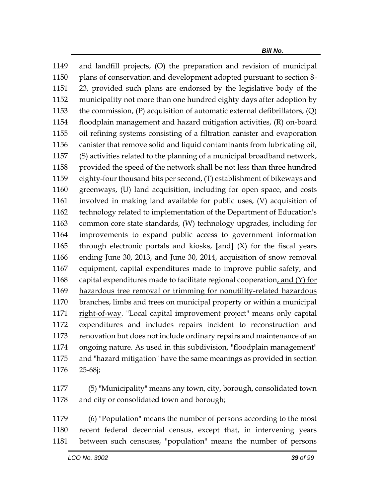and landfill projects, (O) the preparation and revision of municipal plans of conservation and development adopted pursuant to section 8- 23, provided such plans are endorsed by the legislative body of the municipality not more than one hundred eighty days after adoption by the commission, (P) acquisition of automatic external defibrillators, (Q) floodplain management and hazard mitigation activities, (R) on-board oil refining systems consisting of a filtration canister and evaporation canister that remove solid and liquid contaminants from lubricating oil, (S) activities related to the planning of a municipal broadband network, provided the speed of the network shall be not less than three hundred eighty-four thousand bits per second, (T) establishment of bikeways and greenways, (U) land acquisition, including for open space, and costs involved in making land available for public uses, (V) acquisition of technology related to implementation of the Department of Education's common core state standards, (W) technology upgrades, including for improvements to expand public access to government information through electronic portals and kiosks, **[**and**]** (X) for the fiscal years ending June 30, 2013, and June 30, 2014, acquisition of snow removal equipment, capital expenditures made to improve public safety, and 1168 capital expenditures made to facilitate regional cooperation, and  $(Y)$  for hazardous tree removal or trimming for nonutility-related hazardous branches, limbs and trees on municipal property or within a municipal 1171 right-of-way. "Local capital improvement project" means only capital expenditures and includes repairs incident to reconstruction and renovation but does not include ordinary repairs and maintenance of an ongoing nature. As used in this subdivision, "floodplain management" and "hazard mitigation" have the same meanings as provided in section 25-68j;

 (5) "Municipality" means any town, city, borough, consolidated town and city or consolidated town and borough;

 (6) "Population" means the number of persons according to the most recent federal decennial census, except that, in intervening years between such censuses, "population" means the number of persons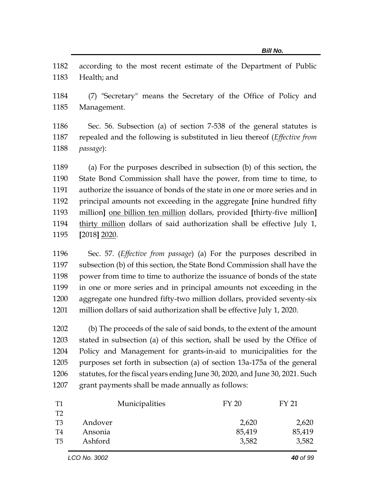according to the most recent estimate of the Department of Public Health; and

 (7) "Secretary" means the Secretary of the Office of Policy and Management.

 Sec. 56. Subsection (a) of section 7-538 of the general statutes is repealed and the following is substituted in lieu thereof (*Effective from passage*):

 (a) For the purposes described in subsection (b) of this section, the State Bond Commission shall have the power, from time to time, to authorize the issuance of bonds of the state in one or more series and in principal amounts not exceeding in the aggregate **[**nine hundred fifty million**]** one billion ten million dollars, provided **[**thirty-five million**]** thirty million dollars of said authorization shall be effective July 1, **[**2018**]** 2020.

 Sec. 57. (*Effective from passage*) (a) For the purposes described in subsection (b) of this section, the State Bond Commission shall have the power from time to time to authorize the issuance of bonds of the state in one or more series and in principal amounts not exceeding in the aggregate one hundred fifty-two million dollars, provided seventy-six million dollars of said authorization shall be effective July 1, 2020.

 (b) The proceeds of the sale of said bonds, to the extent of the amount stated in subsection (a) of this section, shall be used by the Office of Policy and Management for grants-in-aid to municipalities for the purposes set forth in subsection (a) of section 13a-175a of the general statutes, for the fiscal years ending June 30, 2020, and June 30, 2021. Such grant payments shall be made annually as follows:

| T1 | Municipalities | FY 20  | FY 21  |
|----|----------------|--------|--------|
| T2 |                |        |        |
| T3 | Andover        | 2,620  | 2,620  |
| T4 | Ansonia        | 85,419 | 85,419 |
| T5 | Ashford        | 3,582  | 3,582  |
|    |                |        |        |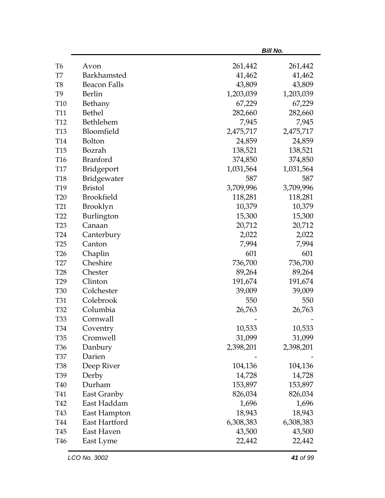|                     |             | <b>Bill No.</b> |
|---------------------|-------------|-----------------|
| Avon                | 261,442     | 261,442         |
| Barkhamsted         | 41,462      | 41,462          |
| <b>Beacon Falls</b> | 43,809      | 43,809          |
| Berlin              | 1,203,039   | 1,203,039       |
| Bethany             | 67,229      | 67,229          |
| <b>Bethel</b>       | 282,660     | 282,660         |
| Bethlehem           | 7,945       | 7,945           |
| Bloomfield          | 2,475,717   | 2,475,717       |
| Bolton              | 24,859      | 24,859          |
| Bozrah              | 138,521     | 138,521         |
| <b>Branford</b>     | 374,850     | 374,850         |
| Bridgeport          | 1,031,564   | 1,031,564       |
|                     | 587         | 587             |
| <b>Bristol</b>      | 3,709,996   | 3,709,996       |
| Brookfield          | 118,281     | 118,281         |
| <b>Brooklyn</b>     | 10,379      | 10,379          |
| Burlington          | 15,300      | 15,300          |
| Canaan              | 20,712      | 20,712          |
| Canterbury          | 2,022       | 2,022           |
| Canton              | 7,994       | 7,994           |
| Chaplin             | 601         | 601             |
| Cheshire            | 736,700     | 736,700         |
| Chester             | 89,264      | 89,264          |
| Clinton             | 191,674     | 191,674         |
| Colchester          | 39,009      | 39,009          |
| Colebrook           | 550         | 550             |
| Columbia            | 26,763      | 26,763          |
| Cornwall            |             |                 |
| Coventry            | 10,533      | 10,533          |
| Cromwell            | 31,099      | 31,099          |
| Danbury             | 2,398,201   | 2,398,201       |
| Darien              |             |                 |
| Deep River          | 104,136     | 104,136         |
| Derby               | 14,728      | 14,728          |
| Durham              | 153,897     | 153,897         |
| East Granby         | 826,034     | 826,034         |
| East Haddam         | 1,696       | 1,696           |
| East Hampton        | 18,943      | 18,943          |
| East Hartford       | 6,308,383   | 6,308,383       |
| East Haven          | 43,500      | 43,500          |
| East Lyme           | 22,442      | 22,442          |
|                     | Bridgewater |                 |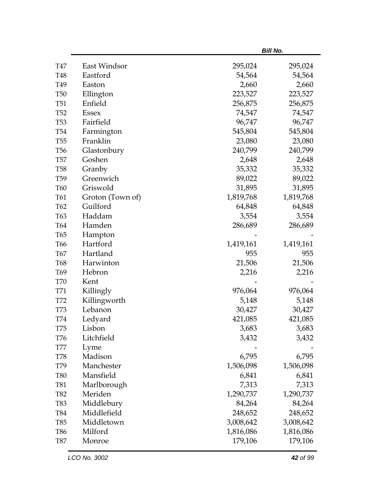|                              |                  |           | <b>Bill No.</b> |
|------------------------------|------------------|-----------|-----------------|
| <b>T47</b>                   | East Windsor     | 295,024   | 295,024         |
| <b>T48</b>                   | Eastford         | 54,564    | 54,564          |
| T49                          | Easton           | 2,660     | 2,660           |
| <b>T50</b>                   | Ellington        | 223,527   | 223,527         |
| <b>T51</b>                   | Enfield          | 256,875   | 256,875         |
| T <sub>52</sub>              | <b>Essex</b>     | 74,547    | 74,547          |
| <b>T53</b>                   | Fairfield        | 96,747    | 96,747          |
| T <sub>54</sub>              | Farmington       | 545,804   | 545,804         |
| <b>T55</b>                   | Franklin         | 23,080    | 23,080          |
| <b>T56</b>                   | Glastonbury      | 240,799   | 240,799         |
| <b>T57</b>                   | Goshen           | 2,648     | 2,648           |
| <b>T58</b>                   | Granby           | 35,332    | 35,332          |
| T <sub>59</sub>              | Greenwich        | 89,022    | 89,022          |
| <b>T60</b>                   | Griswold         | 31,895    | 31,895          |
| T61                          | Groton (Town of) | 1,819,768 | 1,819,768       |
| T62                          | Guilford         | 64,848    | 64,848          |
| T63                          | Haddam           | 3,554     | 3,554           |
| T64                          | Hamden           | 286,689   | 286,689         |
| T65                          | Hampton          |           |                 |
| T <sub>66</sub>              | Hartford         | 1,419,161 | 1,419,161       |
| <b>T67</b>                   | Hartland         | 955       | 955             |
| <b>T68</b>                   | Harwinton        | 21,506    | 21,506          |
| T <sub>69</sub>              | Hebron           | 2,216     | 2,216           |
| <b>T70</b>                   | Kent             |           |                 |
| T71                          | Killingly        | 976,064   | 976,064         |
| T72                          | Killingworth     | 5,148     | 5,148           |
| <b>T73</b>                   | Lebanon          | 30,427    | 30,427          |
| <b>T74</b>                   | Ledyard          | 421,085   | 421,085         |
| T75                          | Lisbon           | 3,683     | 3,683           |
| T76                          | Litchfield       | 3,432     | 3,432           |
| $\ensuremath{\mathcal{T}}77$ | Lyme             |           |                 |
| <b>T78</b>                   | Madison          | 6,795     | 6,795           |
| T79                          | Manchester       | 1,506,098 | 1,506,098       |
| <b>T80</b>                   | Mansfield        | 6,841     | 6,841           |
| <b>T81</b>                   | Marlborough      | 7,313     | 7,313           |
| <b>T82</b>                   | Meriden          | 1,290,737 | 1,290,737       |
| T83                          | Middlebury       | 84,264    | 84,264          |
| <b>T84</b>                   | Middlefield      | 248,652   | 248,652         |
| T85                          | Middletown       | 3,008,642 | 3,008,642       |
| <b>T86</b>                   | Milford          | 1,816,086 | 1,816,086       |
| <b>T87</b>                   | Monroe           | 179,106   | 179,106         |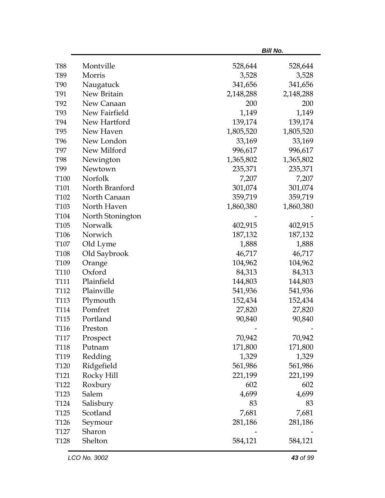|                  |                  |           | <b>Bill No.</b> |  |  |
|------------------|------------------|-----------|-----------------|--|--|
| <b>T88</b>       | Montville        | 528,644   | 528,644         |  |  |
| T89              | Morris           | 3,528     | 3,528           |  |  |
| <b>T90</b>       | Naugatuck        | 341,656   | 341,656         |  |  |
| T91              | New Britain      | 2,148,288 | 2,148,288       |  |  |
| T92              | New Canaan       | 200       | 200             |  |  |
| T93              | New Fairfield    | 1,149     | 1,149           |  |  |
| <b>T94</b>       | New Hartford     | 139,174   | 139,174         |  |  |
| T <sub>95</sub>  | New Haven        | 1,805,520 | 1,805,520       |  |  |
| T96              | New London       | 33,169    | 33,169          |  |  |
| <b>T97</b>       | New Milford      | 996,617   | 996,617         |  |  |
| <b>T98</b>       | Newington        | 1,365,802 | 1,365,802       |  |  |
| T99              | Newtown          | 235,371   | 235,371         |  |  |
| T100             | Norfolk          | 7,207     | 7,207           |  |  |
| T101             | North Branford   | 301,074   | 301,074         |  |  |
| T102             | North Canaan     | 359,719   | 359,719         |  |  |
| T103             | North Haven      | 1,860,380 | 1,860,380       |  |  |
| T104             | North Stonington |           |                 |  |  |
| T105             | Norwalk          | 402,915   | 402,915         |  |  |
| T106             | Norwich          | 187,132   | 187,132         |  |  |
| T <sub>107</sub> | Old Lyme         | 1,888     | 1,888           |  |  |
| T108             | Old Saybrook     | 46,717    | 46,717          |  |  |
| T109             | Orange           | 104,962   | 104,962         |  |  |
| T110             | Oxford           | 84,313    | 84,313          |  |  |
| T111             | Plainfield       | 144,803   | 144,803         |  |  |
| T <sub>112</sub> | Plainville       | 541,936   | 541,936         |  |  |
| T113             | Plymouth         | 152,434   | 152,434         |  |  |
| T114             | Pomfret          | 27,820    | 27,820          |  |  |
| T <sub>115</sub> | Portland         | 90,840    | 90,840          |  |  |
| T116             | Preston          |           |                 |  |  |
| <b>T117</b>      | Prospect         | 70,942    | 70,942          |  |  |
| <b>T118</b>      | Putnam           | 171,800   | 171,800         |  |  |
| T119             | Redding          | 1,329     | 1,329           |  |  |
| T120             | Ridgefield       | 561,986   | 561,986         |  |  |
| T121             | Rocky Hill       | 221,199   | 221,199         |  |  |
| T122             | Roxbury          | 602       | 602             |  |  |
| T <sub>123</sub> | Salem            | 4,699     | 4,699           |  |  |
| T124             | Salisbury        | 83        | 83              |  |  |
| T125             | Scotland         | 7,681     | 7,681           |  |  |
| T126             | Seymour          | 281,186   | 281,186         |  |  |
| <b>T127</b>      | Sharon           |           |                 |  |  |
| T128             | Shelton          | 584,121   | 584,121         |  |  |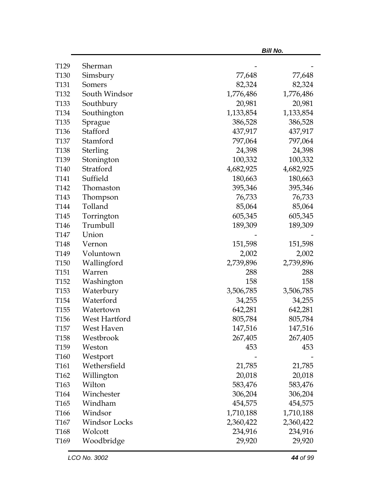|                  |               |           | <b>Bill No.</b> |
|------------------|---------------|-----------|-----------------|
| T129             | Sherman       |           |                 |
| T130             | Simsbury      | 77,648    | 77,648          |
| T <sub>131</sub> | Somers        | 82,324    | 82,324          |
| T132             | South Windsor | 1,776,486 | 1,776,486       |
| T133             | Southbury     | 20,981    | 20,981          |
| T134             | Southington   | 1,133,854 | 1,133,854       |
| T135             | Sprague       | 386,528   | 386,528         |
| T136             | Stafford      | 437,917   | 437,917         |
| <b>T137</b>      | Stamford      | 797,064   | 797,064         |
| T138             | Sterling      | 24,398    | 24,398          |
| T139             | Stonington    | 100,332   | 100,332         |
| T140             | Stratford     | 4,682,925 | 4,682,925       |
| T141             | Suffield      | 180,663   | 180,663         |
| T <sub>142</sub> | Thomaston     | 395,346   | 395,346         |
| T143             | Thompson      | 76,733    | 76,733          |
| T144             | Tolland       | 85,064    | 85,064          |
| T145             | Torrington    | 605,345   | 605,345         |
| T146             | Trumbull      | 189,309   | 189,309         |
| T147             | Union         |           |                 |
| T148             | Vernon        | 151,598   | 151,598         |
| T149             | Voluntown     | 2,002     | 2,002           |
| T <sub>150</sub> | Wallingford   | 2,739,896 | 2,739,896       |
| T <sub>151</sub> | Warren        | 288       | 288             |
| T <sub>152</sub> | Washington    | 158       | 158             |
| T <sub>153</sub> | Waterbury     | 3,506,785 | 3,506,785       |
| T154             | Waterford     | 34,255    | 34,255          |
| T155             | Watertown     | 642,281   | 642,281         |
| T156             | West Hartford | 805,784   | 805,784         |
| T <sub>157</sub> | West Haven    | 147,516   | 147,516         |
| T <sub>158</sub> | Westbrook     | 267,405   | 267,405         |
| T <sub>159</sub> | Weston        | 453       | 453             |
| T <sub>160</sub> | Westport      |           |                 |
| T161             | Wethersfield  | 21,785    | 21,785          |
| T162             | Willington    | 20,018    | 20,018          |
| T <sub>163</sub> | Wilton        | 583,476   | 583,476         |
| T164             | Winchester    | 306,204   | 306,204         |
| T <sub>165</sub> | Windham       | 454,575   | 454,575         |
| T <sub>166</sub> | Windsor       | 1,710,188 | 1,710,188       |
| T <sub>167</sub> | Windsor Locks | 2,360,422 | 2,360,422       |
| T168             | Wolcott       | 234,916   | 234,916         |
| T <sub>169</sub> | Woodbridge    | 29,920    | 29,920          |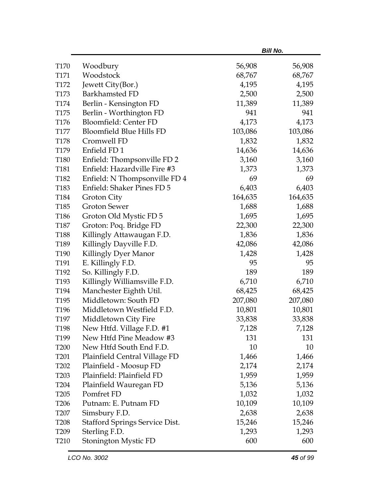|                  |                                       |         | <b>Bill No.</b> |
|------------------|---------------------------------------|---------|-----------------|
| T <sub>170</sub> | Woodbury                              | 56,908  | 56,908          |
| T171             | Woodstock                             | 68,767  | 68,767          |
| T172             | Jewett City(Bor.)                     | 4,195   | 4,195           |
| T173             | Barkhamsted FD                        | 2,500   | 2,500           |
| T174             | Berlin - Kensington FD                | 11,389  | 11,389          |
| T175             | Berlin - Worthington FD               | 941     | 941             |
| T176             | Bloomfield: Center FD                 | 4,173   | 4,173           |
| <b>T177</b>      | <b>Bloomfield Blue Hills FD</b>       | 103,086 | 103,086         |
| <b>T178</b>      | Cromwell FD                           | 1,832   | 1,832           |
| T179             | Enfield FD1                           | 14,636  | 14,636          |
| T180             | Enfield: Thompsonville FD 2           | 3,160   | 3,160           |
| T181             | Enfield: Hazardville Fire #3          | 1,373   | 1,373           |
| T182             | Enfield: N Thompsonville FD 4         | 69      | 69              |
| T183             | Enfield: Shaker Pines FD 5            | 6,403   | 6,403           |
| T184             | Groton City                           | 164,635 | 164,635         |
| T185             | <b>Groton Sewer</b>                   | 1,688   | 1,688           |
| T <sub>186</sub> | Groton Old Mystic FD 5                | 1,695   | 1,695           |
| T <sub>187</sub> | Groton: Poq. Bridge FD                | 22,300  | 22,300          |
| T188             | Killingly Attawaugan F.D.             | 1,836   | 1,836           |
| T189             | Killingly Dayville F.D.               | 42,086  | 42,086          |
| T190             | Killingly Dyer Manor                  | 1,428   | 1,428           |
| T191             | E. Killingly F.D.                     | 95      | 95              |
| T192             | So. Killingly F.D.                    | 189     | 189             |
| T <sub>193</sub> | Killingly Williamsville F.D.          | 6,710   | 6,710           |
| T194             | Manchester Eighth Util.               | 68,425  | 68,425          |
| T <sub>195</sub> | Middletown: South FD                  | 207,080 | 207,080         |
| T196             | Middletown Westfield F.D.             | 10,801  | 10,801          |
| T197             | Middletown City Fire                  | 33,838  | 33,838          |
| T198             | New Htfd. Village F.D. #1             | 7,128   | 7,128           |
| T <sub>199</sub> | New Htfd Pine Meadow #3               | 131     | 131             |
| T <sub>200</sub> | New Htfd South End F.D.               | 10      | 10              |
| T <sub>201</sub> | Plainfield Central Village FD         | 1,466   | 1,466           |
| T <sub>202</sub> | Plainfield - Moosup FD                | 2,174   | 2,174           |
| T <sub>203</sub> | Plainfield: Plainfield FD             | 1,959   | 1,959           |
| T <sub>204</sub> | Plainfield Wauregan FD                | 5,136   | 5,136           |
| T <sub>205</sub> | Pomfret FD                            | 1,032   | 1,032           |
| T <sub>206</sub> | Putnam: E. Putnam FD                  | 10,109  | 10,109          |
| T <sub>207</sub> | Simsbury F.D.                         | 2,638   | 2,638           |
| T <sub>208</sub> | <b>Stafford Springs Service Dist.</b> | 15,246  | 15,246          |
| T <sub>209</sub> | Sterling F.D.                         | 1,293   | 1,293           |
| T <sub>210</sub> | Stonington Mystic FD                  | 600     | 600             |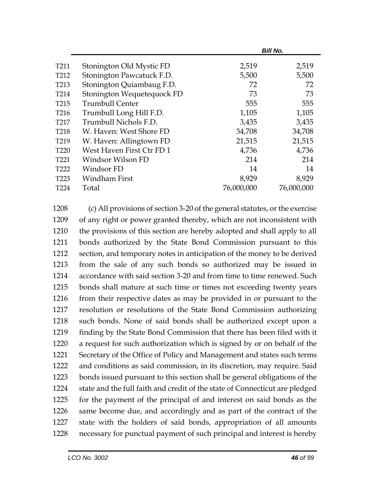|                  |                            | <b>Bill No.</b> |            |
|------------------|----------------------------|-----------------|------------|
| T211             | Stonington Old Mystic FD   | 2,519           | 2,519      |
| T <sub>212</sub> | Stonington Pawcatuck F.D.  | 5,500           | 5,500      |
| T <sub>213</sub> | Stonington Quiambaug F.D.  | 72              | 72         |
| T <sub>214</sub> | Stonington Wequetequock FD | 73              | 73         |
| T <sub>215</sub> | <b>Trumbull Center</b>     | 555             | 555        |
| T <sub>216</sub> | Trumbull Long Hill F.D.    | 1,105           | 1,105      |
| T <sub>217</sub> | Trumbull Nichols F.D.      | 3,435           | 3,435      |
| T <sub>218</sub> | W. Haven: West Shore FD    | 34,708          | 34,708     |
| T <sub>219</sub> | W. Haven: Allingtown FD    | 21,515          | 21,515     |
| T <sub>220</sub> | West Haven First Ctr FD 1  | 4,736           | 4,736      |
| T <sub>221</sub> | Windsor Wilson FD          | 214             | 214        |
| T <sub>222</sub> | Windsor FD                 | 14              | 14         |
| T <sub>223</sub> | Windham First              | 8,929           | 8,929      |
| T <sub>224</sub> | Total                      | 76,000,000      | 76,000,000 |

 (c) All provisions of section 3-20 of the general statutes, or the exercise of any right or power granted thereby, which are not inconsistent with the provisions of this section are hereby adopted and shall apply to all bonds authorized by the State Bond Commission pursuant to this section, and temporary notes in anticipation of the money to be derived from the sale of any such bonds so authorized may be issued in accordance with said section 3-20 and from time to time renewed. Such bonds shall mature at such time or times not exceeding twenty years from their respective dates as may be provided in or pursuant to the resolution or resolutions of the State Bond Commission authorizing such bonds. None of said bonds shall be authorized except upon a finding by the State Bond Commission that there has been filed with it a request for such authorization which is signed by or on behalf of the Secretary of the Office of Policy and Management and states such terms and conditions as said commission, in its discretion, may require. Said bonds issued pursuant to this section shall be general obligations of the state and the full faith and credit of the state of Connecticut are pledged for the payment of the principal of and interest on said bonds as the same become due, and accordingly and as part of the contract of the state with the holders of said bonds, appropriation of all amounts necessary for punctual payment of such principal and interest is hereby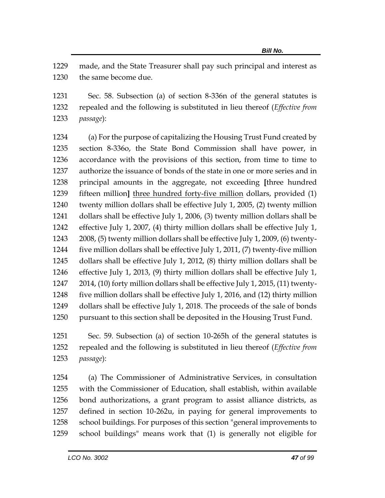made, and the State Treasurer shall pay such principal and interest as the same become due.

 Sec. 58. Subsection (a) of section 8-336n of the general statutes is repealed and the following is substituted in lieu thereof (*Effective from passage*):

 (a) For the purpose of capitalizing the Housing Trust Fund created by section 8-336o, the State Bond Commission shall have power, in accordance with the provisions of this section, from time to time to authorize the issuance of bonds of the state in one or more series and in principal amounts in the aggregate, not exceeding **[**three hundred fifteen million**]** three hundred forty-five million dollars, provided (1) twenty million dollars shall be effective July 1, 2005, (2) twenty million dollars shall be effective July 1, 2006, (3) twenty million dollars shall be effective July 1, 2007, (4) thirty million dollars shall be effective July 1, 2008, (5) twenty million dollars shall be effective July 1, 2009, (6) twenty- five million dollars shall be effective July 1, 2011, (7) twenty-five million dollars shall be effective July 1, 2012, (8) thirty million dollars shall be effective July 1, 2013, (9) thirty million dollars shall be effective July 1, 2014, (10) forty million dollars shall be effective July 1, 2015, (11) twenty- five million dollars shall be effective July 1, 2016, and (12) thirty million dollars shall be effective July 1, 2018. The proceeds of the sale of bonds pursuant to this section shall be deposited in the Housing Trust Fund.

 Sec. 59. Subsection (a) of section 10-265h of the general statutes is repealed and the following is substituted in lieu thereof (*Effective from passage*):

 (a) The Commissioner of Administrative Services, in consultation with the Commissioner of Education, shall establish, within available bond authorizations, a grant program to assist alliance districts, as defined in section 10-262u, in paying for general improvements to school buildings. For purposes of this section "general improvements to school buildings" means work that (1) is generally not eligible for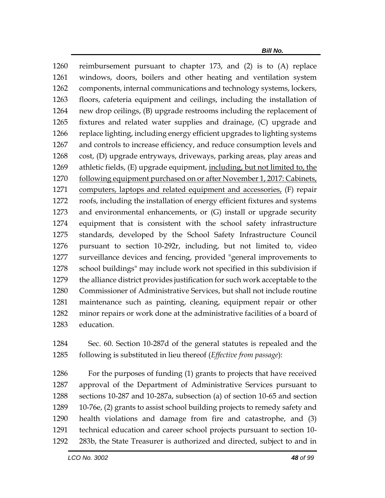reimbursement pursuant to chapter 173, and (2) is to (A) replace windows, doors, boilers and other heating and ventilation system components, internal communications and technology systems, lockers, floors, cafeteria equipment and ceilings, including the installation of new drop ceilings, (B) upgrade restrooms including the replacement of fixtures and related water supplies and drainage, (C) upgrade and replace lighting, including energy efficient upgrades to lighting systems and controls to increase efficiency, and reduce consumption levels and cost, (D) upgrade entryways, driveways, parking areas, play areas and athletic fields, (E) upgrade equipment, including, but not limited to, the following equipment purchased on or after November 1, 2017: Cabinets, 1271 computers, laptops and related equipment and accessories, (F) repair roofs, including the installation of energy efficient fixtures and systems and environmental enhancements, or (G) install or upgrade security equipment that is consistent with the school safety infrastructure standards, developed by the School Safety Infrastructure Council pursuant to section 10-292r, including, but not limited to, video surveillance devices and fencing, provided "general improvements to school buildings" may include work not specified in this subdivision if the alliance district provides justification for such work acceptable to the Commissioner of Administrative Services, but shall not include routine maintenance such as painting, cleaning, equipment repair or other minor repairs or work done at the administrative facilities of a board of education.

 Sec. 60. Section 10-287d of the general statutes is repealed and the following is substituted in lieu thereof (*Effective from passage*):

 For the purposes of funding (1) grants to projects that have received approval of the Department of Administrative Services pursuant to sections 10-287 and 10-287a, subsection (a) of section 10-65 and section 10-76e, (2) grants to assist school building projects to remedy safety and health violations and damage from fire and catastrophe, and (3) technical education and career school projects pursuant to section 10- 283b, the State Treasurer is authorized and directed, subject to and in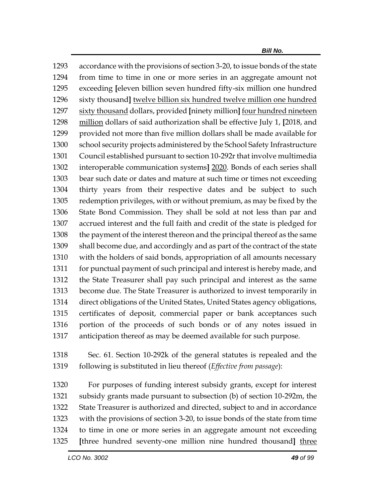accordance with the provisions of section 3-20, to issue bonds of the state from time to time in one or more series in an aggregate amount not exceeding **[**eleven billion seven hundred fifty-six million one hundred sixty thousand**]** twelve billion six hundred twelve million one hundred sixty thousand dollars, provided **[**ninety million**]** four hundred nineteen million dollars of said authorization shall be effective July 1, **[**2018, and provided not more than five million dollars shall be made available for school security projects administered by the School Safety Infrastructure Council established pursuant to section 10-292r that involve multimedia interoperable communication systems**]** 2020. Bonds of each series shall bear such date or dates and mature at such time or times not exceeding thirty years from their respective dates and be subject to such redemption privileges, with or without premium, as may be fixed by the State Bond Commission. They shall be sold at not less than par and accrued interest and the full faith and credit of the state is pledged for the payment of the interest thereon and the principal thereof as the same shall become due, and accordingly and as part of the contract of the state with the holders of said bonds, appropriation of all amounts necessary for punctual payment of such principal and interest is hereby made, and the State Treasurer shall pay such principal and interest as the same become due. The State Treasurer is authorized to invest temporarily in direct obligations of the United States, United States agency obligations, certificates of deposit, commercial paper or bank acceptances such portion of the proceeds of such bonds or of any notes issued in anticipation thereof as may be deemed available for such purpose.

 Sec. 61. Section 10-292k of the general statutes is repealed and the following is substituted in lieu thereof (*Effective from passage*):

 For purposes of funding interest subsidy grants, except for interest subsidy grants made pursuant to subsection (b) of section 10-292m, the State Treasurer is authorized and directed, subject to and in accordance with the provisions of section 3-20, to issue bonds of the state from time to time in one or more series in an aggregate amount not exceeding **[**three hundred seventy-one million nine hundred thousand**]** three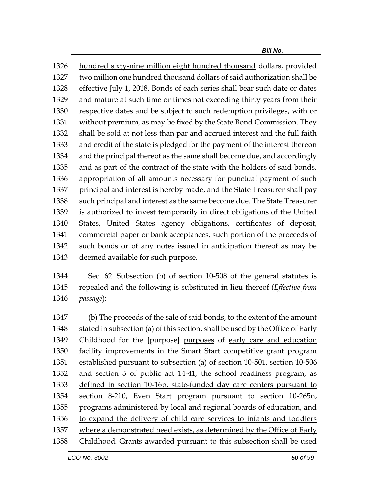hundred sixty-nine million eight hundred thousand dollars, provided two million one hundred thousand dollars of said authorization shall be effective July 1, 2018. Bonds of each series shall bear such date or dates and mature at such time or times not exceeding thirty years from their respective dates and be subject to such redemption privileges, with or without premium, as may be fixed by the State Bond Commission. They shall be sold at not less than par and accrued interest and the full faith and credit of the state is pledged for the payment of the interest thereon and the principal thereof as the same shall become due, and accordingly and as part of the contract of the state with the holders of said bonds, appropriation of all amounts necessary for punctual payment of such principal and interest is hereby made, and the State Treasurer shall pay such principal and interest as the same become due. The State Treasurer is authorized to invest temporarily in direct obligations of the United States, United States agency obligations, certificates of deposit, commercial paper or bank acceptances, such portion of the proceeds of such bonds or of any notes issued in anticipation thereof as may be deemed available for such purpose.

 Sec. 62. Subsection (b) of section 10-508 of the general statutes is repealed and the following is substituted in lieu thereof (*Effective from passage*):

 (b) The proceeds of the sale of said bonds, to the extent of the amount 1348 stated in subsection (a) of this section, shall be used by the Office of Early Childhood for the **[**purpose**]** purposes of early care and education facility improvements in the Smart Start competitive grant program established pursuant to subsection (a) of section 10-501, section 10-506 and section 3 of public act 14-41, the school readiness program, as defined in section 10-16p, state-funded day care centers pursuant to section 8-210, Even Start program pursuant to section 10-265n, 1355 programs administered by local and regional boards of education, and to expand the delivery of child care services to infants and toddlers where a demonstrated need exists, as determined by the Office of Early Childhood. Grants awarded pursuant to this subsection shall be used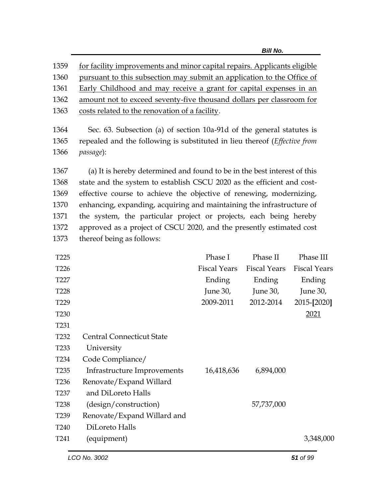| 1359             | for facility improvements and minor capital repairs. Applicants eligible          |                     |                     |                     |
|------------------|-----------------------------------------------------------------------------------|---------------------|---------------------|---------------------|
| 1360             | pursuant to this subsection may submit an application to the Office of            |                     |                     |                     |
| 1361             | Early Childhood and may receive a grant for capital expenses in an                |                     |                     |                     |
| 1362             | amount not to exceed seventy-five thousand dollars per classroom for              |                     |                     |                     |
| 1363             | costs related to the renovation of a facility.                                    |                     |                     |                     |
| 1364             | Sec. 63. Subsection (a) of section 10a-91d of the general statutes is             |                     |                     |                     |
| 1365             | repealed and the following is substituted in lieu thereof ( <i>Effective from</i> |                     |                     |                     |
| 1366             | passage):                                                                         |                     |                     |                     |
| 1367             | (a) It is hereby determined and found to be in the best interest of this          |                     |                     |                     |
| 1368             | state and the system to establish CSCU 2020 as the efficient and cost-            |                     |                     |                     |
| 1369             | effective course to achieve the objective of renewing, modernizing,               |                     |                     |                     |
| 1370             | enhancing, expanding, acquiring and maintaining the infrastructure of             |                     |                     |                     |
| 1371             | the system, the particular project or projects, each being hereby                 |                     |                     |                     |
| 1372             | approved as a project of CSCU 2020, and the presently estimated cost              |                     |                     |                     |
| 1373             | thereof being as follows:                                                         |                     |                     |                     |
| T <sub>225</sub> |                                                                                   | Phase I             | Phase II            | Phase III           |
| T226             |                                                                                   | <b>Fiscal Years</b> | <b>Fiscal Years</b> | <b>Fiscal Years</b> |
| T227             |                                                                                   | Ending              | Ending              | Ending              |
| T <sub>228</sub> |                                                                                   | June 30,            | June $30$ ,         | June 30,            |
| T <sub>229</sub> |                                                                                   | 2009-2011           | 2012-2014           | 2015-[2020]         |
| T <sub>230</sub> |                                                                                   |                     |                     | 2021                |
| T <sub>231</sub> |                                                                                   |                     |                     |                     |
| T <sub>232</sub> | <b>Central Connecticut State</b>                                                  |                     |                     |                     |
| T <sub>233</sub> | University                                                                        |                     |                     |                     |
| T234             | Code Compliance/                                                                  |                     |                     |                     |
| T <sub>235</sub> | Infrastructure Improvements                                                       | 16,418,636          | 6,894,000           |                     |
| T <sub>236</sub> | Renovate/Expand Willard                                                           |                     |                     |                     |
| T <sub>237</sub> | and DiLoreto Halls                                                                |                     |                     |                     |
| T <sub>238</sub> | (design/construction)                                                             |                     | 57,737,000          |                     |

T240 DiLoreto Halls

T239 Renovate/Expand Willard and

T241 (equipment) 3,348,000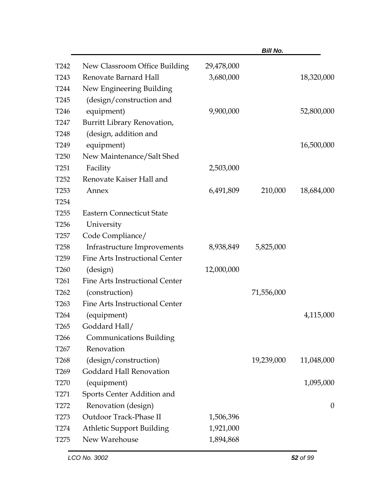|                  |                                  |            | <b>Bill No.</b> |                  |
|------------------|----------------------------------|------------|-----------------|------------------|
| T <sub>242</sub> | New Classroom Office Building    | 29,478,000 |                 |                  |
| T <sub>243</sub> | Renovate Barnard Hall            | 3,680,000  |                 | 18,320,000       |
| T <sub>244</sub> | New Engineering Building         |            |                 |                  |
| T <sub>245</sub> | (design/construction and         |            |                 |                  |
| T <sub>246</sub> | equipment)                       | 9,900,000  |                 | 52,800,000       |
| T <sub>247</sub> | Burritt Library Renovation,      |            |                 |                  |
| <b>T248</b>      | (design, addition and            |            |                 |                  |
| T <sub>249</sub> | equipment)                       |            |                 | 16,500,000       |
| T <sub>250</sub> | New Maintenance/Salt Shed        |            |                 |                  |
| T <sub>251</sub> | Facility                         | 2,503,000  |                 |                  |
| T <sub>252</sub> | Renovate Kaiser Hall and         |            |                 |                  |
| T <sub>253</sub> | Annex                            | 6,491,809  | 210,000         | 18,684,000       |
| T <sub>254</sub> |                                  |            |                 |                  |
| T <sub>255</sub> | <b>Eastern Connecticut State</b> |            |                 |                  |
| T <sub>256</sub> | University                       |            |                 |                  |
| T <sub>257</sub> | Code Compliance/                 |            |                 |                  |
| T <sub>258</sub> | Infrastructure Improvements      | 8,938,849  | 5,825,000       |                  |
| T <sub>259</sub> | Fine Arts Instructional Center   |            |                 |                  |
| T <sub>260</sub> | (design)                         | 12,000,000 |                 |                  |
| T <sub>261</sub> | Fine Arts Instructional Center   |            |                 |                  |
| T <sub>262</sub> | (construction)                   |            | 71,556,000      |                  |
| T <sub>263</sub> | Fine Arts Instructional Center   |            |                 |                  |
| T <sub>264</sub> | (equipment)                      |            |                 | 4,115,000        |
| T <sub>265</sub> | Goddard Hall/                    |            |                 |                  |
| T <sub>266</sub> | <b>Communications Building</b>   |            |                 |                  |
| T <sub>267</sub> | Renovation                       |            |                 |                  |
| T <sub>268</sub> | (design/construction)            |            | 19,239,000      | 11,048,000       |
| T <sub>269</sub> | Goddard Hall Renovation          |            |                 |                  |
| T <sub>270</sub> | (equipment)                      |            |                 | 1,095,000        |
| T <sub>271</sub> | Sports Center Addition and       |            |                 |                  |
| T272             | Renovation (design)              |            |                 | $\boldsymbol{0}$ |
| T <sub>273</sub> | Outdoor Track-Phase II           | 1,506,396  |                 |                  |
| T <sub>274</sub> | <b>Athletic Support Building</b> | 1,921,000  |                 |                  |
| T <sub>275</sub> | New Warehouse                    | 1,894,868  |                 |                  |
|                  |                                  |            |                 |                  |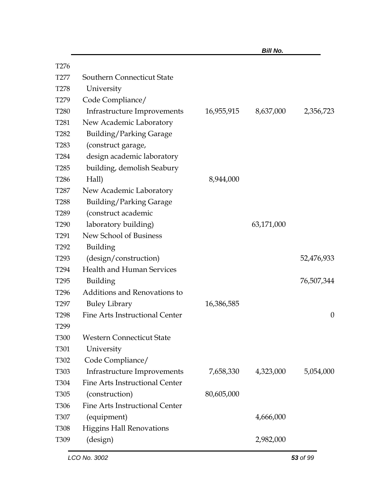|                  |                                       |            | <b>Bill No.</b> |                  |
|------------------|---------------------------------------|------------|-----------------|------------------|
| T <sub>276</sub> |                                       |            |                 |                  |
| T <sub>277</sub> | Southern Connecticut State            |            |                 |                  |
| T <sub>278</sub> | University                            |            |                 |                  |
| T <sub>279</sub> | Code Compliance/                      |            |                 |                  |
| <b>T280</b>      | Infrastructure Improvements           | 16,955,915 | 8,637,000       | 2,356,723        |
| T <sub>281</sub> | New Academic Laboratory               |            |                 |                  |
| T <sub>282</sub> | <b>Building/Parking Garage</b>        |            |                 |                  |
| T <sub>283</sub> | (construct garage,                    |            |                 |                  |
| T <sub>284</sub> | design academic laboratory            |            |                 |                  |
| T <sub>285</sub> | building, demolish Seabury            |            |                 |                  |
| T <sub>286</sub> | Hall)                                 | 8,944,000  |                 |                  |
| T <sub>287</sub> | New Academic Laboratory               |            |                 |                  |
| <b>T288</b>      | <b>Building/Parking Garage</b>        |            |                 |                  |
| T <sub>289</sub> | (construct academic                   |            |                 |                  |
| T <sub>290</sub> | laboratory building)                  |            | 63,171,000      |                  |
| T <sub>291</sub> | New School of Business                |            |                 |                  |
| T <sub>292</sub> | Building                              |            |                 |                  |
| T <sub>293</sub> | (design/construction)                 |            |                 | 52,476,933       |
| T <sub>294</sub> | <b>Health and Human Services</b>      |            |                 |                  |
| T <sub>295</sub> | Building                              |            |                 | 76,507,344       |
| T <sub>296</sub> | Additions and Renovations to          |            |                 |                  |
| T <sub>297</sub> | <b>Buley Library</b>                  | 16,386,585 |                 |                  |
| T <sub>298</sub> | <b>Fine Arts Instructional Center</b> |            |                 | $\boldsymbol{0}$ |
| T <sub>299</sub> |                                       |            |                 |                  |
| <b>T300</b>      | <b>Western Connecticut State</b>      |            |                 |                  |
| T301             | University                            |            |                 |                  |
| T302             | Code Compliance/                      |            |                 |                  |
| T303             | Infrastructure Improvements           | 7,658,330  | 4,323,000       | 5,054,000        |
| T304             | <b>Fine Arts Instructional Center</b> |            |                 |                  |
| T305             | (construction)                        | 80,605,000 |                 |                  |
| T306             | <b>Fine Arts Instructional Center</b> |            |                 |                  |
| T307             | (equipment)                           |            | 4,666,000       |                  |
| T308             | <b>Higgins Hall Renovations</b>       |            |                 |                  |
| T309             | (design)                              |            | 2,982,000       |                  |
|                  |                                       |            |                 |                  |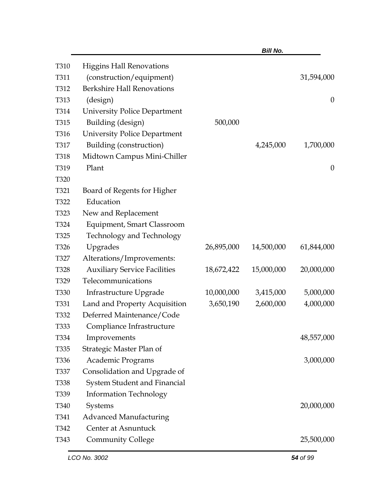|                  |                                     |            | <b>Bill No.</b> |                  |
|------------------|-------------------------------------|------------|-----------------|------------------|
| T310             | <b>Higgins Hall Renovations</b>     |            |                 |                  |
| T311             | (construction/equipment)            |            |                 | 31,594,000       |
| T312             | <b>Berkshire Hall Renovations</b>   |            |                 |                  |
| T313             | (design)                            |            |                 | $\boldsymbol{0}$ |
| T314             | <b>University Police Department</b> |            |                 |                  |
| T315             | Building (design)                   | 500,000    |                 |                  |
| T316             | <b>University Police Department</b> |            |                 |                  |
| T317             | Building (construction)             |            | 4,245,000       | 1,700,000        |
| <b>T318</b>      | Midtown Campus Mini-Chiller         |            |                 |                  |
| T319             | Plant                               |            |                 | $\boldsymbol{0}$ |
| T320             |                                     |            |                 |                  |
| T321             | Board of Regents for Higher         |            |                 |                  |
| T322             | Education                           |            |                 |                  |
| T323             | New and Replacement                 |            |                 |                  |
| T324             | <b>Equipment, Smart Classroom</b>   |            |                 |                  |
| T325             | <b>Technology and Technology</b>    |            |                 |                  |
| T326             | Upgrades                            | 26,895,000 | 14,500,000      | 61,844,000       |
| T327             | Alterations/Improvements:           |            |                 |                  |
| T328             | <b>Auxiliary Service Facilities</b> | 18,672,422 | 15,000,000      | 20,000,000       |
| T329             | Telecommunications                  |            |                 |                  |
| <b>T330</b>      | Infrastructure Upgrade              | 10,000,000 | 3,415,000       | 5,000,000        |
| T331             | Land and Property Acquisition       | 3,650,190  | 2,600,000       | 4,000,000        |
| T332             | Deferred Maintenance/Code           |            |                 |                  |
| T333             | Compliance Infrastructure           |            |                 |                  |
| T334             | Improvements                        |            |                 | 48,557,000       |
| T335             | Strategic Master Plan of            |            |                 |                  |
| T336             | Academic Programs                   |            |                 | 3,000,000        |
| T337             | Consolidation and Upgrade of        |            |                 |                  |
| T338             | System Student and Financial        |            |                 |                  |
| T339             | <b>Information Technology</b>       |            |                 |                  |
| T <sub>340</sub> | Systems                             |            |                 | 20,000,000       |
| T341             | <b>Advanced Manufacturing</b>       |            |                 |                  |
| T342             | Center at Asnuntuck                 |            |                 |                  |
| T343             | <b>Community College</b>            |            |                 | 25,500,000       |
|                  |                                     |            |                 |                  |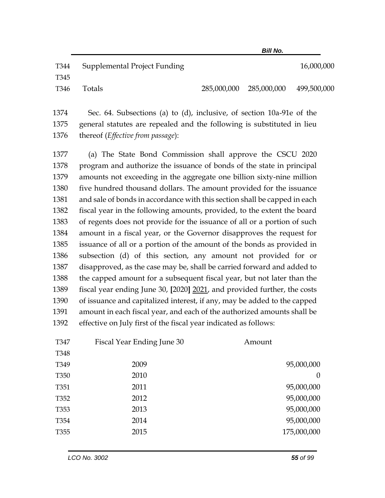| T344 | Supplemental Project Funding |                         | 16,000,000  |
|------|------------------------------|-------------------------|-------------|
| T345 |                              |                         |             |
| T346 | Totals                       | 285,000,000 285,000,000 | 499,500,000 |

1374 Sec. 64. Subsections (a) to (d), inclusive, of section 10a-91e of the 1375 general statutes are repealed and the following is substituted in lieu 1376 thereof (*Effective from passage*):

 (a) The State Bond Commission shall approve the CSCU 2020 program and authorize the issuance of bonds of the state in principal amounts not exceeding in the aggregate one billion sixty-nine million five hundred thousand dollars. The amount provided for the issuance 1381 and sale of bonds in accordance with this section shall be capped in each fiscal year in the following amounts, provided, to the extent the board of regents does not provide for the issuance of all or a portion of such amount in a fiscal year, or the Governor disapproves the request for issuance of all or a portion of the amount of the bonds as provided in subsection (d) of this section, any amount not provided for or disapproved, as the case may be, shall be carried forward and added to the capped amount for a subsequent fiscal year, but not later than the fiscal year ending June 30, **[**2020**]** 2021, and provided further, the costs of issuance and capitalized interest, if any, may be added to the capped amount in each fiscal year, and each of the authorized amounts shall be effective on July first of the fiscal year indicated as follows:

| Fiscal Year Ending June 30 | Amount         |
|----------------------------|----------------|
|                            |                |
| 2009                       | 95,000,000     |
| 2010                       | $\overline{0}$ |
| 2011                       | 95,000,000     |
| 2012                       | 95,000,000     |
| 2013                       | 95,000,000     |
| 2014                       | 95,000,000     |
| 2015                       | 175,000,000    |
|                            |                |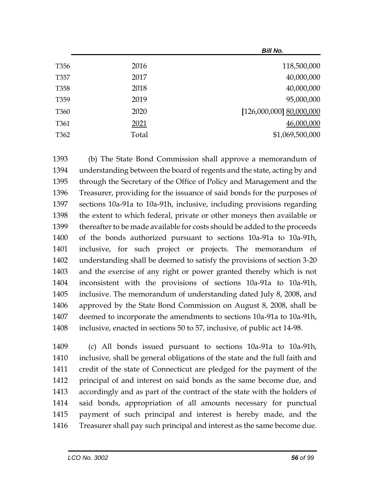|                  |       | Bill No.                 |
|------------------|-------|--------------------------|
| T <sub>356</sub> | 2016  | 118,500,000              |
| T357             | 2017  | 40,000,000               |
| T <sub>358</sub> | 2018  | 40,000,000               |
| T359             | 2019  | 95,000,000               |
| T <sub>360</sub> | 2020  | [126,000,000] 80,000,000 |
| T <sub>361</sub> | 2021  | 46,000,000               |
| T <sub>362</sub> | Total | \$1,069,500,000          |
|                  |       |                          |

 (b) The State Bond Commission shall approve a memorandum of understanding between the board of regents and the state, acting by and through the Secretary of the Office of Policy and Management and the Treasurer, providing for the issuance of said bonds for the purposes of sections 10a-91a to 10a-91h, inclusive, including provisions regarding the extent to which federal, private or other moneys then available or thereafter to be made available for costs should be added to the proceeds of the bonds authorized pursuant to sections 10a-91a to 10a-91h, inclusive, for such project or projects. The memorandum of understanding shall be deemed to satisfy the provisions of section 3-20 and the exercise of any right or power granted thereby which is not inconsistent with the provisions of sections 10a-91a to 10a-91h, inclusive. The memorandum of understanding dated July 8, 2008, and approved by the State Bond Commission on August 8, 2008, shall be deemed to incorporate the amendments to sections 10a-91a to 10a-91h, inclusive, enacted in sections 50 to 57, inclusive, of public act 14-98.

 (c) All bonds issued pursuant to sections 10a-91a to 10a-91h, inclusive, shall be general obligations of the state and the full faith and credit of the state of Connecticut are pledged for the payment of the principal of and interest on said bonds as the same become due, and accordingly and as part of the contract of the state with the holders of said bonds, appropriation of all amounts necessary for punctual payment of such principal and interest is hereby made, and the Treasurer shall pay such principal and interest as the same become due.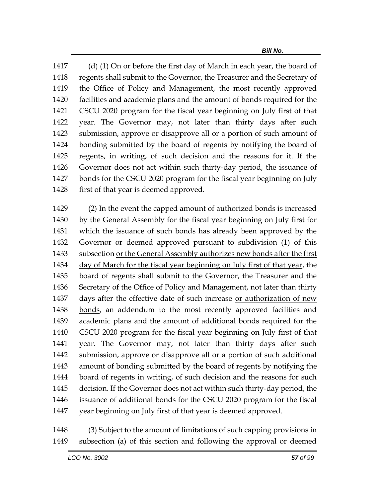1417 (d) (1) On or before the first day of March in each year, the board of regents shall submit to the Governor, the Treasurer and the Secretary of the Office of Policy and Management, the most recently approved facilities and academic plans and the amount of bonds required for the CSCU 2020 program for the fiscal year beginning on July first of that year. The Governor may, not later than thirty days after such submission, approve or disapprove all or a portion of such amount of bonding submitted by the board of regents by notifying the board of regents, in writing, of such decision and the reasons for it. If the Governor does not act within such thirty-day period, the issuance of bonds for the CSCU 2020 program for the fiscal year beginning on July 1428 first of that year is deemed approved.

 (2) In the event the capped amount of authorized bonds is increased by the General Assembly for the fiscal year beginning on July first for which the issuance of such bonds has already been approved by the Governor or deemed approved pursuant to subdivision (1) of this subsection or the General Assembly authorizes new bonds after the first day of March for the fiscal year beginning on July first of that year, the board of regents shall submit to the Governor, the Treasurer and the Secretary of the Office of Policy and Management, not later than thirty days after the effective date of such increase or authorization of new bonds, an addendum to the most recently approved facilities and academic plans and the amount of additional bonds required for the CSCU 2020 program for the fiscal year beginning on July first of that year. The Governor may, not later than thirty days after such submission, approve or disapprove all or a portion of such additional amount of bonding submitted by the board of regents by notifying the board of regents in writing, of such decision and the reasons for such decision. If the Governor does not act within such thirty-day period, the issuance of additional bonds for the CSCU 2020 program for the fiscal year beginning on July first of that year is deemed approved.

 (3) Subject to the amount of limitations of such capping provisions in subsection (a) of this section and following the approval or deemed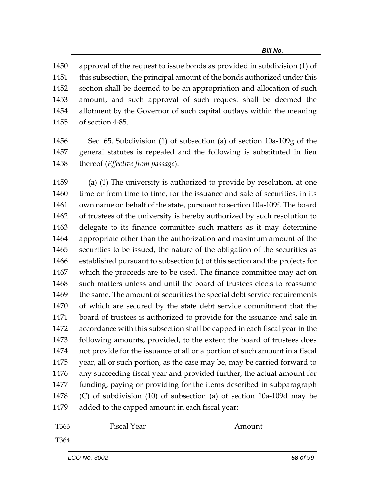approval of the request to issue bonds as provided in subdivision (1) of this subsection, the principal amount of the bonds authorized under this section shall be deemed to be an appropriation and allocation of such amount, and such approval of such request shall be deemed the allotment by the Governor of such capital outlays within the meaning of section 4-85.

 Sec. 65. Subdivision (1) of subsection (a) of section 10a-109g of the general statutes is repealed and the following is substituted in lieu thereof (*Effective from passage*):

 (a) (1) The university is authorized to provide by resolution, at one 1460 time or from time to time, for the issuance and sale of securities, in its own name on behalf of the state, pursuant to section 10a-109f. The board of trustees of the university is hereby authorized by such resolution to delegate to its finance committee such matters as it may determine appropriate other than the authorization and maximum amount of the securities to be issued, the nature of the obligation of the securities as established pursuant to subsection (c) of this section and the projects for which the proceeds are to be used. The finance committee may act on such matters unless and until the board of trustees elects to reassume 1469 the same. The amount of securities the special debt service requirements of which are secured by the state debt service commitment that the board of trustees is authorized to provide for the issuance and sale in accordance with this subsection shall be capped in each fiscal year in the following amounts, provided, to the extent the board of trustees does not provide for the issuance of all or a portion of such amount in a fiscal year, all or such portion, as the case may be, may be carried forward to any succeeding fiscal year and provided further, the actual amount for funding, paying or providing for the items described in subparagraph (C) of subdivision (10) of subsection (a) of section 10a-109d may be added to the capped amount in each fiscal year:

T363 Fiscal Year Amount

T364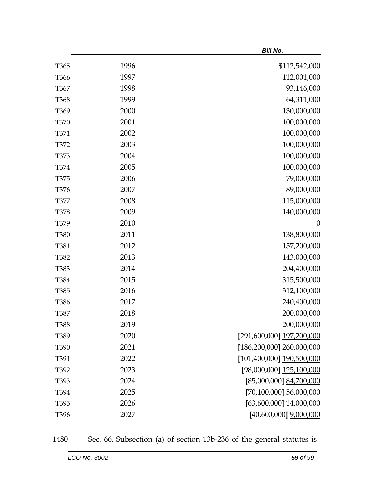|                  |      | <b>Bill No.</b>                   |
|------------------|------|-----------------------------------|
| T <sub>365</sub> | 1996 | \$112,542,000                     |
| T366             | 1997 | 112,001,000                       |
| T367             | 1998 | 93,146,000                        |
| T368             | 1999 | 64,311,000                        |
| T <sub>369</sub> | 2000 | 130,000,000                       |
| <b>T370</b>      | 2001 | 100,000,000                       |
| T371             | 2002 | 100,000,000                       |
| T372             | 2003 | 100,000,000                       |
| T373             | 2004 | 100,000,000                       |
| T374             | 2005 | 100,000,000                       |
| T375             | 2006 | 79,000,000                        |
| T376             | 2007 | 89,000,000                        |
| <b>T377</b>      | 2008 | 115,000,000                       |
| <b>T378</b>      | 2009 | 140,000,000                       |
| T379             | 2010 | $\boldsymbol{0}$                  |
| <b>T380</b>      | 2011 | 138,800,000                       |
| T381             | 2012 | 157,200,000                       |
| T382             | 2013 | 143,000,000                       |
| T383             | 2014 | 204,400,000                       |
| T384             | 2015 | 315,500,000                       |
| T385             | 2016 | 312,100,000                       |
| T386             | 2017 | 240,400,000                       |
| T387             | 2018 | 200,000,000                       |
| T388             | 2019 | 200,000,000                       |
| T389             | 2020 | [291,600,000] 197,200,000         |
| T390             | 2021 | $[186, 200, 000]$ $260, 000, 000$ |
| T391             | 2022 | [101,400,000] 190,500,000         |
| T392             | 2023 | [98,000,000] 125,100,000          |
| T393             | 2024 | [85,000,000] 84,700,000           |
| T394             | 2025 | [70,100,000] 56,000,000           |
| T395             | 2026 | $[63,600,000]$ $14,000,000$       |
| T396             | 2027 | $[40,600,000]$ $9,000,000$        |

1480 Sec. 66. Subsection (a) of section 13b-236 of the general statutes is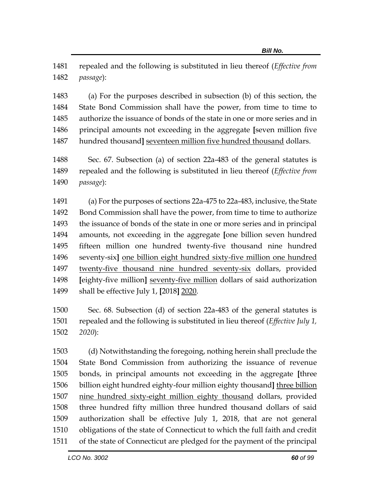repealed and the following is substituted in lieu thereof (*Effective from passage*):

 (a) For the purposes described in subsection (b) of this section, the State Bond Commission shall have the power, from time to time to authorize the issuance of bonds of the state in one or more series and in principal amounts not exceeding in the aggregate **[**seven million five 1487 hundred thousand] seventeen million five hundred thousand dollars.

 Sec. 67. Subsection (a) of section 22a-483 of the general statutes is repealed and the following is substituted in lieu thereof (*Effective from passage*):

 (a) For the purposes of sections 22a-475 to 22a-483, inclusive, the State Bond Commission shall have the power, from time to time to authorize the issuance of bonds of the state in one or more series and in principal amounts, not exceeding in the aggregate **[**one billion seven hundred fifteen million one hundred twenty-five thousand nine hundred seventy-six**]** one billion eight hundred sixty-five million one hundred twenty-five thousand nine hundred seventy-six dollars, provided **[**eighty-five million**]** seventy-five million dollars of said authorization shall be effective July 1, **[**2018**]** 2020.

 Sec. 68. Subsection (d) of section 22a-483 of the general statutes is repealed and the following is substituted in lieu thereof (*Effective July 1, 2020*):

 (d) Notwithstanding the foregoing, nothing herein shall preclude the State Bond Commission from authorizing the issuance of revenue bonds, in principal amounts not exceeding in the aggregate **[**three billion eight hundred eighty-four million eighty thousand**]** three billion nine hundred sixty-eight million eighty thousand dollars, provided three hundred fifty million three hundred thousand dollars of said authorization shall be effective July 1, 2018, that are not general obligations of the state of Connecticut to which the full faith and credit of the state of Connecticut are pledged for the payment of the principal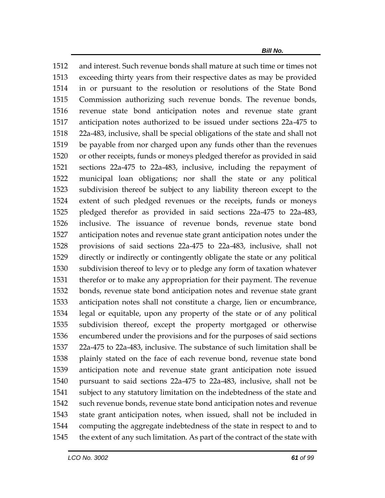and interest. Such revenue bonds shall mature at such time or times not exceeding thirty years from their respective dates as may be provided in or pursuant to the resolution or resolutions of the State Bond Commission authorizing such revenue bonds. The revenue bonds, revenue state bond anticipation notes and revenue state grant anticipation notes authorized to be issued under sections 22a-475 to 22a-483, inclusive, shall be special obligations of the state and shall not be payable from nor charged upon any funds other than the revenues or other receipts, funds or moneys pledged therefor as provided in said sections 22a-475 to 22a-483, inclusive, including the repayment of municipal loan obligations; nor shall the state or any political subdivision thereof be subject to any liability thereon except to the extent of such pledged revenues or the receipts, funds or moneys pledged therefor as provided in said sections 22a-475 to 22a-483, inclusive. The issuance of revenue bonds, revenue state bond anticipation notes and revenue state grant anticipation notes under the provisions of said sections 22a-475 to 22a-483, inclusive, shall not directly or indirectly or contingently obligate the state or any political subdivision thereof to levy or to pledge any form of taxation whatever therefor or to make any appropriation for their payment. The revenue bonds, revenue state bond anticipation notes and revenue state grant anticipation notes shall not constitute a charge, lien or encumbrance, legal or equitable, upon any property of the state or of any political subdivision thereof, except the property mortgaged or otherwise encumbered under the provisions and for the purposes of said sections 22a-475 to 22a-483, inclusive. The substance of such limitation shall be plainly stated on the face of each revenue bond, revenue state bond anticipation note and revenue state grant anticipation note issued pursuant to said sections 22a-475 to 22a-483, inclusive, shall not be subject to any statutory limitation on the indebtedness of the state and such revenue bonds, revenue state bond anticipation notes and revenue state grant anticipation notes, when issued, shall not be included in computing the aggregate indebtedness of the state in respect to and to the extent of any such limitation. As part of the contract of the state with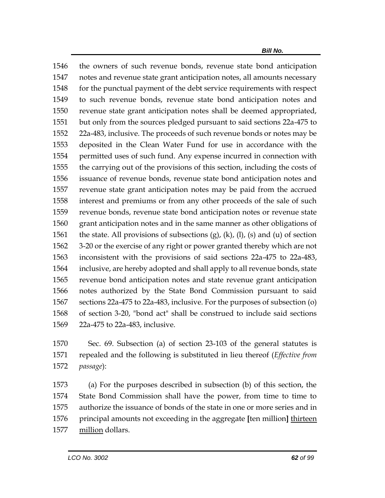the owners of such revenue bonds, revenue state bond anticipation notes and revenue state grant anticipation notes, all amounts necessary 1548 for the punctual payment of the debt service requirements with respect to such revenue bonds, revenue state bond anticipation notes and revenue state grant anticipation notes shall be deemed appropriated, but only from the sources pledged pursuant to said sections 22a-475 to 22a-483, inclusive. The proceeds of such revenue bonds or notes may be deposited in the Clean Water Fund for use in accordance with the permitted uses of such fund. Any expense incurred in connection with the carrying out of the provisions of this section, including the costs of issuance of revenue bonds, revenue state bond anticipation notes and revenue state grant anticipation notes may be paid from the accrued interest and premiums or from any other proceeds of the sale of such revenue bonds, revenue state bond anticipation notes or revenue state grant anticipation notes and in the same manner as other obligations of 1561 the state. All provisions of subsections  $(g)$ ,  $(k)$ ,  $(l)$ ,  $(s)$  and  $(u)$  of section 3-20 or the exercise of any right or power granted thereby which are not inconsistent with the provisions of said sections 22a-475 to 22a-483, inclusive, are hereby adopted and shall apply to all revenue bonds, state revenue bond anticipation notes and state revenue grant anticipation notes authorized by the State Bond Commission pursuant to said sections 22a-475 to 22a-483, inclusive. For the purposes of subsection (o) of section 3-20, "bond act" shall be construed to include said sections 22a-475 to 22a-483, inclusive.

 Sec. 69. Subsection (a) of section 23-103 of the general statutes is repealed and the following is substituted in lieu thereof (*Effective from passage*):

 (a) For the purposes described in subsection (b) of this section, the State Bond Commission shall have the power, from time to time to authorize the issuance of bonds of the state in one or more series and in principal amounts not exceeding in the aggregate **[**ten million**]** thirteen million dollars.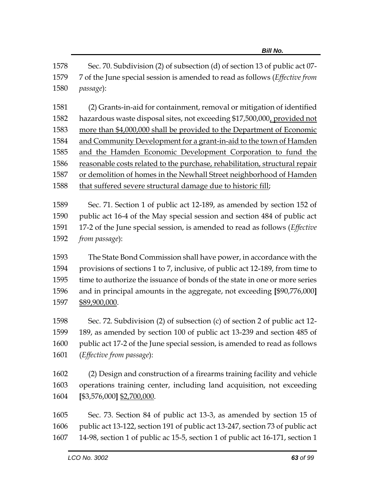Sec. 70. Subdivision (2) of subsection (d) of section 13 of public act 07- 7 of the June special session is amended to read as follows (*Effective from passage*):

 (2) Grants-in-aid for containment, removal or mitigation of identified hazardous waste disposal sites, not exceeding \$17,500,000, provided not more than \$4,000,000 shall be provided to the Department of Economic and Community Development for a grant-in-aid to the town of Hamden and the Hamden Economic Development Corporation to fund the reasonable costs related to the purchase, rehabilitation, structural repair or demolition of homes in the Newhall Street neighborhood of Hamden that suffered severe structural damage due to historic fill;

 Sec. 71. Section 1 of public act 12-189, as amended by section 152 of public act 16-4 of the May special session and section 484 of public act 17-2 of the June special session, is amended to read as follows (*Effective from passage*):

 The State Bond Commission shall have power, in accordance with the provisions of sections 1 to 7, inclusive, of public act 12-189, from time to time to authorize the issuance of bonds of the state in one or more series and in principal amounts in the aggregate, not exceeding **[**\$90,776,000**]** \$89,900,000.

 Sec. 72. Subdivision (2) of subsection (c) of section 2 of public act 12- 189, as amended by section 100 of public act 13-239 and section 485 of public act 17-2 of the June special session, is amended to read as follows (*Effective from passage*):

 (2) Design and construction of a firearms training facility and vehicle operations training center, including land acquisition, not exceeding **[**\$3,576,000**]** \$2,700,000.

 Sec. 73. Section 84 of public act 13-3, as amended by section 15 of public act 13-122, section 191 of public act 13-247, section 73 of public act 14-98, section 1 of public ac 15-5, section 1 of public act 16-171, section 1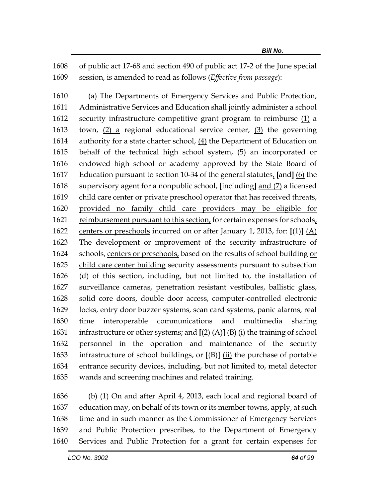of public act 17-68 and section 490 of public act 17-2 of the June special session, is amended to read as follows (*Effective from passage*):

 (a) The Departments of Emergency Services and Public Protection, Administrative Services and Education shall jointly administer a school security infrastructure competitive grant program to reimburse (1) a 1613 town,  $(2)$  a regional educational service center,  $(3)$  the governing 1614 authority for a state charter school,  $(4)$  the Department of Education on behalf of the technical high school system, (5) an incorporated or endowed high school or academy approved by the State Board of Education pursuant to section 10-34 of the general statutes, **[**and**]** (6) the supervisory agent for a nonpublic school, **[**including**]** and (7) a licensed 1619 child care center or private preschool operator that has received threats, provided no family child care providers may be eligible for 1621 reimbursement pursuant to this section, for certain expenses for schools, centers or preschools incurred on or after January 1, 2013, for: **[**(1)**]** (A) The development or improvement of the security infrastructure of schools, centers or preschools, based on the results of school building or child care center building security assessments pursuant to subsection (d) of this section, including, but not limited to, the installation of surveillance cameras, penetration resistant vestibules, ballistic glass, solid core doors, double door access, computer-controlled electronic locks, entry door buzzer systems, scan card systems, panic alarms, real time interoperable communications and multimedia sharing infrastructure or other systems; and **[**(2) (A)**]** (B) (i) the training of school personnel in the operation and maintenance of the security infrastructure of school buildings, or **[**(B)**]** (ii) the purchase of portable entrance security devices, including, but not limited to, metal detector wands and screening machines and related training.

 (b) (1) On and after April 4, 2013, each local and regional board of education may, on behalf of its town or its member towns, apply, at such time and in such manner as the Commissioner of Emergency Services and Public Protection prescribes, to the Department of Emergency Services and Public Protection for a grant for certain expenses for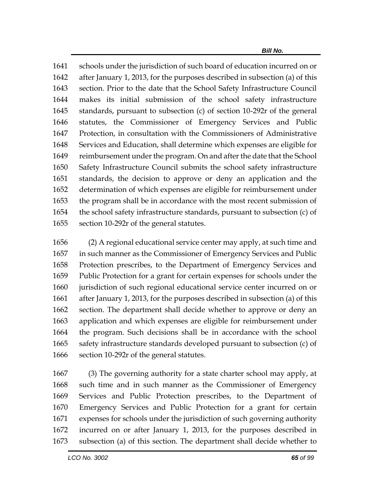schools under the jurisdiction of such board of education incurred on or after January 1, 2013, for the purposes described in subsection (a) of this section. Prior to the date that the School Safety Infrastructure Council makes its initial submission of the school safety infrastructure standards, pursuant to subsection (c) of section 10-292r of the general statutes, the Commissioner of Emergency Services and Public Protection, in consultation with the Commissioners of Administrative Services and Education, shall determine which expenses are eligible for reimbursement under the program. On and after the date that the School Safety Infrastructure Council submits the school safety infrastructure standards, the decision to approve or deny an application and the determination of which expenses are eligible for reimbursement under the program shall be in accordance with the most recent submission of the school safety infrastructure standards, pursuant to subsection (c) of section 10-292r of the general statutes.

 (2) A regional educational service center may apply, at such time and in such manner as the Commissioner of Emergency Services and Public Protection prescribes, to the Department of Emergency Services and Public Protection for a grant for certain expenses for schools under the jurisdiction of such regional educational service center incurred on or after January 1, 2013, for the purposes described in subsection (a) of this section. The department shall decide whether to approve or deny an application and which expenses are eligible for reimbursement under the program. Such decisions shall be in accordance with the school safety infrastructure standards developed pursuant to subsection (c) of section 10-292r of the general statutes.

 (3) The governing authority for a state charter school may apply, at such time and in such manner as the Commissioner of Emergency Services and Public Protection prescribes, to the Department of Emergency Services and Public Protection for a grant for certain expenses for schools under the jurisdiction of such governing authority incurred on or after January 1, 2013, for the purposes described in subsection (a) of this section. The department shall decide whether to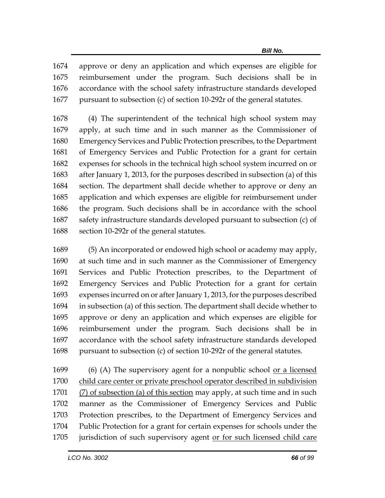approve or deny an application and which expenses are eligible for reimbursement under the program. Such decisions shall be in accordance with the school safety infrastructure standards developed pursuant to subsection (c) of section 10-292r of the general statutes.

 (4) The superintendent of the technical high school system may apply, at such time and in such manner as the Commissioner of Emergency Services and Public Protection prescribes, to the Department of Emergency Services and Public Protection for a grant for certain expenses for schools in the technical high school system incurred on or after January 1, 2013, for the purposes described in subsection (a) of this section. The department shall decide whether to approve or deny an application and which expenses are eligible for reimbursement under the program. Such decisions shall be in accordance with the school safety infrastructure standards developed pursuant to subsection (c) of section 10-292r of the general statutes.

 (5) An incorporated or endowed high school or academy may apply, at such time and in such manner as the Commissioner of Emergency Services and Public Protection prescribes, to the Department of Emergency Services and Public Protection for a grant for certain expenses incurred on or after January 1, 2013, for the purposes described in subsection (a) of this section. The department shall decide whether to approve or deny an application and which expenses are eligible for reimbursement under the program. Such decisions shall be in accordance with the school safety infrastructure standards developed pursuant to subsection (c) of section 10-292r of the general statutes.

 (6) (A) The supervisory agent for a nonpublic school or a licensed child care center or private preschool operator described in subdivision 1701 (7) of subsection (a) of this section may apply, at such time and in such manner as the Commissioner of Emergency Services and Public Protection prescribes, to the Department of Emergency Services and Public Protection for a grant for certain expenses for schools under the 1705 jurisdiction of such supervisory agent or for such licensed child care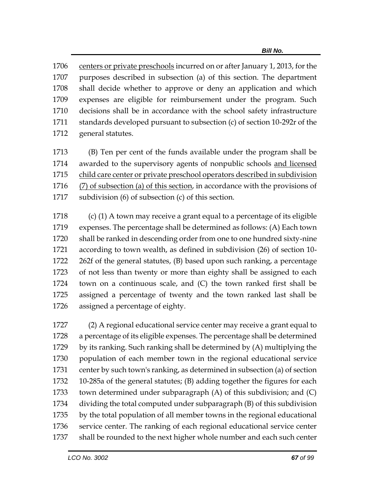centers or private preschools incurred on or after January 1, 2013, for the purposes described in subsection (a) of this section. The department shall decide whether to approve or deny an application and which expenses are eligible for reimbursement under the program. Such decisions shall be in accordance with the school safety infrastructure standards developed pursuant to subsection (c) of section 10-292r of the general statutes.

 (B) Ten per cent of the funds available under the program shall be awarded to the supervisory agents of nonpublic schools and licensed child care center or private preschool operators described in subdivision 1716 (7) of subsection (a) of this section, in accordance with the provisions of subdivision (6) of subsection (c) of this section.

 (c) (1) A town may receive a grant equal to a percentage of its eligible expenses. The percentage shall be determined as follows: (A) Each town shall be ranked in descending order from one to one hundred sixty-nine according to town wealth, as defined in subdivision (26) of section 10- 262f of the general statutes, (B) based upon such ranking, a percentage of not less than twenty or more than eighty shall be assigned to each town on a continuous scale, and (C) the town ranked first shall be assigned a percentage of twenty and the town ranked last shall be assigned a percentage of eighty.

 (2) A regional educational service center may receive a grant equal to a percentage of its eligible expenses. The percentage shall be determined by its ranking. Such ranking shall be determined by (A) multiplying the population of each member town in the regional educational service center by such town's ranking, as determined in subsection (a) of section 10-285a of the general statutes; (B) adding together the figures for each town determined under subparagraph (A) of this subdivision; and (C) dividing the total computed under subparagraph (B) of this subdivision by the total population of all member towns in the regional educational service center. The ranking of each regional educational service center shall be rounded to the next higher whole number and each such center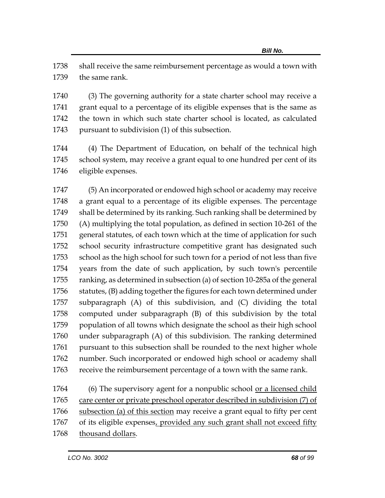shall receive the same reimbursement percentage as would a town with the same rank.

 (3) The governing authority for a state charter school may receive a grant equal to a percentage of its eligible expenses that is the same as the town in which such state charter school is located, as calculated pursuant to subdivision (1) of this subsection.

 (4) The Department of Education, on behalf of the technical high school system, may receive a grant equal to one hundred per cent of its eligible expenses.

 (5) An incorporated or endowed high school or academy may receive a grant equal to a percentage of its eligible expenses. The percentage shall be determined by its ranking. Such ranking shall be determined by (A) multiplying the total population, as defined in section 10-261 of the general statutes, of each town which at the time of application for such school security infrastructure competitive grant has designated such school as the high school for such town for a period of not less than five years from the date of such application, by such town's percentile ranking, as determined in subsection (a) of section 10-285a of the general 1756 statutes, (B) adding together the figures for each town determined under subparagraph (A) of this subdivision, and (C) dividing the total computed under subparagraph (B) of this subdivision by the total population of all towns which designate the school as their high school under subparagraph (A) of this subdivision. The ranking determined 1761 pursuant to this subsection shall be rounded to the next higher whole number. Such incorporated or endowed high school or academy shall receive the reimbursement percentage of a town with the same rank.

1764 (6) The supervisory agent for a nonpublic school <u>or a licensed child</u> care center or private preschool operator described in subdivision (7) of subsection (a) of this section may receive a grant equal to fifty per cent of its eligible expenses, provided any such grant shall not exceed fifty thousand dollars.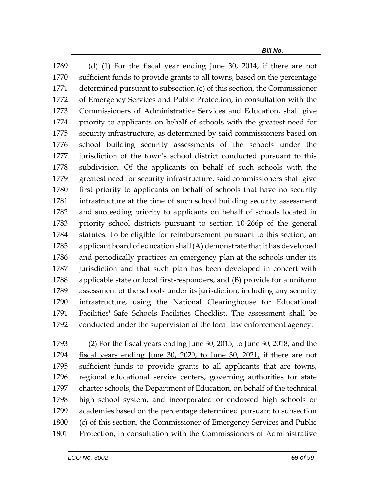(d) (1) For the fiscal year ending June 30, 2014, if there are not sufficient funds to provide grants to all towns, based on the percentage determined pursuant to subsection (c) of this section, the Commissioner of Emergency Services and Public Protection, in consultation with the Commissioners of Administrative Services and Education, shall give priority to applicants on behalf of schools with the greatest need for security infrastructure, as determined by said commissioners based on school building security assessments of the schools under the jurisdiction of the town's school district conducted pursuant to this subdivision. Of the applicants on behalf of such schools with the greatest need for security infrastructure, said commissioners shall give first priority to applicants on behalf of schools that have no security infrastructure at the time of such school building security assessment and succeeding priority to applicants on behalf of schools located in priority school districts pursuant to section 10-266p of the general statutes. To be eligible for reimbursement pursuant to this section, an applicant board of education shall (A) demonstrate that it has developed and periodically practices an emergency plan at the schools under its jurisdiction and that such plan has been developed in concert with applicable state or local first-responders, and (B) provide for a uniform assessment of the schools under its jurisdiction, including any security infrastructure, using the National Clearinghouse for Educational Facilities' Safe Schools Facilities Checklist. The assessment shall be conducted under the supervision of the local law enforcement agency.

 (2) For the fiscal years ending June 30, 2015, to June 30, 2018, and the fiscal years ending June 30, 2020, to June 30, 2021, if there are not sufficient funds to provide grants to all applicants that are towns, regional educational service centers, governing authorities for state charter schools, the Department of Education, on behalf of the technical high school system, and incorporated or endowed high schools or academies based on the percentage determined pursuant to subsection (c) of this section, the Commissioner of Emergency Services and Public Protection, in consultation with the Commissioners of Administrative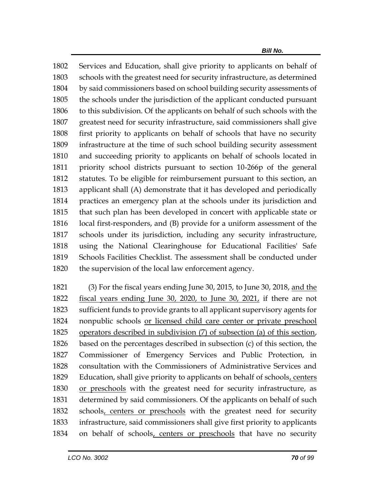Services and Education, shall give priority to applicants on behalf of schools with the greatest need for security infrastructure, as determined by said commissioners based on school building security assessments of the schools under the jurisdiction of the applicant conducted pursuant to this subdivision. Of the applicants on behalf of such schools with the greatest need for security infrastructure, said commissioners shall give first priority to applicants on behalf of schools that have no security infrastructure at the time of such school building security assessment and succeeding priority to applicants on behalf of schools located in priority school districts pursuant to section 10-266p of the general statutes. To be eligible for reimbursement pursuant to this section, an applicant shall (A) demonstrate that it has developed and periodically practices an emergency plan at the schools under its jurisdiction and that such plan has been developed in concert with applicable state or local first-responders, and (B) provide for a uniform assessment of the schools under its jurisdiction, including any security infrastructure, using the National Clearinghouse for Educational Facilities' Safe Schools Facilities Checklist. The assessment shall be conducted under the supervision of the local law enforcement agency.

 (3) For the fiscal years ending June 30, 2015, to June 30, 2018, and the fiscal years ending June 30, 2020, to June 30, 2021, if there are not sufficient funds to provide grants to all applicant supervisory agents for nonpublic schools or licensed child care center or private preschool operators described in subdivision (7) of subsection (a) of this section, based on the percentages described in subsection (c) of this section, the Commissioner of Emergency Services and Public Protection, in consultation with the Commissioners of Administrative Services and Education, shall give priority to applicants on behalf of schools, centers or preschools with the greatest need for security infrastructure, as determined by said commissioners. Of the applicants on behalf of such 1832 schools, centers or preschools with the greatest need for security infrastructure, said commissioners shall give first priority to applicants on behalf of schools, centers or preschools that have no security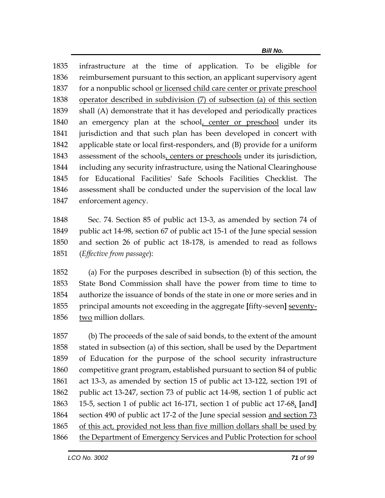infrastructure at the time of application. To be eligible for reimbursement pursuant to this section, an applicant supervisory agent for a nonpublic school or licensed child care center or private preschool operator described in subdivision (7) of subsection (a) of this section shall (A) demonstrate that it has developed and periodically practices an emergency plan at the school, center or preschool under its jurisdiction and that such plan has been developed in concert with applicable state or local first-responders, and (B) provide for a uniform assessment of the schools, centers or preschools under its jurisdiction, including any security infrastructure, using the National Clearinghouse for Educational Facilities' Safe Schools Facilities Checklist. The assessment shall be conducted under the supervision of the local law enforcement agency.

 Sec. 74. Section 85 of public act 13-3, as amended by section 74 of public act 14-98, section 67 of public act 15-1 of the June special session and section 26 of public act 18-178, is amended to read as follows (*Effective from passage*):

 (a) For the purposes described in subsection (b) of this section, the State Bond Commission shall have the power from time to time to authorize the issuance of bonds of the state in one or more series and in principal amounts not exceeding in the aggregate **[**fifty-seven**]** seventy-two million dollars.

 (b) The proceeds of the sale of said bonds, to the extent of the amount stated in subsection (a) of this section, shall be used by the Department of Education for the purpose of the school security infrastructure competitive grant program, established pursuant to section 84 of public act 13-3, as amended by section 15 of public act 13-122, section 191 of public act 13-247, section 73 of public act 14-98, section 1 of public act 15-5, section 1 of public act 16-171, section 1 of public act 17-68, **[**and**]** section 490 of public act 17-2 of the June special session and section 73 of this act, provided not less than five million dollars shall be used by the Department of Emergency Services and Public Protection for school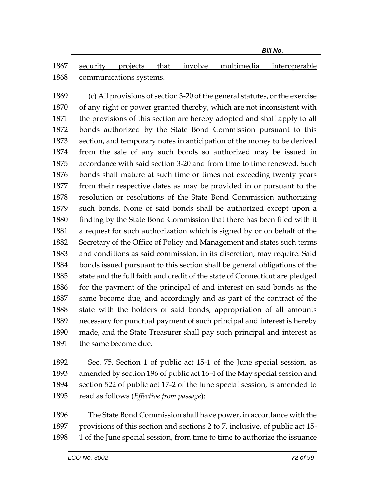security projects that involve multimedia interoperable communications systems.

 (c) All provisions of section 3-20 of the general statutes, or the exercise of any right or power granted thereby, which are not inconsistent with the provisions of this section are hereby adopted and shall apply to all bonds authorized by the State Bond Commission pursuant to this section, and temporary notes in anticipation of the money to be derived from the sale of any such bonds so authorized may be issued in accordance with said section 3-20 and from time to time renewed. Such bonds shall mature at such time or times not exceeding twenty years from their respective dates as may be provided in or pursuant to the resolution or resolutions of the State Bond Commission authorizing such bonds. None of said bonds shall be authorized except upon a finding by the State Bond Commission that there has been filed with it a request for such authorization which is signed by or on behalf of the Secretary of the Office of Policy and Management and states such terms and conditions as said commission, in its discretion, may require. Said bonds issued pursuant to this section shall be general obligations of the state and the full faith and credit of the state of Connecticut are pledged for the payment of the principal of and interest on said bonds as the same become due, and accordingly and as part of the contract of the state with the holders of said bonds, appropriation of all amounts necessary for punctual payment of such principal and interest is hereby made, and the State Treasurer shall pay such principal and interest as the same become due.

 Sec. 75. Section 1 of public act 15-1 of the June special session, as amended by section 196 of public act 16-4 of the May special session and section 522 of public act 17-2 of the June special session, is amended to read as follows (*Effective from passage*):

 The State Bond Commission shall have power, in accordance with the provisions of this section and sections 2 to 7, inclusive, of public act 15- 1 of the June special session, from time to time to authorize the issuance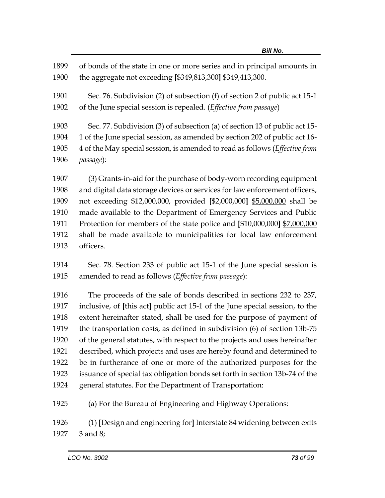| 1899 | of bonds of the state in one or more series and in principal amounts in      |
|------|------------------------------------------------------------------------------|
| 1900 | the aggregate not exceeding [\$349,813,300] \$349,413,300.                   |
| 1901 | Sec. 76. Subdivision (2) of subsection (f) of section 2 of public act 15-1   |
| 1902 | of the June special session is repealed. (Effective from passage)            |
| 1903 | Sec. 77. Subdivision (3) of subsection (a) of section 13 of public act 15-   |
| 1904 | 1 of the June special session, as amended by section 202 of public act 16-   |
| 1905 | 4 of the May special session, is amended to read as follows (Effective from  |
| 1906 | passage):                                                                    |
| 1907 | (3) Grants-in-aid for the purchase of body-worn recording equipment          |
| 1908 | and digital data storage devices or services for law enforcement officers,   |
| 1909 | not exceeding \$12,000,000, provided [\$2,000,000] \$5,000,000 shall be      |
| 1910 | made available to the Department of Emergency Services and Public            |
| 1911 | Protection for members of the state police and [\$10,000,000] \$7,000,000    |
| 1912 | shall be made available to municipalities for local law enforcement          |
| 1913 | officers.                                                                    |
| 1914 | Sec. 78. Section 233 of public act 15-1 of the June special session is       |
| 1915 | amended to read as follows (Effective from passage):                         |
| 1916 | The proceeds of the sale of bonds described in sections 232 to 237,          |
| 1917 | inclusive, of [this act] public act 15-1 of the June special session, to the |
| 1918 | extent hereinafter stated, shall be used for the purpose of payment of       |
| 1919 | the transportation costs, as defined in subdivision (6) of section 13b-75    |
| 1920 | of the general statutes, with respect to the projects and uses hereinafter   |

 described, which projects and uses are hereby found and determined to be in furtherance of one or more of the authorized purposes for the issuance of special tax obligation bonds set forth in section 13b-74 of the

general statutes. For the Department of Transportation:

(a) For the Bureau of Engineering and Highway Operations:

 (1) **[**Design and engineering for**]** Interstate 84 widening between exits 3 and 8;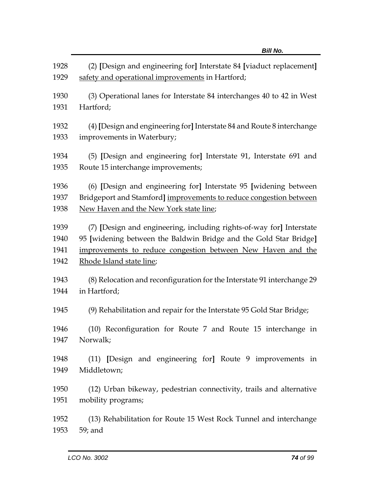|      | טוווש.                                                                  |
|------|-------------------------------------------------------------------------|
| 1928 | (2) [Design and engineering for] Interstate 84 [viaduct replacement]    |
| 1929 | safety and operational improvements in Hartford;                        |
| 1930 | (3) Operational lanes for Interstate 84 interchanges 40 to 42 in West   |
| 1931 | Hartford;                                                               |
| 1932 | (4) [Design and engineering for] Interstate 84 and Route 8 interchange  |
| 1933 | improvements in Waterbury;                                              |
| 1934 | (5) [Design and engineering for] Interstate 91, Interstate 691 and      |
| 1935 | Route 15 interchange improvements;                                      |
| 1936 | (6) [Design and engineering for] Interstate 95 [widening between        |
| 1937 | Bridgeport and Stamford] improvements to reduce congestion between      |
| 1938 | New Haven and the New York state line;                                  |
| 1939 | (7) [Design and engineering, including rights-of-way for] Interstate    |
| 1940 | 95 [widening between the Baldwin Bridge and the Gold Star Bridge]       |
| 1941 | improvements to reduce congestion between New Haven and the             |
| 1942 | Rhode Island state line;                                                |
| 1943 | (8) Relocation and reconfiguration for the Interstate 91 interchange 29 |
| 1944 | in Hartford;                                                            |
| 1945 | (9) Rehabilitation and repair for the Interstate 95 Gold Star Bridge;   |
| 1946 | (10) Reconfiguration for Route 7 and Route 15 interchange in            |
| 1947 | Norwalk;                                                                |
| 1948 | (11) [Design and engineering for] Route 9 improvements in               |
| 1949 | Middletown;                                                             |
| 1950 | (12) Urban bikeway, pedestrian connectivity, trails and alternative     |
| 1951 | mobility programs;                                                      |
| 1952 | (13) Rehabilitation for Route 15 West Rock Tunnel and interchange       |
| 1953 | 59; and                                                                 |

*Bill No.*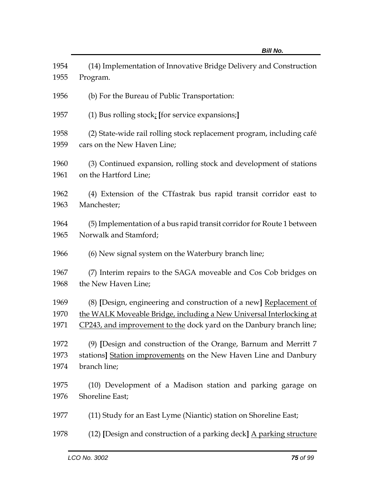| 1954         | (14) Implementation of Innovative Bridge Delivery and Construction                                   |
|--------------|------------------------------------------------------------------------------------------------------|
| 1955         | Program.                                                                                             |
| 1956         | (b) For the Bureau of Public Transportation:                                                         |
| 1957         | (1) Bus rolling stock; [for service expansions;]                                                     |
| 1958<br>1959 | (2) State-wide rail rolling stock replacement program, including café<br>cars on the New Haven Line; |
| 1960<br>1961 | (3) Continued expansion, rolling stock and development of stations<br>on the Hartford Line;          |
| 1962<br>1963 | (4) Extension of the CTfastrak bus rapid transit corridor east to<br>Manchester;                     |
| 1964<br>1965 | (5) Implementation of a bus rapid transit corridor for Route 1 between<br>Norwalk and Stamford;      |
| 1966         | (6) New signal system on the Waterbury branch line;                                                  |
| 1967<br>1968 | (7) Interim repairs to the SAGA moveable and Cos Cob bridges on<br>the New Haven Line;               |
| 1969         | (8) [Design, engineering and construction of a new] Replacement of                                   |
| 1970         | the WALK Moveable Bridge, including a New Universal Interlocking at                                  |
| 1971         | CP243, and improvement to the dock yard on the Danbury branch line;                                  |
| 1972         | (9) [Design and construction of the Orange, Barnum and Merritt 7                                     |
| 1973         | stations] Station improvements on the New Haven Line and Danbury                                     |
| 1974         | branch line;                                                                                         |
| 1975         | (10) Development of a Madison station and parking garage on                                          |
| 1976         | Shoreline East;                                                                                      |
| 1977         | (11) Study for an East Lyme (Niantic) station on Shoreline East;                                     |
| 1978         | (12) [Design and construction of a parking deck] A parking structure                                 |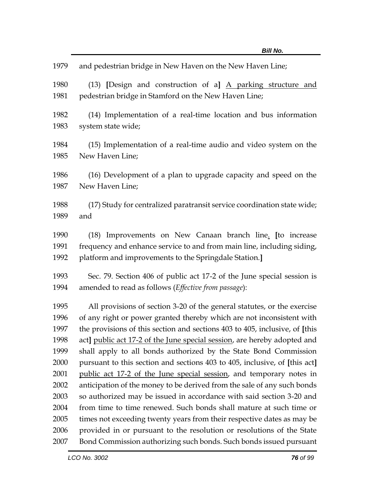| 1979 | and pedestrian bridge in New Haven on the New Haven Line;                   |
|------|-----------------------------------------------------------------------------|
| 1980 | (13) [Design and construction of a] A parking structure and                 |
| 1981 | pedestrian bridge in Stamford on the New Haven Line;                        |
| 1982 | (14) Implementation of a real-time location and bus information             |
| 1983 | system state wide;                                                          |
| 1984 | (15) Implementation of a real-time audio and video system on the            |
| 1985 | New Haven Line;                                                             |
| 1986 | (16) Development of a plan to upgrade capacity and speed on the             |
| 1987 | New Haven Line;                                                             |
| 1988 | (17) Study for centralized paratransit service coordination state wide;     |
| 1989 | and                                                                         |
| 1990 | (18) Improvements on New Canaan branch line. [to increase                   |
| 1991 | frequency and enhance service to and from main line, including siding,      |
| 1992 | platform and improvements to the Springdale Station.]                       |
| 1993 | Sec. 79. Section 406 of public act 17-2 of the June special session is      |
| 1994 | amended to read as follows (Effective from passage):                        |
| 1995 | All provisions of section 3-20 of the general statutes, or the exercise     |
| 1996 | of any right or power granted thereby which are not inconsistent with       |
| 1997 | the provisions of this section and sections 403 to 405, inclusive, of [this |
| 1998 | act] public act 17-2 of the June special session, are hereby adopted and    |
| 1999 | shall apply to all bonds authorized by the State Bond Commission            |
| 2000 | pursuant to this section and sections 403 to 405, inclusive, of [this act]  |
| 2001 | public act 17-2 of the June special session, and temporary notes in         |
| 2002 | anticipation of the money to be derived from the sale of any such bonds     |
| 2003 | so authorized may be issued in accordance with said section 3-20 and        |
| 2004 | from time to time renewed. Such bonds shall mature at such time or          |
| 2005 | times not exceeding twenty years from their respective dates as may be      |
| 2006 | provided in or pursuant to the resolution or resolutions of the State       |
| 2007 | Bond Commission authorizing such bonds. Such bonds issued pursuant          |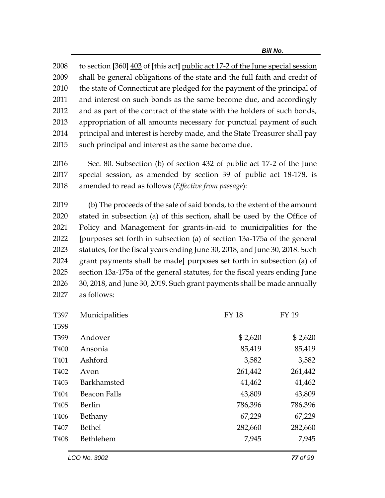to section **[**360**]** 403 of **[**this act**]** public act 17-2 of the June special session shall be general obligations of the state and the full faith and credit of the state of Connecticut are pledged for the payment of the principal of and interest on such bonds as the same become due, and accordingly and as part of the contract of the state with the holders of such bonds, appropriation of all amounts necessary for punctual payment of such 2014 principal and interest is hereby made, and the State Treasurer shall pay such principal and interest as the same become due.

2016 Sec. 80. Subsection (b) of section 432 of public act 17-2 of the June 2017 special session, as amended by section 39 of public act 18-178, is 2018 amended to read as follows (*Effective from passage*):

 (b) The proceeds of the sale of said bonds, to the extent of the amount stated in subsection (a) of this section, shall be used by the Office of Policy and Management for grants-in-aid to municipalities for the **[**purposes set forth in subsection (a) of section 13a-175a of the general statutes, for the fiscal years ending June 30, 2018, and June 30, 2018. Such grant payments shall be made**]** purposes set forth in subsection (a) of section 13a-175a of the general statutes, for the fiscal years ending June 30, 2018, and June 30, 2019. Such grant payments shall be made annually as follows:

| T397             | Municipalities      | <b>FY18</b> | <b>FY 19</b> |
|------------------|---------------------|-------------|--------------|
| T398             |                     |             |              |
| T399             | Andover             | \$2,620     | \$2,620      |
| T400             | Ansonia             | 85,419      | 85,419       |
| T401             | Ashford             | 3,582       | 3,582        |
| T402             | Avon                | 261,442     | 261,442      |
| T <sub>403</sub> | <b>Barkhamsted</b>  | 41,462      | 41,462       |
| T404             | <b>Beacon Falls</b> | 43,809      | 43,809       |
| T <sub>405</sub> | Berlin              | 786,396     | 786,396      |
| T406             | Bethany             | 67,229      | 67,229       |
| T407             | <b>Bethel</b>       | 282,660     | 282,660      |
| T408             | Bethlehem           | 7,945       | 7,945        |
|                  |                     |             |              |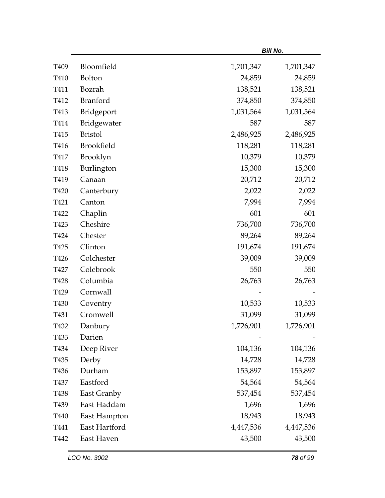|                  |                   |           | <b>Bill No.</b> |
|------------------|-------------------|-----------|-----------------|
| T <sub>409</sub> | Bloomfield        | 1,701,347 | 1,701,347       |
| T410             | Bolton            | 24,859    | 24,859          |
| T411             | Bozrah            | 138,521   | 138,521         |
| T412             | Branford          | 374,850   | 374,850         |
| T413             | Bridgeport        | 1,031,564 | 1,031,564       |
| T414             | Bridgewater       | 587       | 587             |
| T415             | <b>Bristol</b>    | 2,486,925 | 2,486,925       |
| T416             | <b>Brookfield</b> | 118,281   | 118,281         |
| T417             | Brooklyn          | 10,379    | 10,379          |
| T418             | Burlington        | 15,300    | 15,300          |
| T419             | Canaan            | 20,712    | 20,712          |
| T420             | Canterbury        | 2,022     | 2,022           |
| T421             | Canton            | 7,994     | 7,994           |
| T422             | Chaplin           | 601       | 601             |
| T423             | Cheshire          | 736,700   | 736,700         |
| T424             | Chester           | 89,264    | 89,264          |
| T425             | Clinton           | 191,674   | 191,674         |
| T426             | Colchester        | 39,009    | 39,009          |
| T427             | Colebrook         | 550       | 550             |
| T428             | Columbia          | 26,763    | 26,763          |
| T429             | Cornwall          |           |                 |
| T430             | Coventry          | 10,533    | 10,533          |
| T431             | Cromwell          | 31,099    | 31,099          |
| T432             | Danbury           | 1,726,901 | 1,726,901       |
| T433             | Darien            |           |                 |
| T434             | Deep River        | 104,136   | 104,136         |
| T435             | Derby             | 14,728    | 14,728          |
| T436             | Durham            | 153,897   | 153,897         |
| T437             | Eastford          | 54,564    | 54,564          |
| T438             | East Granby       | 537,454   | 537,454         |
| T439             | East Haddam       | 1,696     | 1,696           |
| T440             | East Hampton      | 18,943    | 18,943          |
| T441             | East Hartford     | 4,447,536 | 4,447,536       |
| T442             | East Haven        | 43,500    | 43,500          |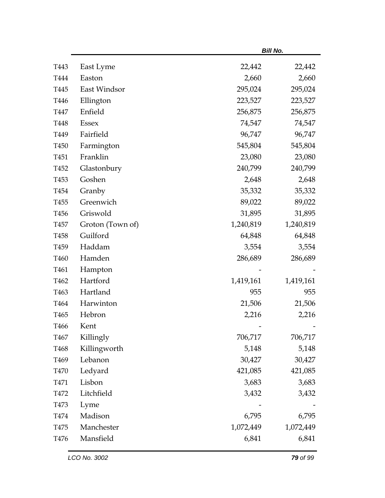|                  |                  |           | <b>Bill No.</b> |
|------------------|------------------|-----------|-----------------|
| T443             | East Lyme        | 22,442    | 22,442          |
| T444             | Easton           | 2,660     | 2,660           |
| T445             | East Windsor     | 295,024   | 295,024         |
| T446             | Ellington        | 223,527   | 223,527         |
| T447             | Enfield          | 256,875   | 256,875         |
| T448             | <b>Essex</b>     | 74,547    | 74,547          |
| T449             | Fairfield        | 96,747    | 96,747          |
| T <sub>450</sub> | Farmington       | 545,804   | 545,804         |
| T <sub>451</sub> | Franklin         | 23,080    | 23,080          |
| T452             | Glastonbury      | 240,799   | 240,799         |
| T453             | Goshen           | 2,648     | 2,648           |
| T454             | Granby           | 35,332    | 35,332          |
| T455             | Greenwich        | 89,022    | 89,022          |
| T456             | Griswold         | 31,895    | 31,895          |
| T <sub>457</sub> | Groton (Town of) | 1,240,819 | 1,240,819       |
| T458             | Guilford         | 64,848    | 64,848          |
| T <sub>459</sub> | Haddam           | 3,554     | 3,554           |
| T460             | Hamden           | 286,689   | 286,689         |
| T <sub>461</sub> | Hampton          |           |                 |
| T462             | Hartford         | 1,419,161 | 1,419,161       |
| T463             | Hartland         | 955       | 955             |
| T464             | Harwinton        | 21,506    | 21,506          |
| T <sub>465</sub> | Hebron           | 2,216     | 2,216           |
| T466             | Kent             |           |                 |
| T <sub>467</sub> | Killingly        | 706,717   | 706,717         |
| T468             | Killingworth     | 5,148     | 5,148           |
| T <sub>469</sub> | Lebanon          | 30,427    | 30,427          |
| <b>T470</b>      | Ledyard          | 421,085   | 421,085         |
| T471             | Lisbon           | 3,683     | 3,683           |
| T472             | Litchfield       | 3,432     | 3,432           |
| T473             | Lyme             |           |                 |
| T474             | Madison          | 6,795     | 6,795           |
| T475             | Manchester       | 1,072,449 | 1,072,449       |
| T476             | Mansfield        | 6,841     | 6,841           |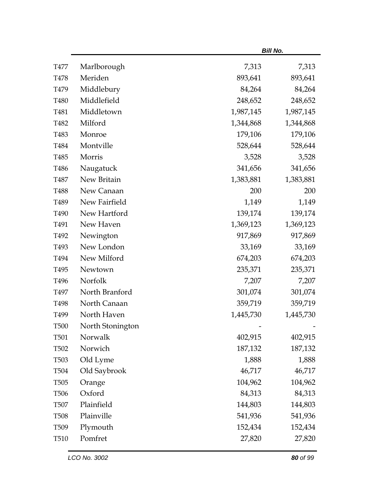|                   |                  |           | <b>Bill No.</b> |
|-------------------|------------------|-----------|-----------------|
| T477              | Marlborough      | 7,313     | 7,313           |
| T478              | Meriden          | 893,641   | 893,641         |
| T479              | Middlebury       | 84,264    | 84,264          |
| T480              | Middlefield      | 248,652   | 248,652         |
| T481              | Middletown       | 1,987,145 | 1,987,145       |
| T482              | Milford          | 1,344,868 | 1,344,868       |
| T483              | Monroe           | 179,106   | 179,106         |
| T484              | Montville        | 528,644   | 528,644         |
| T485              | Morris           | 3,528     | 3,528           |
| T486              | Naugatuck        | 341,656   | 341,656         |
| T487              | New Britain      | 1,383,881 | 1,383,881       |
| T488              | New Canaan       | 200       | 200             |
| T489              | New Fairfield    | 1,149     | 1,149           |
| T490              | New Hartford     | 139,174   | 139,174         |
| T491              | New Haven        | 1,369,123 | 1,369,123       |
| T492              | Newington        | 917,869   | 917,869         |
| T493              | New London       | 33,169    | 33,169          |
| T494              | New Milford      | 674,203   | 674,203         |
| T <sub>495</sub>  | Newtown          | 235,371   | 235,371         |
| T496              | Norfolk          | 7,207     | 7,207           |
| T497              | North Branford   | 301,074   | 301,074         |
| T498              | North Canaan     | 359,719   | 359,719         |
| T <sub>499</sub>  | North Haven      | 1,445,730 | 1,445,730       |
| <b>T500</b>       | North Stonington |           |                 |
| <b>T501</b>       | Norwalk          | 402,915   | 402,915         |
| T <sub>502</sub>  | Norwich          | 187,132   | 187,132         |
| T <sub>503</sub>  | Old Lyme         | 1,888     | 1,888           |
| T504              | Old Saybrook     | 46,717    | 46,717          |
| T <sub>50</sub> 5 | Orange           | 104,962   | 104,962         |
| <b>T506</b>       | Oxford           | 84,313    | 84,313          |
| <b>T507</b>       | Plainfield       | 144,803   | 144,803         |
| <b>T508</b>       | Plainville       | 541,936   | 541,936         |
| T <sub>509</sub>  | Plymouth         | 152,434   | 152,434         |
| T510              | Pomfret          | 27,820    | 27,820          |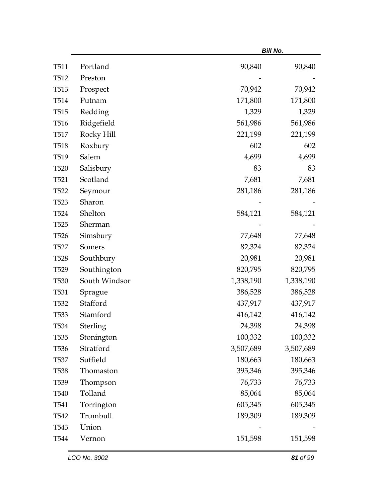|                  |               |           | <b>Bill No.</b> |
|------------------|---------------|-----------|-----------------|
| T511             | Portland      | 90,840    | 90,840          |
| T512             | Preston       |           |                 |
| T <sub>513</sub> | Prospect      | 70,942    | 70,942          |
| T <sub>514</sub> | Putnam        | 171,800   | 171,800         |
| T <sub>515</sub> | Redding       | 1,329     | 1,329           |
| T <sub>516</sub> | Ridgefield    | 561,986   | 561,986         |
| T <sub>517</sub> | Rocky Hill    | 221,199   | 221,199         |
| T <sub>518</sub> | Roxbury       | 602       | 602             |
| T <sub>519</sub> | Salem         | 4,699     | 4,699           |
| T <sub>520</sub> | Salisbury     | 83        | 83              |
| T <sub>521</sub> | Scotland      | 7,681     | 7,681           |
| T522             | Seymour       | 281,186   | 281,186         |
| T <sub>523</sub> | Sharon        |           |                 |
| T524             | Shelton       | 584,121   | 584,121         |
| T <sub>525</sub> | Sherman       |           |                 |
| T <sub>526</sub> | Simsbury      | 77,648    | 77,648          |
| T <sub>527</sub> | Somers        | 82,324    | 82,324          |
| <b>T528</b>      | Southbury     | 20,981    | 20,981          |
| T <sub>529</sub> | Southington   | 820,795   | 820,795         |
| <b>T530</b>      | South Windsor | 1,338,190 | 1,338,190       |
| T <sub>531</sub> | Sprague       | 386,528   | 386,528         |
| T <sub>532</sub> | Stafford      | 437,917   | 437,917         |
| T533             | Stamford      | 416,142   | 416,142         |
| T534             | Sterling      | 24,398    | 24,398          |
| T <sub>535</sub> | Stonington    | 100,332   | 100,332         |
| T536             | Stratford     | 3,507,689 | 3,507,689       |
| <b>T537</b>      | Suffield      | 180,663   | 180,663         |
| <b>T538</b>      | Thomaston     | 395,346   | 395,346         |
| T539             | Thompson      | 76,733    | 76,733          |
| T540             | Tolland       | 85,064    | 85,064          |
| T541             | Torrington    | 605,345   | 605,345         |
| T542             | Trumbull      | 189,309   | 189,309         |
| T <sub>543</sub> | Union         |           |                 |
| T544             | Vernon        | 151,598   | 151,598         |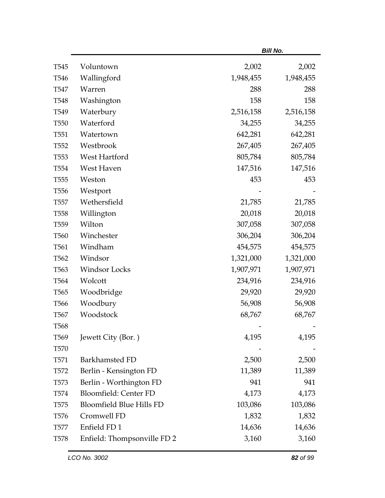|                  |                                 |           | <b>Bill No.</b> |
|------------------|---------------------------------|-----------|-----------------|
| T <sub>545</sub> | Voluntown                       | 2,002     | 2,002           |
| T <sub>546</sub> | Wallingford                     | 1,948,455 | 1,948,455       |
| T547             | Warren                          | 288       | 288             |
| T <sub>548</sub> | Washington                      | 158       | 158             |
| T <sub>549</sub> | Waterbury                       | 2,516,158 | 2,516,158       |
| T <sub>550</sub> | Waterford                       | 34,255    | 34,255          |
| T <sub>551</sub> | Watertown                       | 642,281   | 642,281         |
| T <sub>552</sub> | Westbrook                       | 267,405   | 267,405         |
| T <sub>553</sub> | West Hartford                   | 805,784   | 805,784         |
| T <sub>554</sub> | West Haven                      | 147,516   | 147,516         |
| T <sub>555</sub> | Weston                          | 453       | 453             |
| T <sub>556</sub> | Westport                        |           |                 |
| T <sub>557</sub> | Wethersfield                    | 21,785    | 21,785          |
| T <sub>558</sub> | Willington                      | 20,018    | 20,018          |
| T <sub>559</sub> | Wilton                          | 307,058   | 307,058         |
| T <sub>560</sub> | Winchester                      | 306,204   | 306,204         |
| T <sub>561</sub> | Windham                         | 454,575   | 454,575         |
| T562             | Windsor                         | 1,321,000 | 1,321,000       |
| T <sub>563</sub> | <b>Windsor Locks</b>            | 1,907,971 | 1,907,971       |
| T <sub>564</sub> | Wolcott                         | 234,916   | 234,916         |
| T <sub>565</sub> | Woodbridge                      | 29,920    | 29,920          |
| T <sub>566</sub> | Woodbury                        | 56,908    | 56,908          |
| T <sub>567</sub> | Woodstock                       | 68,767    | 68,767          |
| <b>T568</b>      |                                 |           |                 |
| T <sub>569</sub> | Jewett City (Bor.)              | 4,195     | 4,195           |
| T <sub>570</sub> |                                 |           |                 |
| T <sub>571</sub> | Barkhamsted FD                  | 2,500     | 2,500           |
| T <sub>572</sub> | Berlin - Kensington FD          | 11,389    | 11,389          |
| T <sub>573</sub> | Berlin - Worthington FD         | 941       | 941             |
| T <sub>574</sub> | <b>Bloomfield: Center FD</b>    | 4,173     | 4,173           |
| T <sub>575</sub> | <b>Bloomfield Blue Hills FD</b> | 103,086   | 103,086         |
| T <sub>576</sub> | Cromwell FD                     | 1,832     | 1,832           |
| T <sub>577</sub> | Enfield FD1                     | 14,636    | 14,636          |
| T <sub>578</sub> | Enfield: Thompsonville FD 2     | 3,160     | 3,160           |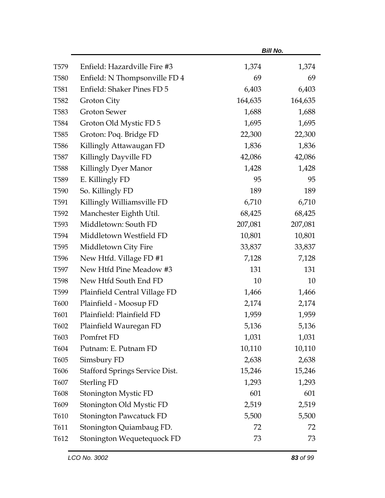|                  |                                       |         | <b>Bill No.</b> |
|------------------|---------------------------------------|---------|-----------------|
| T <sub>579</sub> | Enfield: Hazardville Fire #3          | 1,374   | 1,374           |
| <b>T580</b>      | Enfield: N Thompsonville FD 4         | 69      | 69              |
| T <sub>581</sub> | Enfield: Shaker Pines FD 5            | 6,403   | 6,403           |
| T <sub>582</sub> | Groton City                           | 164,635 | 164,635         |
| T <sub>583</sub> | <b>Groton Sewer</b>                   | 1,688   | 1,688           |
| T <sub>584</sub> | Groton Old Mystic FD 5                | 1,695   | 1,695           |
| T <sub>585</sub> | Groton: Poq. Bridge FD                | 22,300  | 22,300          |
| T <sub>586</sub> | Killingly Attawaugan FD               | 1,836   | 1,836           |
| <b>T587</b>      | Killingly Dayville FD                 | 42,086  | 42,086          |
| <b>T588</b>      | Killingly Dyer Manor                  | 1,428   | 1,428           |
| T <sub>589</sub> | E. Killingly FD                       | 95      | 95              |
| T <sub>590</sub> | So. Killingly FD                      | 189     | 189             |
| T <sub>591</sub> | Killingly Williamsville FD            | 6,710   | 6,710           |
| T <sub>592</sub> | Manchester Eighth Util.               | 68,425  | 68,425          |
| T <sub>593</sub> | Middletown: South FD                  | 207,081 | 207,081         |
| T594             | Middletown Westfield FD               | 10,801  | 10,801          |
| T <sub>595</sub> | Middletown City Fire                  | 33,837  | 33,837          |
| T <sub>596</sub> | New Htfd. Village FD #1               | 7,128   | 7,128           |
| T597             | New Htfd Pine Meadow #3               | 131     | 131             |
| T <sub>598</sub> | New Htfd South End FD                 | 10      | 10              |
| T599             | Plainfield Central Village FD         | 1,466   | 1,466           |
| <b>T600</b>      | Plainfield - Moosup FD                | 2,174   | 2,174           |
| T601             | Plainfield: Plainfield FD             | 1,959   | 1,959           |
| T602             | Plainfield Wauregan FD                | 5,136   | 5,136           |
| T603             | Pomfret FD                            | 1,031   | 1,031           |
| T604             | Putnam: E. Putnam FD                  | 10,110  | 10,110          |
| T605             | Simsbury FD                           | 2,638   | 2,638           |
| T606             | <b>Stafford Springs Service Dist.</b> | 15,246  | 15,246          |
| T607             | <b>Sterling FD</b>                    | 1,293   | 1,293           |
| <b>T608</b>      | Stonington Mystic FD                  | 601     | 601             |
| T609             | Stonington Old Mystic FD              | 2,519   | 2,519           |
| T610             | <b>Stonington Pawcatuck FD</b>        | 5,500   | 5,500           |
| T611             | Stonington Quiambaug FD.              | 72      | 72              |
| T612             | Stonington Wequetequock FD            | 73      | 73              |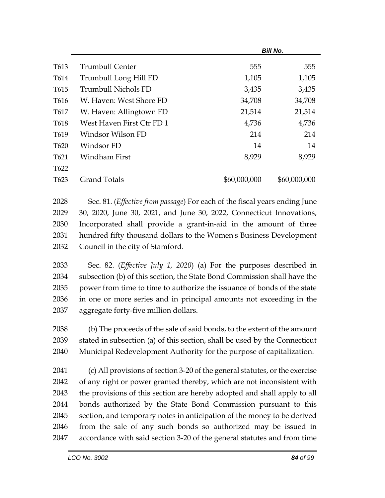|                  | <b>Bill No.</b>           |              |              |
|------------------|---------------------------|--------------|--------------|
| T613             | <b>Trumbull Center</b>    | 555          | 555          |
| T614             | Trumbull Long Hill FD     | 1,105        | 1,105        |
| T615             | Trumbull Nichols FD       | 3,435        | 3,435        |
| T616             | W. Haven: West Shore FD   | 34,708       | 34,708       |
| T617             | W. Haven: Allingtown FD   | 21,514       | 21,514       |
| T618             | West Haven First Ctr FD 1 | 4,736        | 4,736        |
| T619             | Windsor Wilson FD         | 214          | 214          |
| T <sub>620</sub> | Windsor FD                | 14           | 14           |
| T621             | Windham First             | 8,929        | 8,929        |
| T <sub>622</sub> |                           |              |              |
| T <sub>623</sub> | <b>Grand Totals</b>       | \$60,000,000 | \$60,000,000 |

 Sec. 81. (*Effective from passage*) For each of the fiscal years ending June 30, 2020, June 30, 2021, and June 30, 2022, Connecticut Innovations, Incorporated shall provide a grant-in-aid in the amount of three hundred fifty thousand dollars to the Women's Business Development Council in the city of Stamford.

 Sec. 82. (*Effective July 1, 2020*) (a) For the purposes described in subsection (b) of this section, the State Bond Commission shall have the power from time to time to authorize the issuance of bonds of the state in one or more series and in principal amounts not exceeding in the aggregate forty-five million dollars.

 (b) The proceeds of the sale of said bonds, to the extent of the amount stated in subsection (a) of this section, shall be used by the Connecticut Municipal Redevelopment Authority for the purpose of capitalization.

 (c) All provisions of section 3-20 of the general statutes, or the exercise of any right or power granted thereby, which are not inconsistent with the provisions of this section are hereby adopted and shall apply to all bonds authorized by the State Bond Commission pursuant to this section, and temporary notes in anticipation of the money to be derived from the sale of any such bonds so authorized may be issued in accordance with said section 3-20 of the general statutes and from time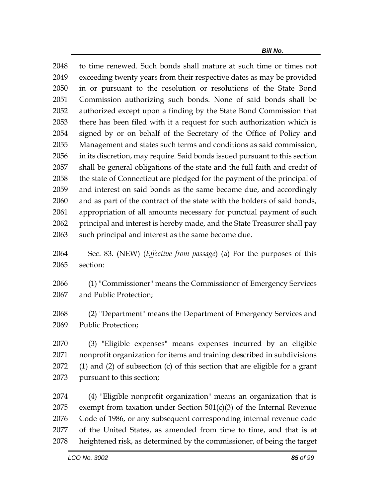to time renewed. Such bonds shall mature at such time or times not exceeding twenty years from their respective dates as may be provided in or pursuant to the resolution or resolutions of the State Bond Commission authorizing such bonds. None of said bonds shall be authorized except upon a finding by the State Bond Commission that there has been filed with it a request for such authorization which is signed by or on behalf of the Secretary of the Office of Policy and Management and states such terms and conditions as said commission, in its discretion, may require. Said bonds issued pursuant to this section shall be general obligations of the state and the full faith and credit of the state of Connecticut are pledged for the payment of the principal of and interest on said bonds as the same become due, and accordingly and as part of the contract of the state with the holders of said bonds, appropriation of all amounts necessary for punctual payment of such principal and interest is hereby made, and the State Treasurer shall pay such principal and interest as the same become due.

 Sec. 83. (NEW) (*Effective from passage*) (a) For the purposes of this section:

 (1) "Commissioner" means the Commissioner of Emergency Services and Public Protection;

 (2) "Department" means the Department of Emergency Services and Public Protection;

 (3) "Eligible expenses" means expenses incurred by an eligible nonprofit organization for items and training described in subdivisions (1) and (2) of subsection (c) of this section that are eligible for a grant pursuant to this section;

 (4) "Eligible nonprofit organization" means an organization that is exempt from taxation under Section 501(c)(3) of the Internal Revenue Code of 1986, or any subsequent corresponding internal revenue code of the United States, as amended from time to time, and that is at heightened risk, as determined by the commissioner, of being the target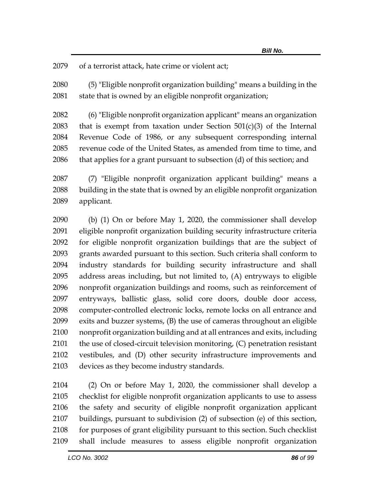of a terrorist attack, hate crime or violent act;

 (5) "Eligible nonprofit organization building" means a building in the 2081 state that is owned by an eligible nonprofit organization;

 (6) "Eligible nonprofit organization applicant" means an organization 2083 that is exempt from taxation under Section  $501(c)(3)$  of the Internal Revenue Code of 1986, or any subsequent corresponding internal revenue code of the United States, as amended from time to time, and that applies for a grant pursuant to subsection (d) of this section; and

 (7) "Eligible nonprofit organization applicant building" means a building in the state that is owned by an eligible nonprofit organization applicant.

 (b) (1) On or before May 1, 2020, the commissioner shall develop eligible nonprofit organization building security infrastructure criteria for eligible nonprofit organization buildings that are the subject of grants awarded pursuant to this section. Such criteria shall conform to industry standards for building security infrastructure and shall address areas including, but not limited to, (A) entryways to eligible nonprofit organization buildings and rooms, such as reinforcement of entryways, ballistic glass, solid core doors, double door access, computer-controlled electronic locks, remote locks on all entrance and exits and buzzer systems, (B) the use of cameras throughout an eligible nonprofit organization building and at all entrances and exits, including the use of closed-circuit television monitoring, (C) penetration resistant vestibules, and (D) other security infrastructure improvements and devices as they become industry standards.

 (2) On or before May 1, 2020, the commissioner shall develop a checklist for eligible nonprofit organization applicants to use to assess the safety and security of eligible nonprofit organization applicant buildings, pursuant to subdivision (2) of subsection (e) of this section, for purposes of grant eligibility pursuant to this section. Such checklist shall include measures to assess eligible nonprofit organization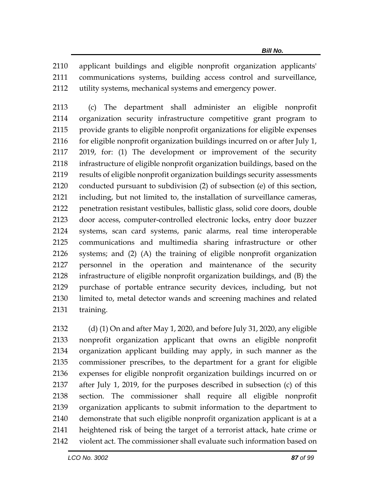applicant buildings and eligible nonprofit organization applicants' communications systems, building access control and surveillance, utility systems, mechanical systems and emergency power.

 (c) The department shall administer an eligible nonprofit organization security infrastructure competitive grant program to provide grants to eligible nonprofit organizations for eligible expenses 2116 for eligible nonprofit organization buildings incurred on or after July 1, 2019, for: (1) The development or improvement of the security infrastructure of eligible nonprofit organization buildings, based on the results of eligible nonprofit organization buildings security assessments conducted pursuant to subdivision (2) of subsection (e) of this section, including, but not limited to, the installation of surveillance cameras, penetration resistant vestibules, ballistic glass, solid core doors, double door access, computer-controlled electronic locks, entry door buzzer systems, scan card systems, panic alarms, real time interoperable communications and multimedia sharing infrastructure or other systems; and (2) (A) the training of eligible nonprofit organization personnel in the operation and maintenance of the security infrastructure of eligible nonprofit organization buildings, and (B) the purchase of portable entrance security devices, including, but not limited to, metal detector wands and screening machines and related training.

 (d) (1) On and after May 1, 2020, and before July 31, 2020, any eligible nonprofit organization applicant that owns an eligible nonprofit organization applicant building may apply, in such manner as the commissioner prescribes, to the department for a grant for eligible expenses for eligible nonprofit organization buildings incurred on or after July 1, 2019, for the purposes described in subsection (c) of this section. The commissioner shall require all eligible nonprofit organization applicants to submit information to the department to demonstrate that such eligible nonprofit organization applicant is at a heightened risk of being the target of a terrorist attack, hate crime or violent act. The commissioner shall evaluate such information based on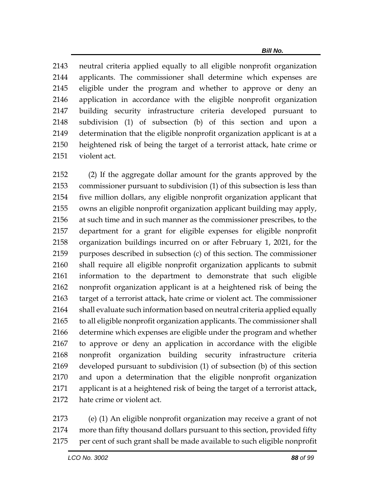neutral criteria applied equally to all eligible nonprofit organization applicants. The commissioner shall determine which expenses are eligible under the program and whether to approve or deny an application in accordance with the eligible nonprofit organization building security infrastructure criteria developed pursuant to subdivision (1) of subsection (b) of this section and upon a determination that the eligible nonprofit organization applicant is at a heightened risk of being the target of a terrorist attack, hate crime or violent act.

 (2) If the aggregate dollar amount for the grants approved by the commissioner pursuant to subdivision (1) of this subsection is less than five million dollars, any eligible nonprofit organization applicant that owns an eligible nonprofit organization applicant building may apply, at such time and in such manner as the commissioner prescribes, to the department for a grant for eligible expenses for eligible nonprofit organization buildings incurred on or after February 1, 2021, for the purposes described in subsection (c) of this section. The commissioner shall require all eligible nonprofit organization applicants to submit information to the department to demonstrate that such eligible nonprofit organization applicant is at a heightened risk of being the target of a terrorist attack, hate crime or violent act. The commissioner shall evaluate such information based on neutral criteria applied equally to all eligible nonprofit organization applicants. The commissioner shall determine which expenses are eligible under the program and whether to approve or deny an application in accordance with the eligible nonprofit organization building security infrastructure criteria developed pursuant to subdivision (1) of subsection (b) of this section and upon a determination that the eligible nonprofit organization applicant is at a heightened risk of being the target of a terrorist attack, hate crime or violent act.

 (e) (1) An eligible nonprofit organization may receive a grant of not more than fifty thousand dollars pursuant to this section, provided fifty per cent of such grant shall be made available to such eligible nonprofit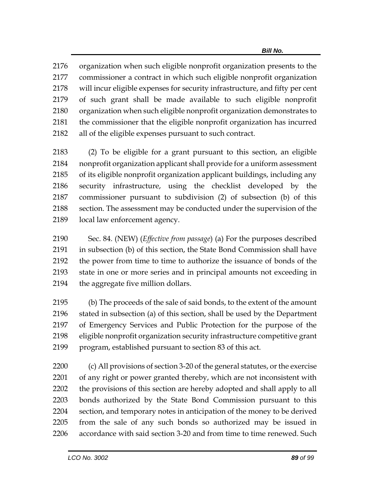organization when such eligible nonprofit organization presents to the commissioner a contract in which such eligible nonprofit organization will incur eligible expenses for security infrastructure, and fifty per cent of such grant shall be made available to such eligible nonprofit organization when such eligible nonprofit organization demonstrates to the commissioner that the eligible nonprofit organization has incurred all of the eligible expenses pursuant to such contract.

 (2) To be eligible for a grant pursuant to this section, an eligible nonprofit organization applicant shall provide for a uniform assessment of its eligible nonprofit organization applicant buildings, including any security infrastructure, using the checklist developed by the commissioner pursuant to subdivision (2) of subsection (b) of this section. The assessment may be conducted under the supervision of the local law enforcement agency.

 Sec. 84. (NEW) (*Effective from passage*) (a) For the purposes described in subsection (b) of this section, the State Bond Commission shall have the power from time to time to authorize the issuance of bonds of the state in one or more series and in principal amounts not exceeding in the aggregate five million dollars.

 (b) The proceeds of the sale of said bonds, to the extent of the amount stated in subsection (a) of this section, shall be used by the Department of Emergency Services and Public Protection for the purpose of the eligible nonprofit organization security infrastructure competitive grant program, established pursuant to section 83 of this act.

 (c) All provisions of section 3-20 of the general statutes, or the exercise of any right or power granted thereby, which are not inconsistent with the provisions of this section are hereby adopted and shall apply to all bonds authorized by the State Bond Commission pursuant to this section, and temporary notes in anticipation of the money to be derived from the sale of any such bonds so authorized may be issued in accordance with said section 3-20 and from time to time renewed. Such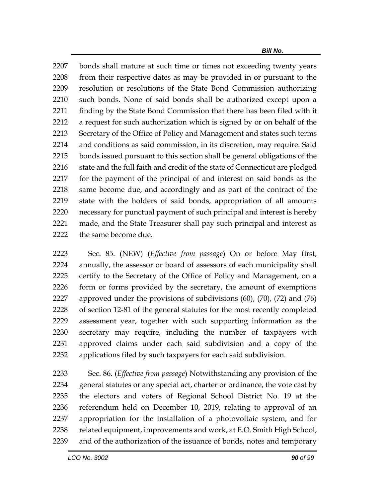bonds shall mature at such time or times not exceeding twenty years from their respective dates as may be provided in or pursuant to the resolution or resolutions of the State Bond Commission authorizing such bonds. None of said bonds shall be authorized except upon a 2211 finding by the State Bond Commission that there has been filed with it a request for such authorization which is signed by or on behalf of the Secretary of the Office of Policy and Management and states such terms and conditions as said commission, in its discretion, may require. Said bonds issued pursuant to this section shall be general obligations of the 2216 state and the full faith and credit of the state of Connecticut are pledged for the payment of the principal of and interest on said bonds as the same become due, and accordingly and as part of the contract of the state with the holders of said bonds, appropriation of all amounts necessary for punctual payment of such principal and interest is hereby made, and the State Treasurer shall pay such principal and interest as 2222 the same become due.

 Sec. 85. (NEW) (*Effective from passage*) On or before May first, annually, the assessor or board of assessors of each municipality shall certify to the Secretary of the Office of Policy and Management, on a form or forms provided by the secretary, the amount of exemptions approved under the provisions of subdivisions (60), (70), (72) and (76) of section 12-81 of the general statutes for the most recently completed assessment year, together with such supporting information as the secretary may require, including the number of taxpayers with approved claims under each said subdivision and a copy of the applications filed by such taxpayers for each said subdivision.

 Sec. 86. (*Effective from passage*) Notwithstanding any provision of the general statutes or any special act, charter or ordinance, the vote cast by the electors and voters of Regional School District No. 19 at the referendum held on December 10, 2019, relating to approval of an appropriation for the installation of a photovoltaic system, and for 2238 related equipment, improvements and work, at E.O. Smith High School, and of the authorization of the issuance of bonds, notes and temporary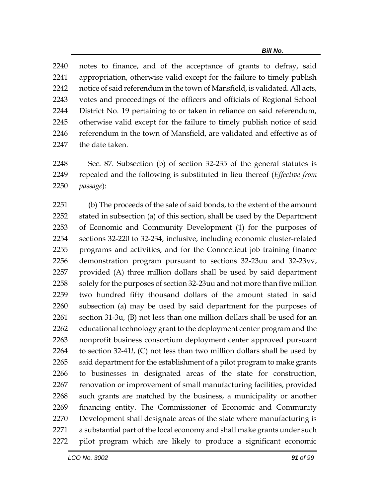notes to finance, and of the acceptance of grants to defray, said appropriation, otherwise valid except for the failure to timely publish notice of said referendum in the town of Mansfield, is validated. All acts, votes and proceedings of the officers and officials of Regional School District No. 19 pertaining to or taken in reliance on said referendum, otherwise valid except for the failure to timely publish notice of said referendum in the town of Mansfield, are validated and effective as of the date taken.

 Sec. 87. Subsection (b) of section 32-235 of the general statutes is repealed and the following is substituted in lieu thereof (*Effective from passage*):

 (b) The proceeds of the sale of said bonds, to the extent of the amount stated in subsection (a) of this section, shall be used by the Department of Economic and Community Development (1) for the purposes of sections 32-220 to 32-234, inclusive, including economic cluster-related programs and activities, and for the Connecticut job training finance demonstration program pursuant to sections 32-23uu and 32-23vv, provided (A) three million dollars shall be used by said department solely for the purposes of section 32-23uu and not more than five million two hundred fifty thousand dollars of the amount stated in said subsection (a) may be used by said department for the purposes of section 31-3u, (B) not less than one million dollars shall be used for an educational technology grant to the deployment center program and the nonprofit business consortium deployment center approved pursuant to section 32-41*l*, (C) not less than two million dollars shall be used by said department for the establishment of a pilot program to make grants to businesses in designated areas of the state for construction, renovation or improvement of small manufacturing facilities, provided such grants are matched by the business, a municipality or another financing entity. The Commissioner of Economic and Community Development shall designate areas of the state where manufacturing is a substantial part of the local economy and shall make grants under such pilot program which are likely to produce a significant economic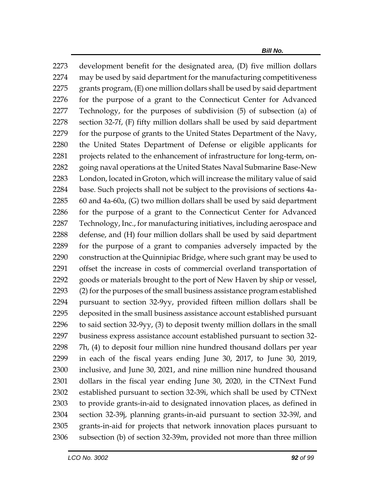development benefit for the designated area, (D) five million dollars may be used by said department for the manufacturing competitiveness grants program, (E) one million dollars shall be used by said department for the purpose of a grant to the Connecticut Center for Advanced Technology, for the purposes of subdivision (5) of subsection (a) of section 32-7f, (F) fifty million dollars shall be used by said department for the purpose of grants to the United States Department of the Navy, the United States Department of Defense or eligible applicants for 2281 projects related to the enhancement of infrastructure for long-term, on- going naval operations at the United States Naval Submarine Base-New London, located in Groton, which will increase the military value of said base. Such projects shall not be subject to the provisions of sections 4a- 60 and 4a-60a, (G) two million dollars shall be used by said department for the purpose of a grant to the Connecticut Center for Advanced Technology, Inc., for manufacturing initiatives, including aerospace and defense, and (H) four million dollars shall be used by said department for the purpose of a grant to companies adversely impacted by the construction at the Quinnipiac Bridge, where such grant may be used to offset the increase in costs of commercial overland transportation of goods or materials brought to the port of New Haven by ship or vessel, (2) for the purposes of the small business assistance program established pursuant to section 32-9yy, provided fifteen million dollars shall be deposited in the small business assistance account established pursuant to said section 32-9yy, (3) to deposit twenty million dollars in the small business express assistance account established pursuant to section 32- 7h, (4) to deposit four million nine hundred thousand dollars per year in each of the fiscal years ending June 30, 2017, to June 30, 2019, inclusive, and June 30, 2021, and nine million nine hundred thousand dollars in the fiscal year ending June 30, 2020, in the CTNext Fund established pursuant to section 32-39i, which shall be used by CTNext to provide grants-in-aid to designated innovation places, as defined in section 32-39j, planning grants-in-aid pursuant to section 32-39*l*, and grants-in-aid for projects that network innovation places pursuant to subsection (b) of section 32-39m, provided not more than three million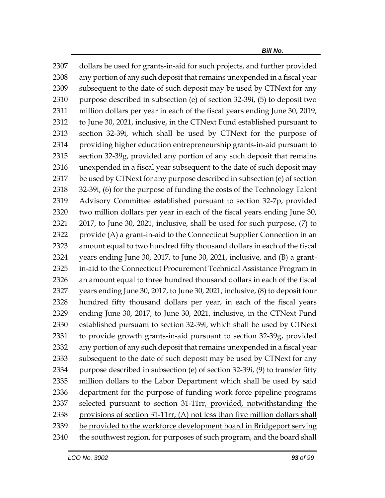dollars be used for grants-in-aid for such projects, and further provided any portion of any such deposit that remains unexpended in a fiscal year subsequent to the date of such deposit may be used by CTNext for any purpose described in subsection (e) of section 32-39i, (5) to deposit two million dollars per year in each of the fiscal years ending June 30, 2019, to June 30, 2021, inclusive, in the CTNext Fund established pursuant to section 32-39i, which shall be used by CTNext for the purpose of providing higher education entrepreneurship grants-in-aid pursuant to section 32-39g, provided any portion of any such deposit that remains unexpended in a fiscal year subsequent to the date of such deposit may be used by CTNext for any purpose described in subsection (e) of section 32-39i, (6) for the purpose of funding the costs of the Technology Talent Advisory Committee established pursuant to section 32-7p, provided two million dollars per year in each of the fiscal years ending June 30, 2017, to June 30, 2021, inclusive, shall be used for such purpose, (7) to provide (A) a grant-in-aid to the Connecticut Supplier Connection in an amount equal to two hundred fifty thousand dollars in each of the fiscal years ending June 30, 2017, to June 30, 2021, inclusive, and (B) a grant- in-aid to the Connecticut Procurement Technical Assistance Program in an amount equal to three hundred thousand dollars in each of the fiscal years ending June 30, 2017, to June 30, 2021, inclusive, (8) to deposit four hundred fifty thousand dollars per year, in each of the fiscal years ending June 30, 2017, to June 30, 2021, inclusive, in the CTNext Fund established pursuant to section 32-39i, which shall be used by CTNext to provide growth grants-in-aid pursuant to section 32-39g, provided any portion of any such deposit that remains unexpended in a fiscal year subsequent to the date of such deposit may be used by CTNext for any purpose described in subsection (e) of section 32-39i, (9) to transfer fifty million dollars to the Labor Department which shall be used by said department for the purpose of funding work force pipeline programs 2337 selected pursuant to section 31-11rr<sub>L</sub> provided, notwithstanding the provisions of section 31-11rr, (A) not less than five million dollars shall be provided to the workforce development board in Bridgeport serving 2340 the southwest region, for purposes of such program, and the board shall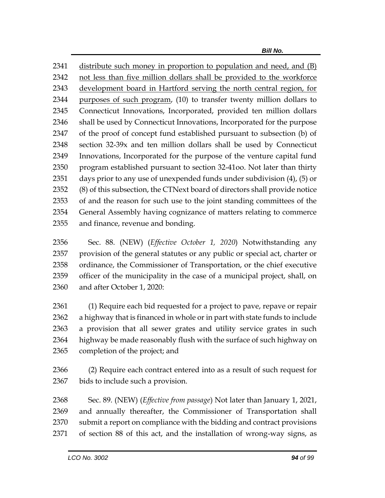distribute such money in proportion to population and need, and (B) not less than five million dollars shall be provided to the workforce development board in Hartford serving the north central region, for 2344 purposes of such program, (10) to transfer twenty million dollars to Connecticut Innovations, Incorporated, provided ten million dollars shall be used by Connecticut Innovations, Incorporated for the purpose of the proof of concept fund established pursuant to subsection (b) of section 32-39x and ten million dollars shall be used by Connecticut Innovations, Incorporated for the purpose of the venture capital fund program established pursuant to section 32-41oo. Not later than thirty days prior to any use of unexpended funds under subdivision (4), (5) or (8) of this subsection, the CTNext board of directors shall provide notice of and the reason for such use to the joint standing committees of the General Assembly having cognizance of matters relating to commerce and finance, revenue and bonding.

 Sec. 88. (NEW) (*Effective October 1, 2020*) Notwithstanding any provision of the general statutes or any public or special act, charter or ordinance, the Commissioner of Transportation, or the chief executive officer of the municipality in the case of a municipal project, shall, on and after October 1, 2020:

 (1) Require each bid requested for a project to pave, repave or repair a highway that is financed in whole or in part with state funds to include a provision that all sewer grates and utility service grates in such highway be made reasonably flush with the surface of such highway on completion of the project; and

 (2) Require each contract entered into as a result of such request for bids to include such a provision.

 Sec. 89. (NEW) (*Effective from passage*) Not later than January 1, 2021, and annually thereafter, the Commissioner of Transportation shall submit a report on compliance with the bidding and contract provisions of section 88 of this act, and the installation of wrong-way signs, as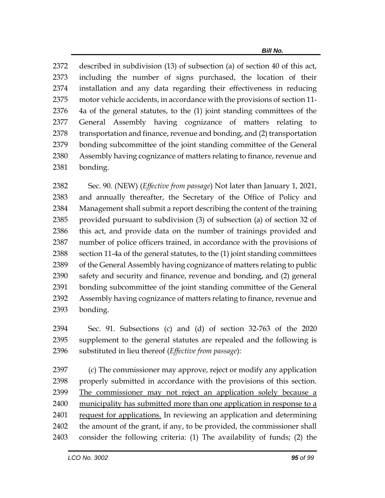described in subdivision (13) of subsection (a) of section 40 of this act, including the number of signs purchased, the location of their installation and any data regarding their effectiveness in reducing motor vehicle accidents, in accordance with the provisions of section 11- 4a of the general statutes, to the (1) joint standing committees of the General Assembly having cognizance of matters relating to transportation and finance, revenue and bonding, and (2) transportation bonding subcommittee of the joint standing committee of the General Assembly having cognizance of matters relating to finance, revenue and bonding.

 Sec. 90. (NEW) (*Effective from passage*) Not later than January 1, 2021, and annually thereafter, the Secretary of the Office of Policy and Management shall submit a report describing the content of the training provided pursuant to subdivision (3) of subsection (a) of section 32 of this act, and provide data on the number of trainings provided and number of police officers trained, in accordance with the provisions of section 11-4a of the general statutes, to the (1) joint standing committees 2389 of the General Assembly having cognizance of matters relating to public safety and security and finance, revenue and bonding, and (2) general bonding subcommittee of the joint standing committee of the General Assembly having cognizance of matters relating to finance, revenue and bonding.

 Sec. 91. Subsections (c) and (d) of section 32-763 of the 2020 supplement to the general statutes are repealed and the following is substituted in lieu thereof (*Effective from passage*):

 (c) The commissioner may approve, reject or modify any application properly submitted in accordance with the provisions of this section. The commissioner may not reject an application solely because a 2400 municipality has submitted more than one application in response to a 2401 request for applications. In reviewing an application and determining the amount of the grant, if any, to be provided, the commissioner shall consider the following criteria: (1) The availability of funds; (2) the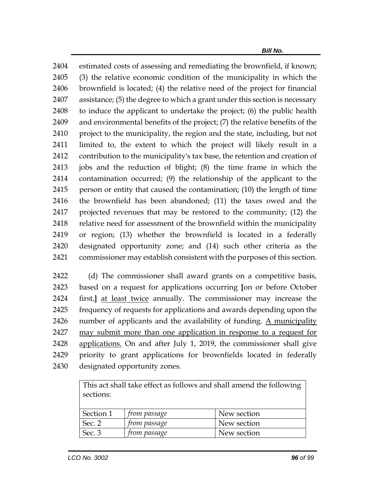estimated costs of assessing and remediating the brownfield, if known; (3) the relative economic condition of the municipality in which the brownfield is located; (4) the relative need of the project for financial assistance; (5) the degree to which a grant under this section is necessary to induce the applicant to undertake the project; (6) the public health and environmental benefits of the project; (7) the relative benefits of the 2410 project to the municipality, the region and the state, including, but not limited to, the extent to which the project will likely result in a contribution to the municipality's tax base, the retention and creation of jobs and the reduction of blight; (8) the time frame in which the contamination occurred; (9) the relationship of the applicant to the person or entity that caused the contamination; (10) the length of time the brownfield has been abandoned; (11) the taxes owed and the projected revenues that may be restored to the community; (12) the 2418 relative need for assessment of the brownfield within the municipality or region; (13) whether the brownfield is located in a federally designated opportunity zone; and (14) such other criteria as the commissioner may establish consistent with the purposes of this section.

 (d) The commissioner shall award grants on a competitive basis, based on a request for applications occurring **[**on or before October first,**]** at least twice annually. The commissioner may increase the frequency of requests for applications and awards depending upon the 2426 number of applicants and the availability of funding. A municipality may submit more than one application in response to a request for applications. On and after July 1, 2019, the commissioner shall give priority to grant applications for brownfields located in federally designated opportunity zones.

> This act shall take effect as follows and shall amend the following sections:

| Section 1 | trom passage        | New section |
|-----------|---------------------|-------------|
| Sec. 2    | <i>from passage</i> | New section |
| Sec. 3    | <i>from passage</i> | New section |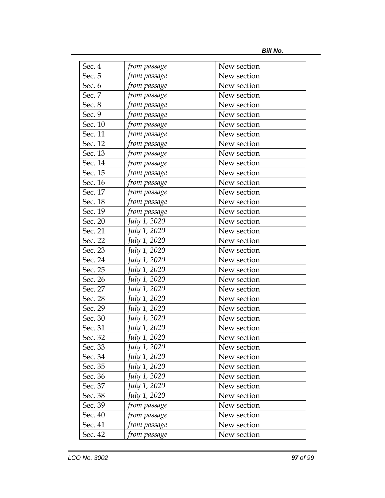*Bill No.*

| Sec. 4  | from passage | New section |
|---------|--------------|-------------|
| Sec. 5  | from passage | New section |
| Sec. 6  | from passage | New section |
| Sec. 7  | from passage | New section |
| Sec. 8  |              | New section |
| Sec. 9  | from passage | New section |
| Sec. 10 | from passage | New section |
| Sec. 11 | from passage |             |
|         | from passage | New section |
| Sec. 12 | from passage | New section |
| Sec. 13 | from passage | New section |
| Sec. 14 | from passage | New section |
| Sec. 15 | from passage | New section |
| Sec. 16 | from passage | New section |
| Sec. 17 | from passage | New section |
| Sec. 18 | from passage | New section |
| Sec. 19 | from passage | New section |
| Sec. 20 | July 1, 2020 | New section |
| Sec. 21 | July 1, 2020 | New section |
| Sec. 22 | July 1, 2020 | New section |
| Sec. 23 | July 1, 2020 | New section |
| Sec. 24 | July 1, 2020 | New section |
| Sec. 25 | July 1, 2020 | New section |
| Sec. 26 | July 1, 2020 | New section |
| Sec. 27 | July 1, 2020 | New section |
| Sec. 28 | July 1, 2020 | New section |
| Sec. 29 | July 1, 2020 | New section |
| Sec. 30 | July 1, 2020 | New section |
| Sec. 31 | July 1, 2020 | New section |
| Sec. 32 | July 1, 2020 | New section |
| Sec. 33 | July 1, 2020 | New section |
| Sec. 34 | July 1, 2020 | New section |
| Sec. 35 | July 1, 2020 | New section |
| Sec. 36 | July 1, 2020 | New section |
| Sec. 37 | July 1, 2020 | New section |
| Sec. 38 | July 1, 2020 | New section |
| Sec. 39 | from passage | New section |
| Sec. 40 | from passage | New section |
| Sec. 41 | from passage | New section |
| Sec. 42 | from passage | New section |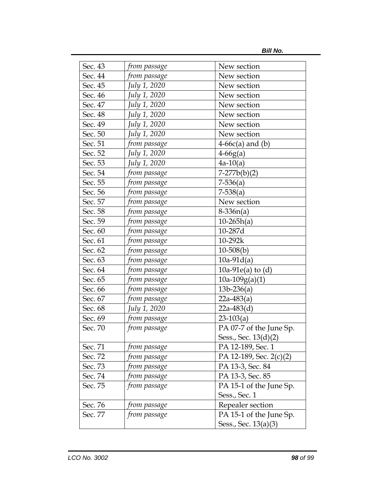| Sec. 43 | from passage | New section             |
|---------|--------------|-------------------------|
| Sec. 44 | from passage | New section             |
| Sec. 45 | July 1, 2020 | New section             |
| Sec. 46 | July 1, 2020 | New section             |
| Sec. 47 | July 1, 2020 | New section             |
| Sec. 48 | July 1, 2020 | New section             |
| Sec. 49 | July 1, 2020 | New section             |
| Sec. 50 | July 1, 2020 | New section             |
| Sec. 51 | from passage | $4-66c(a)$ and (b)      |
| Sec. 52 | July 1, 2020 | $4-66g(a)$              |
| Sec. 53 | July 1, 2020 | $4a-10(a)$              |
| Sec. 54 | from passage | $7-277b(b)(2)$          |
| Sec. 55 | from passage | $7-536(a)$              |
| Sec. 56 | from passage | $7-538(a)$              |
| Sec. 57 | from passage | New section             |
| Sec. 58 | from passage | $8-336n(a)$             |
| Sec. 59 | from passage | $10-265h(a)$            |
| Sec. 60 | from passage | 10-287d                 |
| Sec. 61 | from passage | 10-292k                 |
| Sec. 62 | from passage | $10-508(b)$             |
| Sec. 63 | from passage | $10a-91d(a)$            |
| Sec. 64 | from passage | 10a-91 $e$ (a) to (d)   |
| Sec. 65 | from passage | $10a-109g(a)(1)$        |
| Sec. 66 | from passage | $13b-236(a)$            |
| Sec. 67 | from passage | $22a-483(a)$            |
| Sec. 68 | July 1, 2020 | $22a-483(d)$            |
| Sec. 69 | from passage | $23-103(a)$             |
| Sec. 70 | from passage | PA 07-7 of the June Sp. |
|         |              | Sess., Sec. 13(d)(2)    |
| Sec. 71 | from passage | PA 12-189, Sec. 1       |
| Sec. 72 | from passage | PA 12-189, Sec. 2(c)(2) |
| Sec. 73 | from passage | PA 13-3, Sec. 84        |
| Sec. 74 | from passage | PA 13-3, Sec. 85        |
| Sec. 75 | from passage | PA 15-1 of the June Sp. |
|         |              | Sess., Sec. 1           |
| Sec. 76 | from passage | Repealer section        |
| Sec. 77 | from passage | PA 15-1 of the June Sp. |
|         |              | Sess., Sec. 13(a)(3)    |